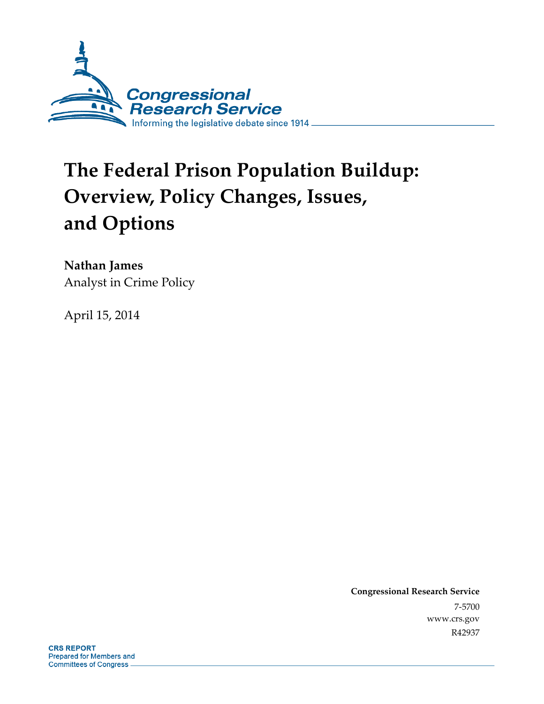

# **The Federal Prison Population Buildup: Overview, Policy Changes, Issues, and Options**

**Nathan James**  Analyst in Crime Policy

April 15, 2014

**Congressional Research Service**  7-5700 www.crs.gov R42937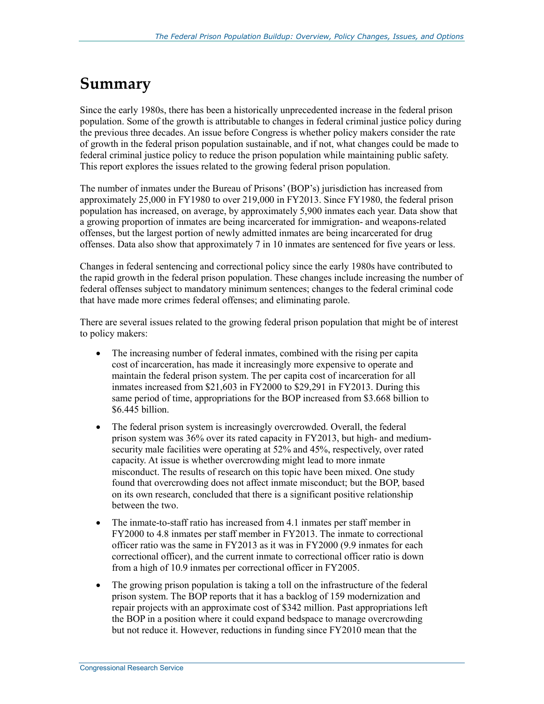## **Summary**

Since the early 1980s, there has been a historically unprecedented increase in the federal prison population. Some of the growth is attributable to changes in federal criminal justice policy during the previous three decades. An issue before Congress is whether policy makers consider the rate of growth in the federal prison population sustainable, and if not, what changes could be made to federal criminal justice policy to reduce the prison population while maintaining public safety. This report explores the issues related to the growing federal prison population.

The number of inmates under the Bureau of Prisons' (BOP's) jurisdiction has increased from approximately 25,000 in FY1980 to over 219,000 in FY2013. Since FY1980, the federal prison population has increased, on average, by approximately 5,900 inmates each year. Data show that a growing proportion of inmates are being incarcerated for immigration- and weapons-related offenses, but the largest portion of newly admitted inmates are being incarcerated for drug offenses. Data also show that approximately 7 in 10 inmates are sentenced for five years or less.

Changes in federal sentencing and correctional policy since the early 1980s have contributed to the rapid growth in the federal prison population. These changes include increasing the number of federal offenses subject to mandatory minimum sentences; changes to the federal criminal code that have made more crimes federal offenses; and eliminating parole.

There are several issues related to the growing federal prison population that might be of interest to policy makers:

- The increasing number of federal inmates, combined with the rising per capita cost of incarceration, has made it increasingly more expensive to operate and maintain the federal prison system. The per capita cost of incarceration for all inmates increased from \$21,603 in FY2000 to \$29,291 in FY2013. During this same period of time, appropriations for the BOP increased from \$3.668 billion to \$6.445 billion.
- The federal prison system is increasingly overcrowded. Overall, the federal prison system was 36% over its rated capacity in FY2013, but high- and mediumsecurity male facilities were operating at 52% and 45%, respectively, over rated capacity. At issue is whether overcrowding might lead to more inmate misconduct. The results of research on this topic have been mixed. One study found that overcrowding does not affect inmate misconduct; but the BOP, based on its own research, concluded that there is a significant positive relationship between the two.
- The inmate-to-staff ratio has increased from 4.1 inmates per staff member in FY2000 to 4.8 inmates per staff member in FY2013. The inmate to correctional officer ratio was the same in FY2013 as it was in FY2000 (9.9 inmates for each correctional officer), and the current inmate to correctional officer ratio is down from a high of 10.9 inmates per correctional officer in FY2005.
- The growing prison population is taking a toll on the infrastructure of the federal prison system. The BOP reports that it has a backlog of 159 modernization and repair projects with an approximate cost of \$342 million. Past appropriations left the BOP in a position where it could expand bedspace to manage overcrowding but not reduce it. However, reductions in funding since FY2010 mean that the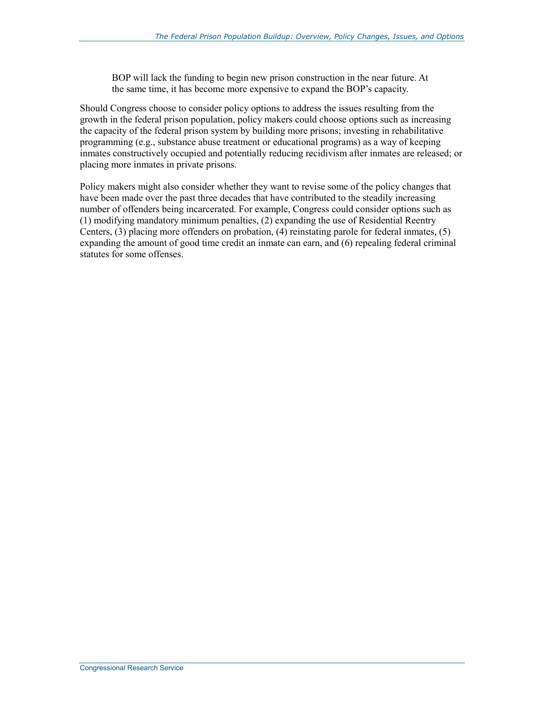BOP will lack the funding to begin new prison construction in the near future. At the same time, it has become more expensive to expand the BOP's capacity.

Should Congress choose to consider policy options to address the issues resulting from the growth in the federal prison population, policy makers could choose options such as increasing the capacity of the federal prison system by building more prisons; investing in rehabilitative programming (e.g., substance abuse treatment or educational programs) as a way of keeping inmates constructively occupied and potentially reducing recidivism after inmates are released; or placing more inmates in private prisons.

Policy makers might also consider whether they want to revise some of the policy changes that have been made over the past three decades that have contributed to the steadily increasing number of offenders being incarcerated. For example, Congress could consider options such as (1) modifying mandatory minimum penalties, (2) expanding the use of Residential Reentry Centers, (3) placing more offenders on probation, (4) reinstating parole for federal inmates, (5) expanding the amount of good time credit an inmate can earn, and (6) repealing federal criminal statutes for some offenses.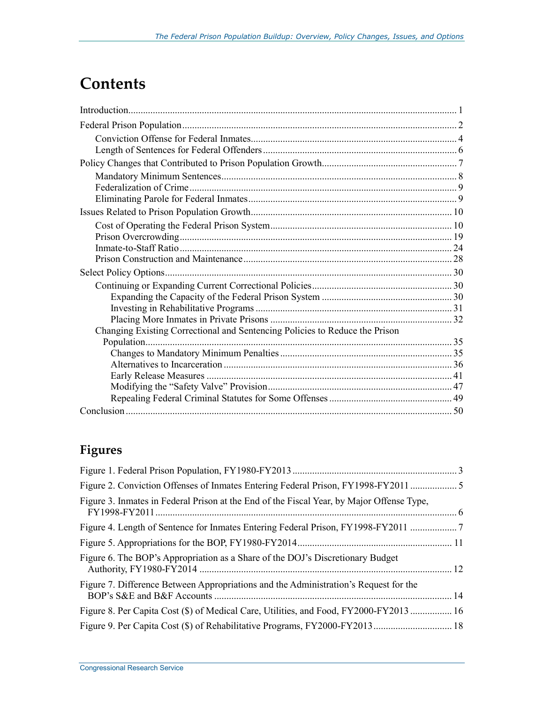## **Contents**

| Changing Existing Correctional and Sentencing Policies to Reduce the Prison |  |
|-----------------------------------------------------------------------------|--|
|                                                                             |  |
|                                                                             |  |
|                                                                             |  |
|                                                                             |  |
|                                                                             |  |
|                                                                             |  |
|                                                                             |  |

### **Figures**

| Figure 3. Inmates in Federal Prison at the End of the Fiscal Year, by Major Offense Type, |  |
|-------------------------------------------------------------------------------------------|--|
|                                                                                           |  |
|                                                                                           |  |
| Figure 6. The BOP's Appropriation as a Share of the DOJ's Discretionary Budget            |  |
| Figure 7. Difference Between Appropriations and the Administration's Request for the      |  |
| Figure 8. Per Capita Cost (\$) of Medical Care, Utilities, and Food, FY2000-FY2013  16    |  |
|                                                                                           |  |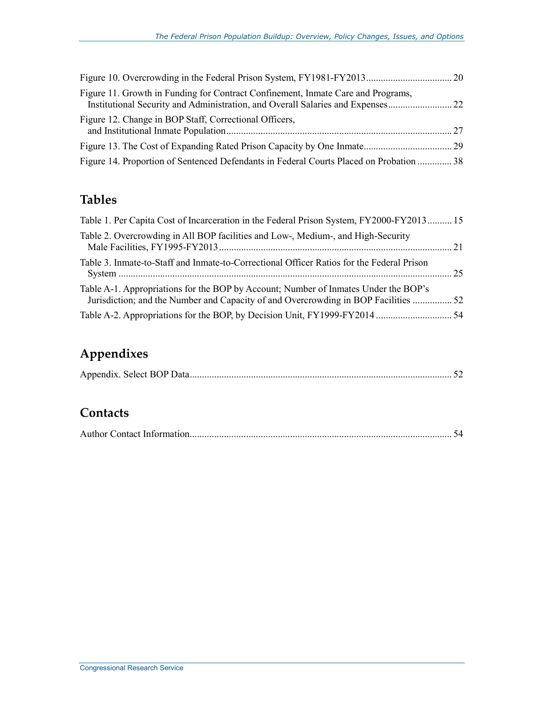| Figure 11. Growth in Funding for Contract Confinement, Inmate Care and Programs,        |  |
|-----------------------------------------------------------------------------------------|--|
| Figure 12. Change in BOP Staff, Correctional Officers,                                  |  |
|                                                                                         |  |
| Figure 14. Proportion of Sentenced Defendants in Federal Courts Placed on Probation  38 |  |

### **Tables**

| Table 1. Per Capita Cost of Incarceration in the Federal Prison System, FY2000-FY2013 15                                                                                   |  |
|----------------------------------------------------------------------------------------------------------------------------------------------------------------------------|--|
| Table 2. Overcrowding in All BOP facilities and Low-, Medium-, and High-Security                                                                                           |  |
| Table 3. Inmate-to-Staff and Inmate-to-Correctional Officer Ratios for the Federal Prison                                                                                  |  |
| Table A-1. Appropriations for the BOP by Account; Number of Inmates Under the BOP's<br>Jurisdiction; and the Number and Capacity of and Overcrowding in BOP Facilities  52 |  |
|                                                                                                                                                                            |  |

## **Appendixes**

|--|--|--|--|

### **Contacts**

|--|--|--|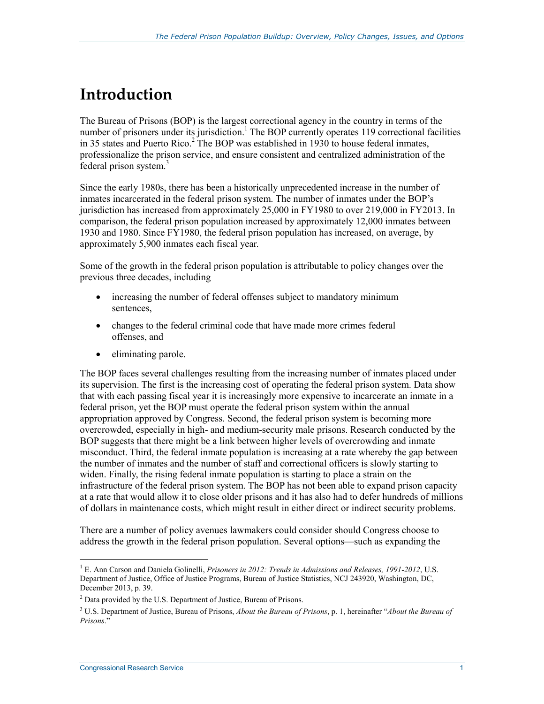## **Introduction**

The Bureau of Prisons (BOP) is the largest correctional agency in the country in terms of the number of prisoners under its jurisdiction.<sup>1</sup> The BOP currently operates 119 correctional facilities in 35 states and Puerto Rico.<sup>2</sup> The BOP was established in 1930 to house federal inmates, professionalize the prison service, and ensure consistent and centralized administration of the federal prison system.<sup>3</sup>

Since the early 1980s, there has been a historically unprecedented increase in the number of inmates incarcerated in the federal prison system. The number of inmates under the BOP's jurisdiction has increased from approximately 25,000 in FY1980 to over 219,000 in FY2013. In comparison, the federal prison population increased by approximately 12,000 inmates between 1930 and 1980. Since FY1980, the federal prison population has increased, on average, by approximately 5,900 inmates each fiscal year.

Some of the growth in the federal prison population is attributable to policy changes over the previous three decades, including

- increasing the number of federal offenses subject to mandatory minimum sentences,
- changes to the federal criminal code that have made more crimes federal offenses, and
- eliminating parole.

The BOP faces several challenges resulting from the increasing number of inmates placed under its supervision. The first is the increasing cost of operating the federal prison system. Data show that with each passing fiscal year it is increasingly more expensive to incarcerate an inmate in a federal prison, yet the BOP must operate the federal prison system within the annual appropriation approved by Congress. Second, the federal prison system is becoming more overcrowded, especially in high- and medium-security male prisons. Research conducted by the BOP suggests that there might be a link between higher levels of overcrowding and inmate misconduct. Third, the federal inmate population is increasing at a rate whereby the gap between the number of inmates and the number of staff and correctional officers is slowly starting to widen. Finally, the rising federal inmate population is starting to place a strain on the infrastructure of the federal prison system. The BOP has not been able to expand prison capacity at a rate that would allow it to close older prisons and it has also had to defer hundreds of millions of dollars in maintenance costs, which might result in either direct or indirect security problems.

There are a number of policy avenues lawmakers could consider should Congress choose to address the growth in the federal prison population. Several options—such as expanding the

<sup>1</sup> <sup>1</sup> E. Ann Carson and Daniela Golinelli, *Prisoners in 2012: Trends in Admissions and Releases, 1991-2012*, U.S. Department of Justice, Office of Justice Programs, Bureau of Justice Statistics, NCJ 243920, Washington, DC, December 2013, p. 39.

<sup>&</sup>lt;sup>2</sup> Data provided by the U.S. Department of Justice, Bureau of Prisons.

<sup>3</sup> U.S. Department of Justice, Bureau of Prisons, *About the Bureau of Prisons*, p. 1, hereinafter "*About the Bureau of Prisons*."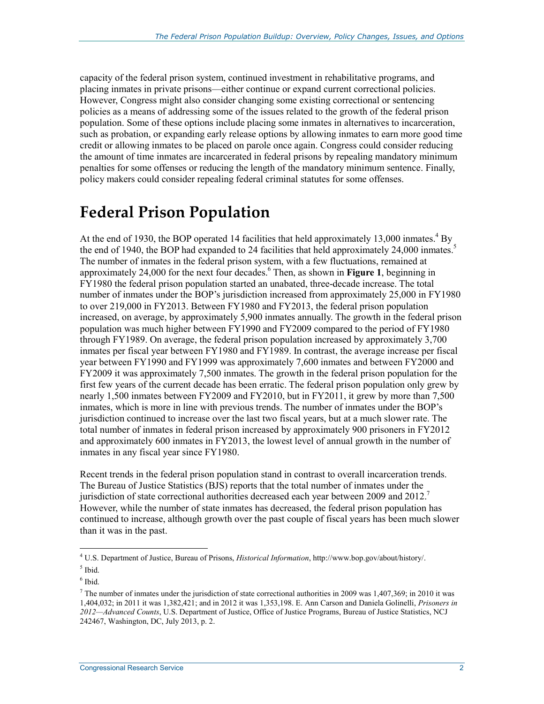capacity of the federal prison system, continued investment in rehabilitative programs, and placing inmates in private prisons—either continue or expand current correctional policies. However, Congress might also consider changing some existing correctional or sentencing policies as a means of addressing some of the issues related to the growth of the federal prison population. Some of these options include placing some inmates in alternatives to incarceration, such as probation, or expanding early release options by allowing inmates to earn more good time credit or allowing inmates to be placed on parole once again. Congress could consider reducing the amount of time inmates are incarcerated in federal prisons by repealing mandatory minimum penalties for some offenses or reducing the length of the mandatory minimum sentence. Finally, policy makers could consider repealing federal criminal statutes for some offenses.

## **Federal Prison Population**

At the end of 1930, the BOP operated 14 facilities that held approximately 13,000 inmates.<sup>4</sup> By the end of 1940, the BOP had expanded to 24 facilities that held approximately 24,000 inmates.<sup>5</sup> The number of inmates in the federal prison system, with a few fluctuations, remained at approximately 24,000 for the next four decades.<sup>6</sup> Then, as shown in **Figure 1**, beginning in FY1980 the federal prison population started an unabated, three-decade increase. The total number of inmates under the BOP's jurisdiction increased from approximately 25,000 in FY1980 to over 219,000 in FY2013. Between FY1980 and FY2013, the federal prison population increased, on average, by approximately 5,900 inmates annually. The growth in the federal prison population was much higher between FY1990 and FY2009 compared to the period of FY1980 through FY1989. On average, the federal prison population increased by approximately 3,700 inmates per fiscal year between FY1980 and FY1989. In contrast, the average increase per fiscal year between FY1990 and FY1999 was approximately 7,600 inmates and between FY2000 and FY2009 it was approximately 7,500 inmates. The growth in the federal prison population for the first few years of the current decade has been erratic. The federal prison population only grew by nearly 1,500 inmates between FY2009 and FY2010, but in FY2011, it grew by more than 7,500 inmates, which is more in line with previous trends. The number of inmates under the BOP's jurisdiction continued to increase over the last two fiscal years, but at a much slower rate. The total number of inmates in federal prison increased by approximately 900 prisoners in FY2012 and approximately 600 inmates in FY2013, the lowest level of annual growth in the number of inmates in any fiscal year since FY1980.

Recent trends in the federal prison population stand in contrast to overall incarceration trends. The Bureau of Justice Statistics (BJS) reports that the total number of inmates under the jurisdiction of state correctional authorities decreased each year between 2009 and  $2012$ .<sup>7</sup> However, while the number of state inmates has decreased, the federal prison population has continued to increase, although growth over the past couple of fiscal years has been much slower than it was in the past.

<sup>&</sup>lt;u>.</u> 4 U.S. Department of Justice, Bureau of Prisons, *Historical Information*, http://www.bop.gov/about/history/. 5 Ibid.

<sup>6</sup> Ibid.

 $<sup>7</sup>$  The number of inmates under the jurisdiction of state correctional authorities in 2009 was 1,407,369; in 2010 it was</sup> 1,404,032; in 2011 it was 1,382,421; and in 2012 it was 1,353,198. E. Ann Carson and Daniela Golinelli, *Prisoners in 2012—Advanced Counts*, U.S. Department of Justice, Office of Justice Programs, Bureau of Justice Statistics, NCJ 242467, Washington, DC, July 2013, p. 2.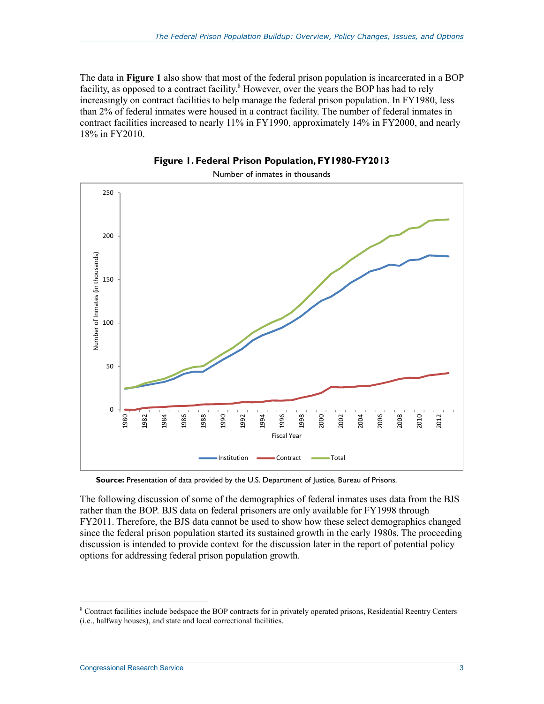The data in **Figure 1** also show that most of the federal prison population is incarcerated in a BOP facility, as opposed to a contract facility.<sup>8</sup> However, over the years the BOP has had to rely increasingly on contract facilities to help manage the federal prison population. In FY1980, less than 2% of federal inmates were housed in a contract facility. The number of federal inmates in contract facilities increased to nearly 11% in FY1990, approximately 14% in FY2000, and nearly 18% in FY2010.



**Figure 1. Federal Prison Population, FY1980-FY2013** 

Number of inmates in thousands

Source: Presentation of data provided by the U.S. Department of Justice, Bureau of Prisons.

The following discussion of some of the demographics of federal inmates uses data from the BJS rather than the BOP. BJS data on federal prisoners are only available for FY1998 through FY2011. Therefore, the BJS data cannot be used to show how these select demographics changed since the federal prison population started its sustained growth in the early 1980s. The proceeding discussion is intended to provide context for the discussion later in the report of potential policy options for addressing federal prison population growth.

<sup>&</sup>lt;sup>8</sup> Contract facilities include bedspace the BOP contracts for in privately operated prisons, Residential Reentry Centers (i.e., halfway houses), and state and local correctional facilities.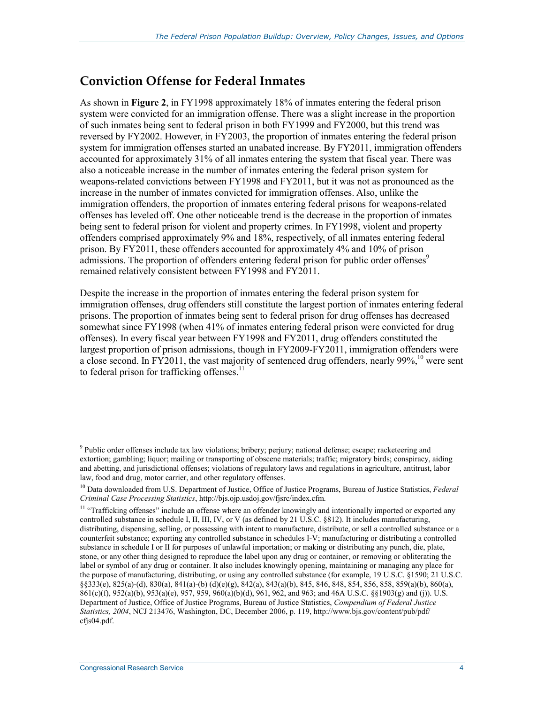### **Conviction Offense for Federal Inmates**

As shown in **Figure 2**, in FY1998 approximately 18% of inmates entering the federal prison system were convicted for an immigration offense. There was a slight increase in the proportion of such inmates being sent to federal prison in both FY1999 and FY2000, but this trend was reversed by FY2002. However, in FY2003, the proportion of inmates entering the federal prison system for immigration offenses started an unabated increase. By FY2011, immigration offenders accounted for approximately 31% of all inmates entering the system that fiscal year. There was also a noticeable increase in the number of inmates entering the federal prison system for weapons-related convictions between FY1998 and FY2011, but it was not as pronounced as the increase in the number of inmates convicted for immigration offenses. Also, unlike the immigration offenders, the proportion of inmates entering federal prisons for weapons-related offenses has leveled off. One other noticeable trend is the decrease in the proportion of inmates being sent to federal prison for violent and property crimes. In FY1998, violent and property offenders comprised approximately 9% and 18%, respectively, of all inmates entering federal prison. By FY2011, these offenders accounted for approximately 4% and 10% of prison admissions. The proportion of offenders entering federal prison for public order offenses<sup>9</sup> remained relatively consistent between FY1998 and FY2011.

Despite the increase in the proportion of inmates entering the federal prison system for immigration offenses, drug offenders still constitute the largest portion of inmates entering federal prisons. The proportion of inmates being sent to federal prison for drug offenses has decreased somewhat since FY1998 (when 41% of inmates entering federal prison were convicted for drug offenses). In every fiscal year between FY1998 and FY2011, drug offenders constituted the largest proportion of prison admissions, though in FY2009-FY2011, immigration offenders were a close second. In FY2011, the vast majority of sentenced drug offenders, nearly  $99\%$ , <sup>10</sup> were sent to federal prison for trafficking offenses. $^{11}$ 

<u>.</u>

<sup>&</sup>lt;sup>9</sup> Public order offenses include tax law violations; bribery; perjury; national defense; escape; racketeering and extortion; gambling; liquor; mailing or transporting of obscene materials; traffic; migratory birds; conspiracy, aiding and abetting, and jurisdictional offenses; violations of regulatory laws and regulations in agriculture, antitrust, labor law, food and drug, motor carrier, and other regulatory offenses.

<sup>10</sup> Data downloaded from U.S. Department of Justice, Office of Justice Programs, Bureau of Justice Statistics, *Federal Criminal Case Processing Statistics*, http://bjs.ojp.usdoj.gov/fjsrc/index.cfm.

<sup>&</sup>lt;sup>11</sup> "Trafficking offenses" include an offense where an offender knowingly and intentionally imported or exported any controlled substance in schedule I, II, III, IV, or V (as defined by 21 U.S.C. §812). It includes manufacturing, distributing, dispensing, selling, or possessing with intent to manufacture, distribute, or sell a controlled substance or a counterfeit substance; exporting any controlled substance in schedules I-V; manufacturing or distributing a controlled substance in schedule I or II for purposes of unlawful importation; or making or distributing any punch, die, plate, stone, or any other thing designed to reproduce the label upon any drug or container, or removing or obliterating the label or symbol of any drug or container. It also includes knowingly opening, maintaining or managing any place for the purpose of manufacturing, distributing, or using any controlled substance (for example, 19 U.S.C. §1590; 21 U.S.C. §§333(e), 825(a)-(d), 830(a), 841(a)-(b) (d)(e)(g), 842(a), 843(a)(b), 845, 846, 848, 854, 856, 858, 859(a)(b), 860(a), 861(c)(f), 952(a)(b), 953(a)(e), 957, 959, 960(a)(b)(d), 961, 962, and 963; and 46A U.S.C. §§1903(g) and (j)). U.S. Department of Justice, Office of Justice Programs, Bureau of Justice Statistics, *Compendium of Federal Justice Statistics, 2004*, NCJ 213476, Washington, DC, December 2006, p. 119, http://www.bjs.gov/content/pub/pdf/ cfjs04.pdf.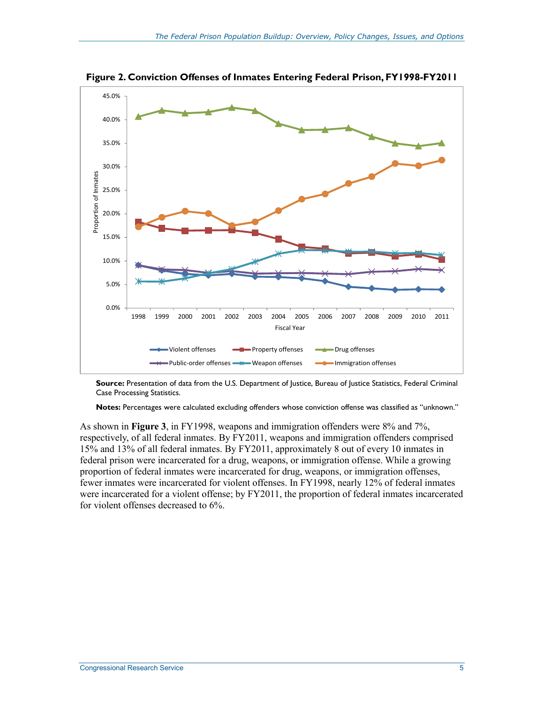

**Figure 2. Conviction Offenses of Inmates Entering Federal Prison, FY1998-FY2011** 

**Source:** Presentation of data from the U.S. Department of Justice, Bureau of Justice Statistics, Federal Criminal Case Processing Statistics.

**Notes:** Percentages were calculated excluding offenders whose conviction offense was classified as "unknown."

As shown in **Figure 3**, in FY1998, weapons and immigration offenders were 8% and 7%, respectively, of all federal inmates. By FY2011, weapons and immigration offenders comprised 15% and 13% of all federal inmates. By FY2011, approximately 8 out of every 10 inmates in federal prison were incarcerated for a drug, weapons, or immigration offense. While a growing proportion of federal inmates were incarcerated for drug, weapons, or immigration offenses, fewer inmates were incarcerated for violent offenses. In FY1998, nearly 12% of federal inmates were incarcerated for a violent offense; by FY2011, the proportion of federal inmates incarcerated for violent offenses decreased to 6%.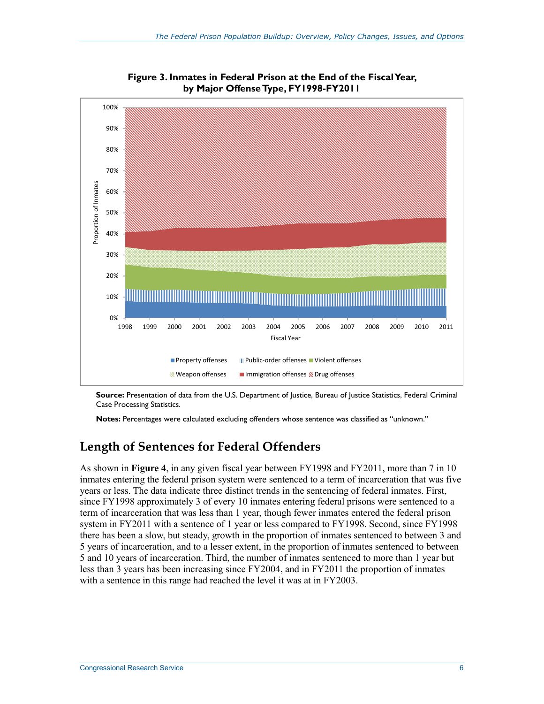

**Figure 3. Inmates in Federal Prison at the End of the Fiscal Year, by Major Offense Type, FY1998-FY2011** 

**Source:** Presentation of data from the U.S. Department of Justice, Bureau of Justice Statistics, Federal Criminal Case Processing Statistics.

**Notes:** Percentages were calculated excluding offenders whose sentence was classified as "unknown."

### **Length of Sentences for Federal Offenders**

As shown in **Figure 4**, in any given fiscal year between FY1998 and FY2011, more than 7 in 10 inmates entering the federal prison system were sentenced to a term of incarceration that was five years or less. The data indicate three distinct trends in the sentencing of federal inmates. First, since FY1998 approximately 3 of every 10 inmates entering federal prisons were sentenced to a term of incarceration that was less than 1 year, though fewer inmates entered the federal prison system in FY2011 with a sentence of 1 year or less compared to FY1998. Second, since FY1998 there has been a slow, but steady, growth in the proportion of inmates sentenced to between 3 and 5 years of incarceration, and to a lesser extent, in the proportion of inmates sentenced to between 5 and 10 years of incarceration. Third, the number of inmates sentenced to more than 1 year but less than 3 years has been increasing since FY2004, and in FY2011 the proportion of inmates with a sentence in this range had reached the level it was at in FY2003.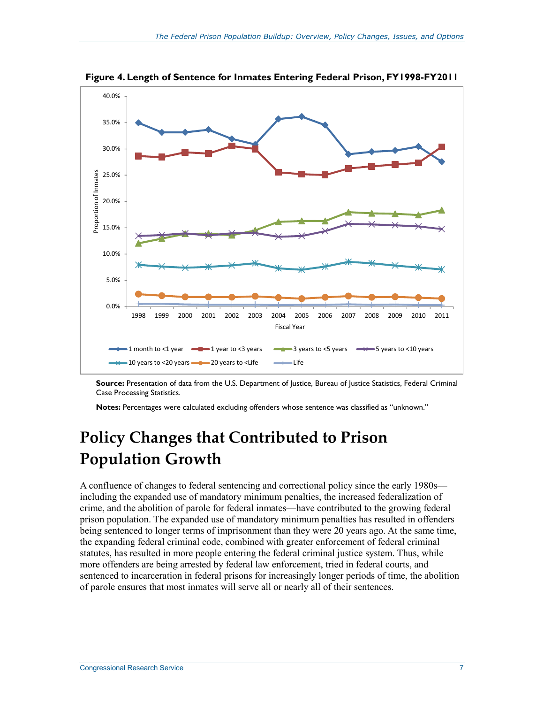

**Figure 4. Length of Sentence for Inmates Entering Federal Prison, FY1998-FY2011** 

**Source:** Presentation of data from the U.S. Department of Justice, Bureau of Justice Statistics, Federal Criminal Case Processing Statistics.

**Notes:** Percentages were calculated excluding offenders whose sentence was classified as "unknown."

## **Policy Changes that Contributed to Prison Population Growth**

A confluence of changes to federal sentencing and correctional policy since the early 1980s including the expanded use of mandatory minimum penalties, the increased federalization of crime, and the abolition of parole for federal inmates—have contributed to the growing federal prison population. The expanded use of mandatory minimum penalties has resulted in offenders being sentenced to longer terms of imprisonment than they were 20 years ago. At the same time, the expanding federal criminal code, combined with greater enforcement of federal criminal statutes, has resulted in more people entering the federal criminal justice system. Thus, while more offenders are being arrested by federal law enforcement, tried in federal courts, and sentenced to incarceration in federal prisons for increasingly longer periods of time, the abolition of parole ensures that most inmates will serve all or nearly all of their sentences.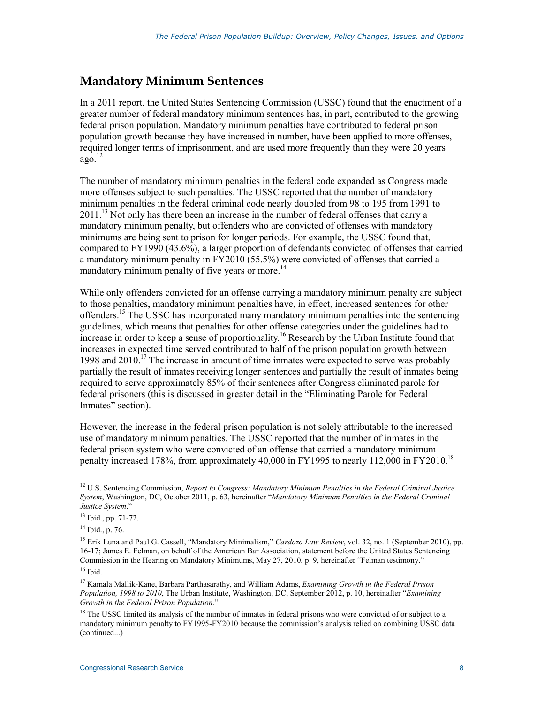### **Mandatory Minimum Sentences**

In a 2011 report, the United States Sentencing Commission (USSC) found that the enactment of a greater number of federal mandatory minimum sentences has, in part, contributed to the growing federal prison population. Mandatory minimum penalties have contributed to federal prison population growth because they have increased in number, have been applied to more offenses, required longer terms of imprisonment, and are used more frequently than they were 20 years  $a\overline{q}$ <sup>12</sup>

The number of mandatory minimum penalties in the federal code expanded as Congress made more offenses subject to such penalties. The USSC reported that the number of mandatory minimum penalties in the federal criminal code nearly doubled from 98 to 195 from 1991 to 2011.<sup>13</sup> Not only has there been an increase in the number of federal offenses that carry a mandatory minimum penalty, but offenders who are convicted of offenses with mandatory minimums are being sent to prison for longer periods. For example, the USSC found that, compared to FY1990 (43.6%), a larger proportion of defendants convicted of offenses that carried a mandatory minimum penalty in FY2010 (55.5%) were convicted of offenses that carried a mandatory minimum penalty of five years or more.<sup>14</sup>

While only offenders convicted for an offense carrying a mandatory minimum penalty are subject to those penalties, mandatory minimum penalties have, in effect, increased sentences for other offenders.15 The USSC has incorporated many mandatory minimum penalties into the sentencing guidelines, which means that penalties for other offense categories under the guidelines had to increase in order to keep a sense of proportionality.<sup>16</sup> Research by the Urban Institute found that increases in expected time served contributed to half of the prison population growth between 1998 and  $2010$ .<sup>17</sup> The increase in amount of time inmates were expected to serve was probably partially the result of inmates receiving longer sentences and partially the result of inmates being required to serve approximately 85% of their sentences after Congress eliminated parole for federal prisoners (this is discussed in greater detail in the "Eliminating Parole for Federal Inmates" section).

However, the increase in the federal prison population is not solely attributable to the increased use of mandatory minimum penalties. The USSC reported that the number of inmates in the federal prison system who were convicted of an offense that carried a mandatory minimum penalty increased 178%, from approximately 40,000 in FY1995 to nearly 112,000 in FY2010.<sup>18</sup>

<u>.</u>

<sup>12</sup> U.S. Sentencing Commission, *Report to Congress: Mandatory Minimum Penalties in the Federal Criminal Justice System*, Washington, DC, October 2011, p. 63, hereinafter "*Mandatory Minimum Penalties in the Federal Criminal Justice System*."

<sup>13</sup> Ibid., pp. 71-72.

 $14$  Ibid., p. 76.

<sup>&</sup>lt;sup>15</sup> Erik Luna and Paul G. Cassell, "Mandatory Minimalism," *Cardozo Law Review*, vol. 32, no. 1 (September 2010), pp. 16-17; James E. Felman, on behalf of the American Bar Association, statement before the United States Sentencing Commission in the Hearing on Mandatory Minimums, May 27, 2010, p. 9, hereinafter "Felman testimony." 16 Ibid.

<sup>17</sup> Kamala Mallik-Kane, Barbara Parthasarathy, and William Adams, *Examining Growth in the Federal Prison Population, 1998 to 2010*, The Urban Institute, Washington, DC, September 2012, p. 10, hereinafter "*Examining Growth in the Federal Prison Population*."

<sup>&</sup>lt;sup>18</sup> The USSC limited its analysis of the number of inmates in federal prisons who were convicted of or subject to a mandatory minimum penalty to FY1995-FY2010 because the commission's analysis relied on combining USSC data (continued...)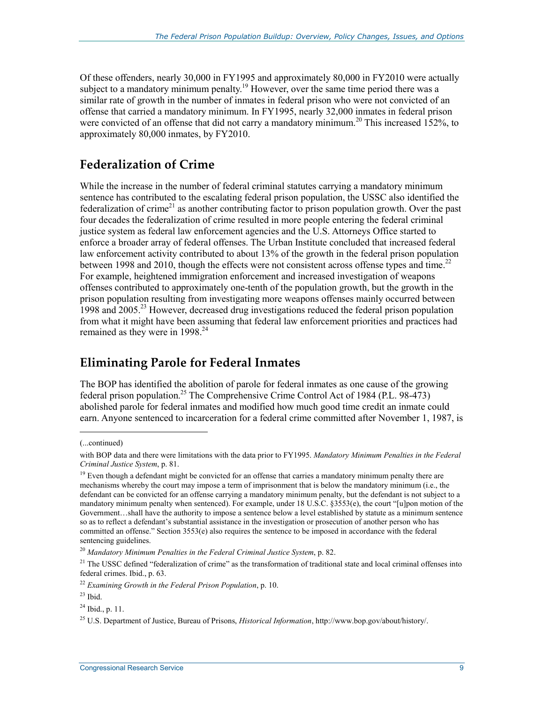Of these offenders, nearly 30,000 in FY1995 and approximately 80,000 in FY2010 were actually subject to a mandatory minimum penalty.<sup>19</sup> However, over the same time period there was a similar rate of growth in the number of inmates in federal prison who were not convicted of an offense that carried a mandatory minimum. In FY1995, nearly 32,000 inmates in federal prison were convicted of an offense that did not carry a mandatory minimum.<sup>20</sup> This increased  $152\%$ , to approximately 80,000 inmates, by FY2010.

### **Federalization of Crime**

While the increase in the number of federal criminal statutes carrying a mandatory minimum sentence has contributed to the escalating federal prison population, the USSC also identified the federalization of crime<sup>21</sup> as another contributing factor to prison population growth. Over the past four decades the federalization of crime resulted in more people entering the federal criminal justice system as federal law enforcement agencies and the U.S. Attorneys Office started to enforce a broader array of federal offenses. The Urban Institute concluded that increased federal law enforcement activity contributed to about 13% of the growth in the federal prison population between 1998 and 2010, though the effects were not consistent across offense types and time.<sup>22</sup> For example, heightened immigration enforcement and increased investigation of weapons offenses contributed to approximately one-tenth of the population growth, but the growth in the prison population resulting from investigating more weapons offenses mainly occurred between 1998 and 2005.23 However, decreased drug investigations reduced the federal prison population from what it might have been assuming that federal law enforcement priorities and practices had remained as they were in 1998.<sup>24</sup>

### **Eliminating Parole for Federal Inmates**

The BOP has identified the abolition of parole for federal inmates as one cause of the growing federal prison population.<sup>25</sup> The Comprehensive Crime Control Act of 1984 (P.L. 98-473) abolished parole for federal inmates and modified how much good time credit an inmate could earn. Anyone sentenced to incarceration for a federal crime committed after November 1, 1987, is

<sup>(...</sup>continued)

with BOP data and there were limitations with the data prior to FY1995. *Mandatory Minimum Penalties in the Federal Criminal Justice System*, p. 81.

<sup>&</sup>lt;sup>19</sup> Even though a defendant might be convicted for an offense that carries a mandatory minimum penalty there are mechanisms whereby the court may impose a term of imprisonment that is below the mandatory minimum (i.e., the defendant can be convicted for an offense carrying a mandatory minimum penalty, but the defendant is not subject to a mandatory minimum penalty when sentenced). For example, under 18 U.S.C. §3553(e), the court "[u]pon motion of the Government…shall have the authority to impose a sentence below a level established by statute as a minimum sentence so as to reflect a defendant's substantial assistance in the investigation or prosecution of another person who has committed an offense." Section 3553(e) also requires the sentence to be imposed in accordance with the federal sentencing guidelines.

<sup>20</sup> *Mandatory Minimum Penalties in the Federal Criminal Justice System*, p. 82.

<sup>&</sup>lt;sup>21</sup> The USSC defined "federalization of crime" as the transformation of traditional state and local criminal offenses into federal crimes. Ibid., p. 63.

<sup>22</sup> *Examining Growth in the Federal Prison Population*, p. 10.

 $23$  Ibid.

 $^{24}$  Ibid., p. 11.

<sup>25</sup> U.S. Department of Justice, Bureau of Prisons, *Historical Information*, http://www.bop.gov/about/history/.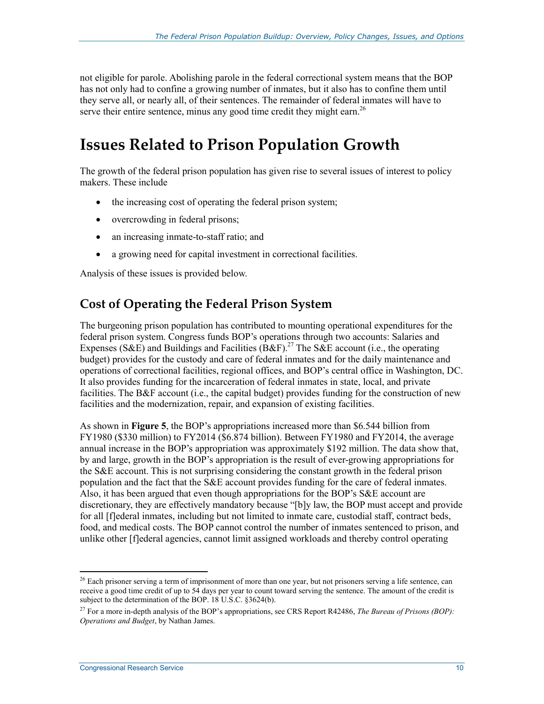not eligible for parole. Abolishing parole in the federal correctional system means that the BOP has not only had to confine a growing number of inmates, but it also has to confine them until they serve all, or nearly all, of their sentences. The remainder of federal inmates will have to serve their entire sentence, minus any good time credit they might earn.<sup>26</sup>

## **Issues Related to Prison Population Growth**

The growth of the federal prison population has given rise to several issues of interest to policy makers. These include

- the increasing cost of operating the federal prison system;
- overcrowding in federal prisons;
- an increasing inmate-to-staff ratio; and
- a growing need for capital investment in correctional facilities.

Analysis of these issues is provided below.

### **Cost of Operating the Federal Prison System**

The burgeoning prison population has contributed to mounting operational expenditures for the federal prison system. Congress funds BOP's operations through two accounts: Salaries and Expenses (S&E) and Buildings and Facilities (B&F).<sup>27</sup> The S&E account (i.e., the operating budget) provides for the custody and care of federal inmates and for the daily maintenance and operations of correctional facilities, regional offices, and BOP's central office in Washington, DC. It also provides funding for the incarceration of federal inmates in state, local, and private facilities. The B&F account (i.e., the capital budget) provides funding for the construction of new facilities and the modernization, repair, and expansion of existing facilities.

As shown in **Figure 5**, the BOP's appropriations increased more than \$6.544 billion from FY1980 (\$330 million) to FY2014 (\$6.874 billion). Between FY1980 and FY2014, the average annual increase in the BOP's appropriation was approximately \$192 million. The data show that, by and large, growth in the BOP's appropriation is the result of ever-growing appropriations for the S&E account. This is not surprising considering the constant growth in the federal prison population and the fact that the S&E account provides funding for the care of federal inmates. Also, it has been argued that even though appropriations for the BOP's S&E account are discretionary, they are effectively mandatory because "[b]y law, the BOP must accept and provide for all [f]ederal inmates, including but not limited to inmate care, custodial staff, contract beds, food, and medical costs. The BOP cannot control the number of inmates sentenced to prison, and unlike other [f]ederal agencies, cannot limit assigned workloads and thereby control operating

<sup>&</sup>lt;sup>26</sup> Each prisoner serving a term of imprisonment of more than one year, but not prisoners serving a life sentence, can receive a good time credit of up to 54 days per year to count toward serving the sentence. The amount of the credit is subject to the determination of the BOP. 18 U.S.C. §3624(b).

<sup>27</sup> For a more in-depth analysis of the BOP's appropriations, see CRS Report R42486, *The Bureau of Prisons (BOP): Operations and Budget*, by Nathan James.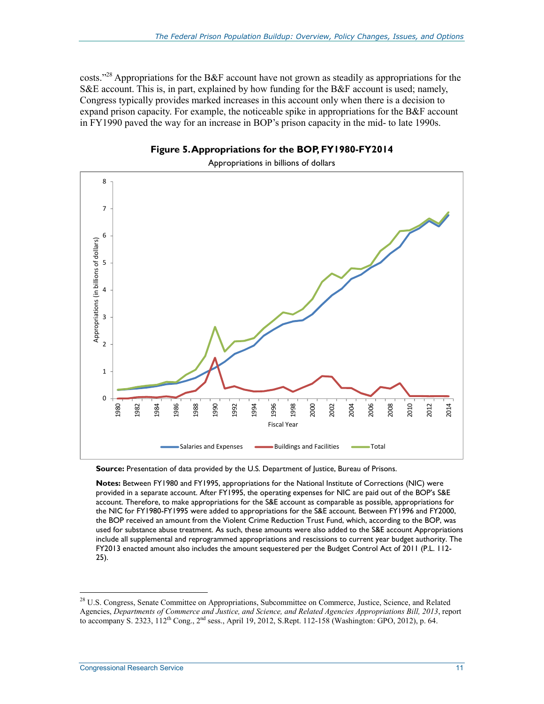costs."<sup>28</sup> Appropriations for the B&F account have not grown as steadily as appropriations for the S&E account. This is, in part, explained by how funding for the B&F account is used; namely, Congress typically provides marked increases in this account only when there is a decision to expand prison capacity. For example, the noticeable spike in appropriations for the B&F account in FY1990 paved the way for an increase in BOP's prison capacity in the mid- to late 1990s.





**Notes:** Between FY1980 and FY1995, appropriations for the National Institute of Corrections (NIC) were provided in a separate account. After FY1995, the operating expenses for NIC are paid out of the BOP's S&E account. Therefore, to make appropriations for the S&E account as comparable as possible, appropriations for the NIC for FY1980-FY1995 were added to appropriations for the S&E account. Between FY1996 and FY2000, the BOP received an amount from the Violent Crime Reduction Trust Fund, which, according to the BOP, was used for substance abuse treatment. As such, these amounts were also added to the S&E account Appropriations include all supplemental and reprogrammed appropriations and rescissions to current year budget authority. The FY2013 enacted amount also includes the amount sequestered per the Budget Control Act of 2011 (P.L. 112- 25).

Source: Presentation of data provided by the U.S. Department of Justice, Bureau of Prisons.

<sup>&</sup>lt;sup>28</sup> U.S. Congress, Senate Committee on Appropriations, Subcommittee on Commerce, Justice, Science, and Related Agencies, *Departments of Commerce and Justice, and Science, and Related Agencies Appropriations Bill, 2013*, report to accompany S. 2323, 112<sup>th</sup> Cong., 2<sup>nd</sup> sess., April 19, 2012, S.Rept. 112-158 (Washington: GPO, 2012), p. 64.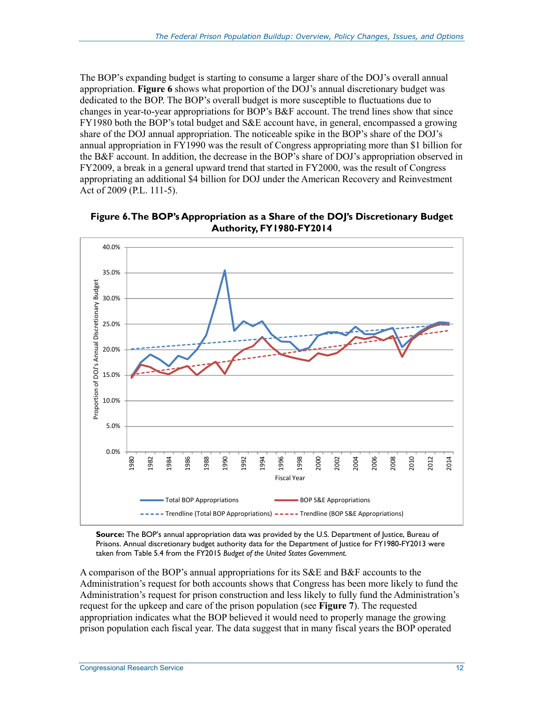The BOP's expanding budget is starting to consume a larger share of the DOJ's overall annual appropriation. **Figure 6** shows what proportion of the DOJ's annual discretionary budget was dedicated to the BOP. The BOP's overall budget is more susceptible to fluctuations due to changes in year-to-year appropriations for BOP's B&F account. The trend lines show that since FY1980 both the BOP's total budget and S&E account have, in general, encompassed a growing share of the DOJ annual appropriation. The noticeable spike in the BOP's share of the DOJ's annual appropriation in FY1990 was the result of Congress appropriating more than \$1 billion for the B&F account. In addition, the decrease in the BOP's share of DOJ's appropriation observed in FY2009, a break in a general upward trend that started in FY2000, was the result of Congress appropriating an additional \$4 billion for DOJ under the American Recovery and Reinvestment Act of 2009 (P.L. 111-5).



**Figure 6. The BOP's Appropriation as a Share of the DOJ's Discretionary Budget Authority, FY1980-FY2014** 

**Source:** The BOP's annual appropriation data was provided by the U.S. Department of Justice, Bureau of Prisons. Annual discretionary budget authority data for the Department of Justice for FY1980-FY2013 were taken from Table 5.4 from the FY2015 *Budget of the United States Government*.

A comparison of the BOP's annual appropriations for its S&E and B&F accounts to the Administration's request for both accounts shows that Congress has been more likely to fund the Administration's request for prison construction and less likely to fully fund the Administration's request for the upkeep and care of the prison population (see **Figure 7**). The requested appropriation indicates what the BOP believed it would need to properly manage the growing prison population each fiscal year. The data suggest that in many fiscal years the BOP operated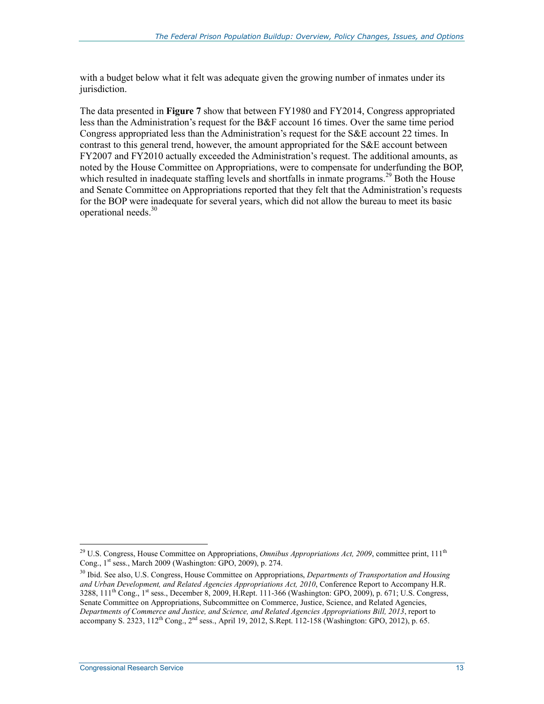with a budget below what it felt was adequate given the growing number of inmates under its jurisdiction.

The data presented in **Figure 7** show that between FY1980 and FY2014, Congress appropriated less than the Administration's request for the B&F account 16 times. Over the same time period Congress appropriated less than the Administration's request for the S&E account 22 times. In contrast to this general trend, however, the amount appropriated for the S&E account between FY2007 and FY2010 actually exceeded the Administration's request. The additional amounts, as noted by the House Committee on Appropriations, were to compensate for underfunding the BOP, which resulted in inadequate staffing levels and shortfalls in inmate programs.<sup>29</sup> Both the House and Senate Committee on Appropriations reported that they felt that the Administration's requests for the BOP were inadequate for several years, which did not allow the bureau to meet its basic operational needs.30

<sup>&</sup>lt;sup>29</sup> U.S. Congress, House Committee on Appropriations, *Omnibus Appropriations Act, 2009*, committee print, 111<sup>th</sup> Cong., 1<sup>st</sup> sess., March 2009 (Washington: GPO, 2009), p. 274.

<sup>30</sup> Ibid. See also, U.S. Congress, House Committee on Appropriations, *Departments of Transportation and Housing and Urban Development, and Related Agencies Appropriations Act, 2010*, Conference Report to Accompany H.R.  $3288, 111<sup>th</sup> Cong.,  $1<sup>st</sup>$  sess., December 8, 2009, H.Rept. 111-366 (Washington: GPO, 2009), p. 671; U.S. Congress,$ Senate Committee on Appropriations, Subcommittee on Commerce, Justice, Science, and Related Agencies, *Departments of Commerce and Justice, and Science, and Related Agencies Appropriations Bill, 2013*, report to accompany S. 2323, 112<sup>th</sup> Cong., 2<sup>nd</sup> sess., April 19, 2012, S.Rept. 112-158 (Washington: GPO, 2012), p. 65.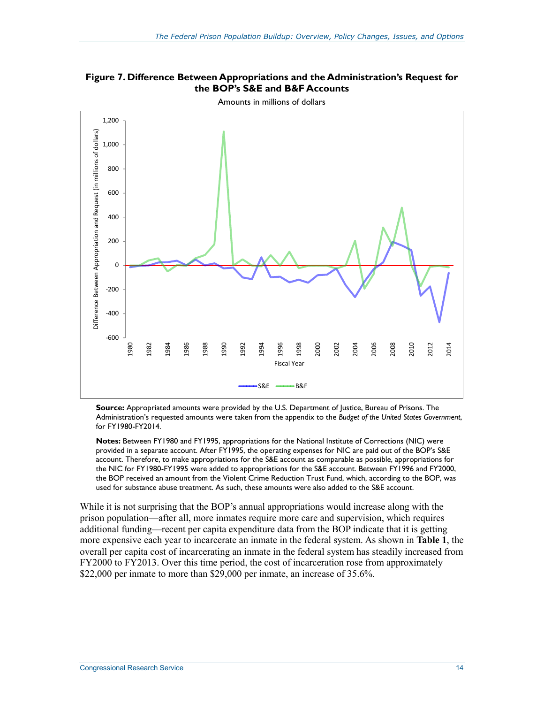

**Figure 7. Difference Between Appropriations and the Administration's Request for the BOP's S&E and B&F Accounts** 

**Source:** Appropriated amounts were provided by the U.S. Department of Justice, Bureau of Prisons. The Administration's requested amounts were taken from the appendix to the *Budget of the United States Government*, for FY1980-FY2014.

**Notes:** Between FY1980 and FY1995, appropriations for the National Institute of Corrections (NIC) were provided in a separate account. After FY1995, the operating expenses for NIC are paid out of the BOP's S&E account. Therefore, to make appropriations for the S&E account as comparable as possible, appropriations for the NIC for FY1980-FY1995 were added to appropriations for the S&E account. Between FY1996 and FY2000, the BOP received an amount from the Violent Crime Reduction Trust Fund, which, according to the BOP, was used for substance abuse treatment. As such, these amounts were also added to the S&E account.

While it is not surprising that the BOP's annual appropriations would increase along with the prison population—after all, more inmates require more care and supervision, which requires additional funding—recent per capita expenditure data from the BOP indicate that it is getting more expensive each year to incarcerate an inmate in the federal system. As shown in **Table 1**, the overall per capita cost of incarcerating an inmate in the federal system has steadily increased from FY2000 to FY2013. Over this time period, the cost of incarceration rose from approximately \$22,000 per inmate to more than \$29,000 per inmate, an increase of 35.6%.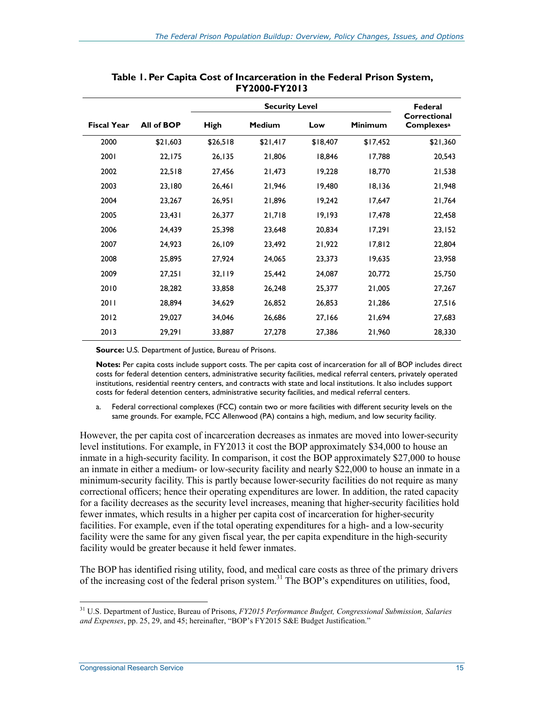|                    |            |             | Federal       |          |                |                                   |
|--------------------|------------|-------------|---------------|----------|----------------|-----------------------------------|
| <b>Fiscal Year</b> | All of BOP | <b>High</b> | <b>Medium</b> | Low      | <b>Minimum</b> | Correctional<br><b>Complexesa</b> |
| 2000               | \$21,603   | \$26,518    | \$21,417      | \$18,407 | \$17,452       | \$21,360                          |
| 2001               | 22,175     | 26,135      | 21,806        | 18,846   | 17,788         | 20,543                            |
| 2002               | 22,518     | 27,456      | 21,473        | 19,228   | 18,770         | 21,538                            |
| 2003               | 23,180     | 26,461      | 21,946        | 19,480   | 18,136         | 21,948                            |
| 2004               | 23,267     | 26,951      | 21,896        | 19,242   | 17,647         | 21,764                            |
| 2005               | 23,431     | 26,377      | 21,718        | 19,193   | 17,478         | 22,458                            |
| 2006               | 24,439     | 25,398      | 23,648        | 20,834   | 17,291         | 23,152                            |
| 2007               | 24,923     | 26,109      | 23,492        | 21,922   | 17,812         | 22,804                            |
| 2008               | 25,895     | 27,924      | 24,065        | 23,373   | 19,635         | 23,958                            |
| 2009               | 27,251     | 32,119      | 25,442        | 24,087   | 20,772         | 25,750                            |
| 2010               | 28,282     | 33,858      | 26,248        | 25,377   | 21,005         | 27,267                            |
| 2011               | 28,894     | 34,629      | 26,852        | 26,853   | 21,286         | 27,516                            |
| 2012               | 29,027     | 34,046      | 26,686        | 27,166   | 21,694         | 27,683                            |
| 2013               | 29,291     | 33,887      | 27,278        | 27,386   | 21,960         | 28,330                            |

**Table 1. Per Capita Cost of Incarceration in the Federal Prison System, FY2000-FY2013** 

**Source:** U.S. Department of Justice, Bureau of Prisons.

**Notes:** Per capita costs include support costs. The per capita cost of incarceration for all of BOP includes direct costs for federal detention centers, administrative security facilities, medical referral centers, privately operated institutions, residential reentry centers, and contracts with state and local institutions. It also includes support costs for federal detention centers, administrative security facilities, and medical referral centers.

a. Federal correctional complexes (FCC) contain two or more facilities with different security levels on the same grounds. For example, FCC Allenwood (PA) contains a high, medium, and low security facility.

However, the per capita cost of incarceration decreases as inmates are moved into lower-security level institutions. For example, in FY2013 it cost the BOP approximately \$34,000 to house an inmate in a high-security facility. In comparison, it cost the BOP approximately \$27,000 to house an inmate in either a medium- or low-security facility and nearly \$22,000 to house an inmate in a minimum-security facility. This is partly because lower-security facilities do not require as many correctional officers; hence their operating expenditures are lower. In addition, the rated capacity for a facility decreases as the security level increases, meaning that higher-security facilities hold fewer inmates, which results in a higher per capita cost of incarceration for higher-security facilities. For example, even if the total operating expenditures for a high- and a low-security facility were the same for any given fiscal year, the per capita expenditure in the high-security facility would be greater because it held fewer inmates.

The BOP has identified rising utility, food, and medical care costs as three of the primary drivers of the increasing cost of the federal prison system.<sup>31</sup> The BOP's expenditures on utilities, food,

<sup>31</sup> U.S. Department of Justice, Bureau of Prisons, *FY2015 Performance Budget, Congressional Submission, Salaries and Expenses*, pp. 25, 29, and 45; hereinafter, "BOP's FY2015 S&E Budget Justification."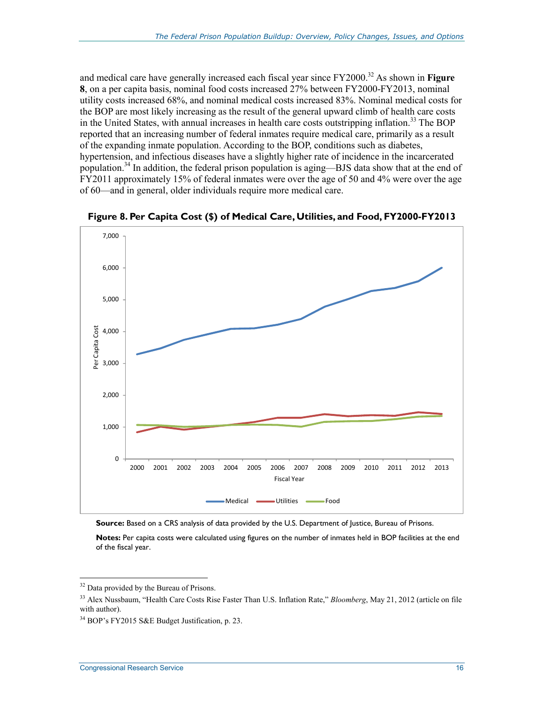and medical care have generally increased each fiscal year since FY2000.<sup>32</sup> As shown in **Figure 8**, on a per capita basis, nominal food costs increased 27% between FY2000-FY2013, nominal utility costs increased 68%, and nominal medical costs increased 83%. Nominal medical costs for the BOP are most likely increasing as the result of the general upward climb of health care costs in the United States, with annual increases in health care costs outstripping inflation.<sup>33</sup> The BOP reported that an increasing number of federal inmates require medical care, primarily as a result of the expanding inmate population. According to the BOP, conditions such as diabetes, hypertension, and infectious diseases have a slightly higher rate of incidence in the incarcerated population.<sup>34</sup> In addition, the federal prison population is aging—BJS data show that at the end of FY2011 approximately 15% of federal inmates were over the age of 50 and 4% were over the age of 60—and in general, older individuals require more medical care.



**Figure 8. Per Capita Cost (\$) of Medical Care, Utilities, and Food, FY2000-FY2013** 

**Source:** Based on a CRS analysis of data provided by the U.S. Department of Justice, Bureau of Prisons.

**Notes:** Per capita costs were calculated using figures on the number of inmates held in BOP facilities at the end of the fiscal year.

<sup>1</sup> <sup>32</sup> Data provided by the Bureau of Prisons.

<sup>33</sup> Alex Nussbaum, "Health Care Costs Rise Faster Than U.S. Inflation Rate," *Bloomberg*, May 21, 2012 (article on file with author).

<sup>34</sup> BOP's FY2015 S&E Budget Justification, p. 23.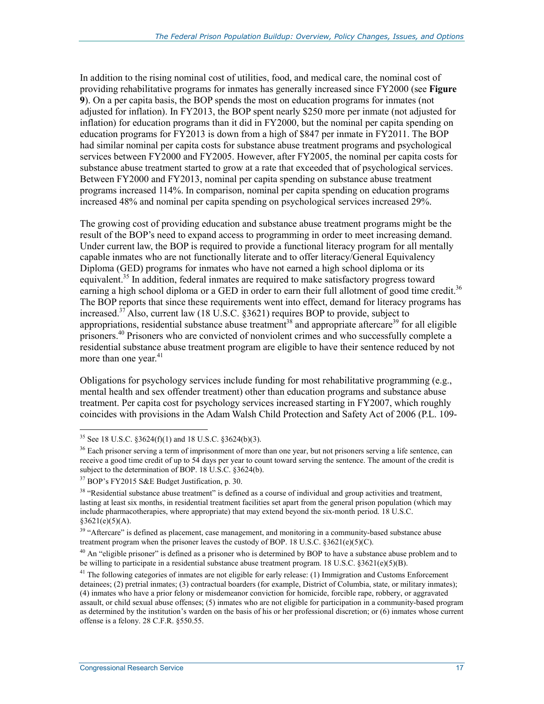In addition to the rising nominal cost of utilities, food, and medical care, the nominal cost of providing rehabilitative programs for inmates has generally increased since FY2000 (see **Figure 9**). On a per capita basis, the BOP spends the most on education programs for inmates (not adjusted for inflation). In FY2013, the BOP spent nearly \$250 more per inmate (not adjusted for inflation) for education programs than it did in FY2000, but the nominal per capita spending on education programs for FY2013 is down from a high of \$847 per inmate in FY2011. The BOP had similar nominal per capita costs for substance abuse treatment programs and psychological services between FY2000 and FY2005. However, after FY2005, the nominal per capita costs for substance abuse treatment started to grow at a rate that exceeded that of psychological services. Between FY2000 and FY2013, nominal per capita spending on substance abuse treatment programs increased 114%. In comparison, nominal per capita spending on education programs increased 48% and nominal per capita spending on psychological services increased 29%.

The growing cost of providing education and substance abuse treatment programs might be the result of the BOP's need to expand access to programming in order to meet increasing demand. Under current law, the BOP is required to provide a functional literacy program for all mentally capable inmates who are not functionally literate and to offer literacy/General Equivalency Diploma (GED) programs for inmates who have not earned a high school diploma or its equivalent.<sup>35</sup> In addition, federal inmates are required to make satisfactory progress toward earning a high school diploma or a GED in order to earn their full allotment of good time credit.<sup>36</sup> The BOP reports that since these requirements went into effect, demand for literacy programs has increased.37 Also, current law (18 U.S.C. §3621) requires BOP to provide, subject to appropriations, residential substance abuse treatment<sup>38</sup> and appropriate aftercare<sup>39</sup> for all eligible prisoners.<sup>40</sup> Prisoners who are convicted of nonviolent crimes and who successfully complete a residential substance abuse treatment program are eligible to have their sentence reduced by not more than one year. $41$ 

Obligations for psychology services include funding for most rehabilitative programming (e.g., mental health and sex offender treatment) other than education programs and substance abuse treatment. Per capita cost for psychology services increased starting in FY2007, which roughly coincides with provisions in the Adam Walsh Child Protection and Safety Act of 2006 (P.L. 109-

<u>.</u>

<sup>&</sup>lt;sup>35</sup> See 18 U.S.C.  $\S 3624(f)(1)$  and 18 U.S.C.  $\S 3624(b)(3)$ .

<sup>&</sup>lt;sup>36</sup> Each prisoner serving a term of imprisonment of more than one year, but not prisoners serving a life sentence, can receive a good time credit of up to 54 days per year to count toward serving the sentence. The amount of the credit is subject to the determination of BOP. 18 U.S.C.  $\S 3624(b)$ .

<sup>37</sup> BOP's FY2015 S&E Budget Justification, p. 30.

<sup>&</sup>lt;sup>38</sup> "Residential substance abuse treatment" is defined as a course of individual and group activities and treatment, lasting at least six months, in residential treatment facilities set apart from the general prison population (which may include pharmacotherapies, where appropriate) that may extend beyond the six-month period. 18 U.S.C.  $$3621(e)(5)(A).$ 

<sup>&</sup>lt;sup>39</sup> "Aftercare" is defined as placement, case management, and monitoring in a community-based substance abuse treatment program when the prisoner leaves the custody of BOP. 18 U.S.C.  $\S 3621(e)(5)(C)$ .

 $40$  An "eligible prisoner" is defined as a prisoner who is determined by BOP to have a substance abuse problem and to be willing to participate in a residential substance abuse treatment program. 18 U.S.C. §3621(e)(5)(B).

 $41$  The following categories of inmates are not eligible for early release: (1) Immigration and Customs Enforcement detainees; (2) pretrial inmates; (3) contractual boarders (for example, District of Columbia, state, or military inmates); (4) inmates who have a prior felony or misdemeanor conviction for homicide, forcible rape, robbery, or aggravated assault, or child sexual abuse offenses; (5) inmates who are not eligible for participation in a community-based program as determined by the institution's warden on the basis of his or her professional discretion; or (6) inmates whose current offense is a felony. 28 C.F.R. §550.55.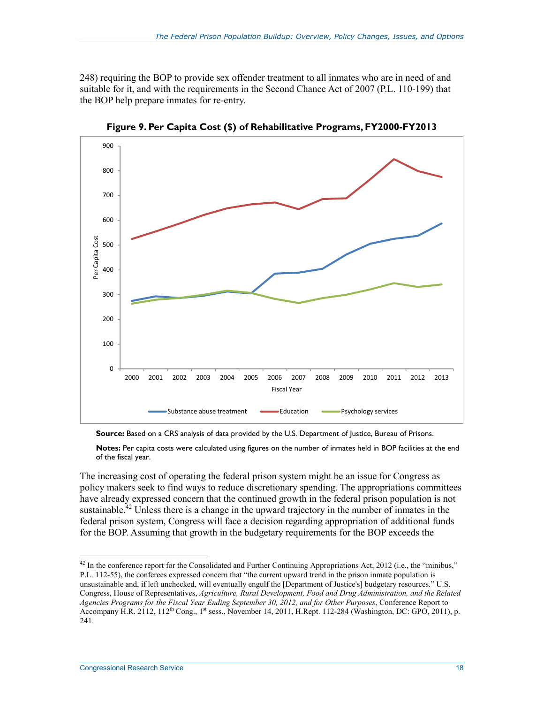248) requiring the BOP to provide sex offender treatment to all inmates who are in need of and suitable for it, and with the requirements in the Second Chance Act of 2007 (P.L. 110-199) that the BOP help prepare inmates for re-entry.



**Figure 9. Per Capita Cost (\$) of Rehabilitative Programs, FY2000-FY2013** 

**Source:** Based on a CRS analysis of data provided by the U.S. Department of Justice, Bureau of Prisons.

**Notes:** Per capita costs were calculated using figures on the number of inmates held in BOP facilities at the end of the fiscal year.

The increasing cost of operating the federal prison system might be an issue for Congress as policy makers seek to find ways to reduce discretionary spending. The appropriations committees have already expressed concern that the continued growth in the federal prison population is not sustainable.<sup> $42$ </sup> Unless there is a change in the upward trajectory in the number of inmates in the federal prison system, Congress will face a decision regarding appropriation of additional funds for the BOP. Assuming that growth in the budgetary requirements for the BOP exceeds the

<sup>1</sup>  $42$  In the conference report for the Consolidated and Further Continuing Appropriations Act, 2012 (i.e., the "minibus," P.L. 112-55), the conferees expressed concern that "the current upward trend in the prison inmate population is unsustainable and, if left unchecked, will eventually engulf the [Department of Justice's] budgetary resources." U.S. Congress, House of Representatives, *Agriculture, Rural Development, Food and Drug Administration, and the Related Agencies Programs for the Fiscal Year Ending September 30, 2012, and for Other Purposes*, Conference Report to Accompany H.R. 2112, 112<sup>th</sup> Cong., 1<sup>st</sup> sess., November 14, 2011, H.Rept. 112-284 (Washington, DC: GPO, 2011), p. 241.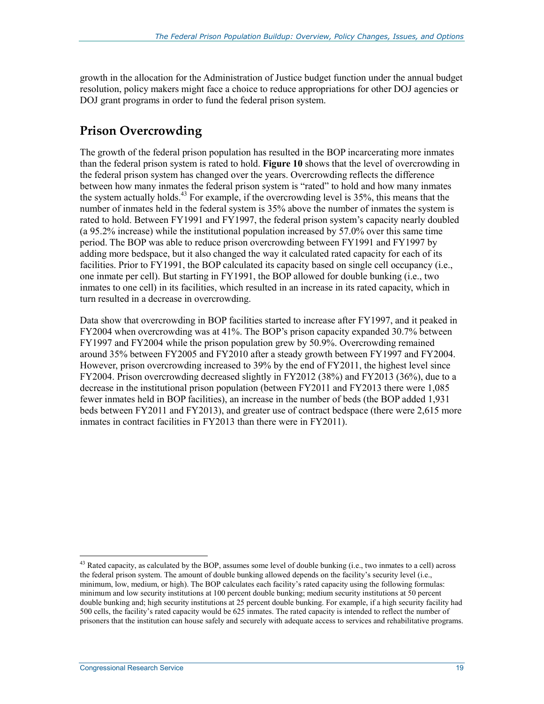growth in the allocation for the Administration of Justice budget function under the annual budget resolution, policy makers might face a choice to reduce appropriations for other DOJ agencies or DOJ grant programs in order to fund the federal prison system.

### **Prison Overcrowding**

The growth of the federal prison population has resulted in the BOP incarcerating more inmates than the federal prison system is rated to hold. **Figure 10** shows that the level of overcrowding in the federal prison system has changed over the years. Overcrowding reflects the difference between how many inmates the federal prison system is "rated" to hold and how many inmates the system actually holds.<sup>43</sup> For example, if the overcrowding level is 35%, this means that the number of inmates held in the federal system is 35% above the number of inmates the system is rated to hold. Between FY1991 and FY1997, the federal prison system's capacity nearly doubled (a 95.2% increase) while the institutional population increased by 57.0% over this same time period. The BOP was able to reduce prison overcrowding between FY1991 and FY1997 by adding more bedspace, but it also changed the way it calculated rated capacity for each of its facilities. Prior to FY1991, the BOP calculated its capacity based on single cell occupancy (i.e., one inmate per cell). But starting in FY1991, the BOP allowed for double bunking (i.e., two inmates to one cell) in its facilities, which resulted in an increase in its rated capacity, which in turn resulted in a decrease in overcrowding.

Data show that overcrowding in BOP facilities started to increase after FY1997, and it peaked in FY2004 when overcrowding was at 41%. The BOP's prison capacity expanded 30.7% between FY1997 and FY2004 while the prison population grew by 50.9%. Overcrowding remained around 35% between FY2005 and FY2010 after a steady growth between FY1997 and FY2004. However, prison overcrowding increased to 39% by the end of FY2011, the highest level since FY2004. Prison overcrowding decreased slightly in FY2012 (38%) and FY2013 (36%), due to a decrease in the institutional prison population (between FY2011 and FY2013 there were 1,085 fewer inmates held in BOP facilities), an increase in the number of beds (the BOP added 1,931 beds between FY2011 and FY2013), and greater use of contract bedspace (there were 2,615 more inmates in contract facilities in FY2013 than there were in FY2011).

 $43$  Rated capacity, as calculated by the BOP, assumes some level of double bunking (i.e., two inmates to a cell) across the federal prison system. The amount of double bunking allowed depends on the facility's security level (i.e., minimum, low, medium, or high). The BOP calculates each facility's rated capacity using the following formulas: minimum and low security institutions at 100 percent double bunking; medium security institutions at 50 percent double bunking and; high security institutions at 25 percent double bunking. For example, if a high security facility had 500 cells, the facility's rated capacity would be 625 inmates. The rated capacity is intended to reflect the number of prisoners that the institution can house safely and securely with adequate access to services and rehabilitative programs.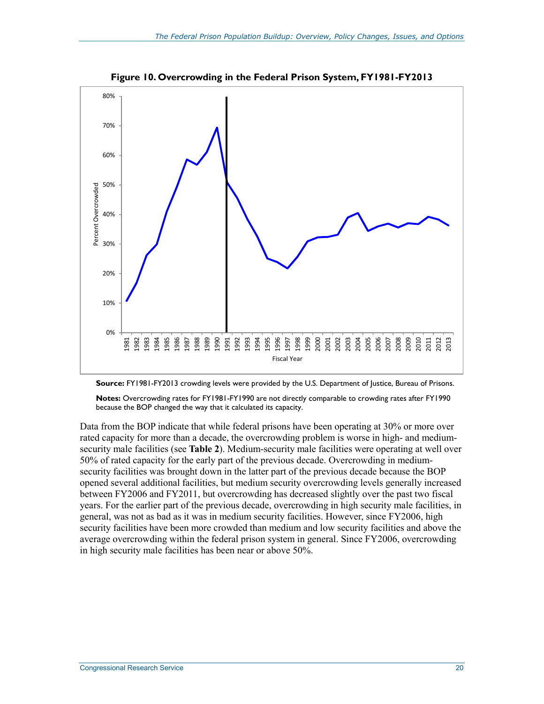

**Figure 10. Overcrowding in the Federal Prison System, FY1981-FY2013** 



**Notes:** Overcrowding rates for FY1981-FY1990 are not directly comparable to crowding rates after FY1990 because the BOP changed the way that it calculated its capacity.

Data from the BOP indicate that while federal prisons have been operating at 30% or more over rated capacity for more than a decade, the overcrowding problem is worse in high- and mediumsecurity male facilities (see **Table 2**). Medium-security male facilities were operating at well over 50% of rated capacity for the early part of the previous decade. Overcrowding in mediumsecurity facilities was brought down in the latter part of the previous decade because the BOP opened several additional facilities, but medium security overcrowding levels generally increased between FY2006 and FY2011, but overcrowding has decreased slightly over the past two fiscal years. For the earlier part of the previous decade, overcrowding in high security male facilities, in general, was not as bad as it was in medium security facilities. However, since FY2006, high security facilities have been more crowded than medium and low security facilities and above the average overcrowding within the federal prison system in general. Since FY2006, overcrowding in high security male facilities has been near or above 50%.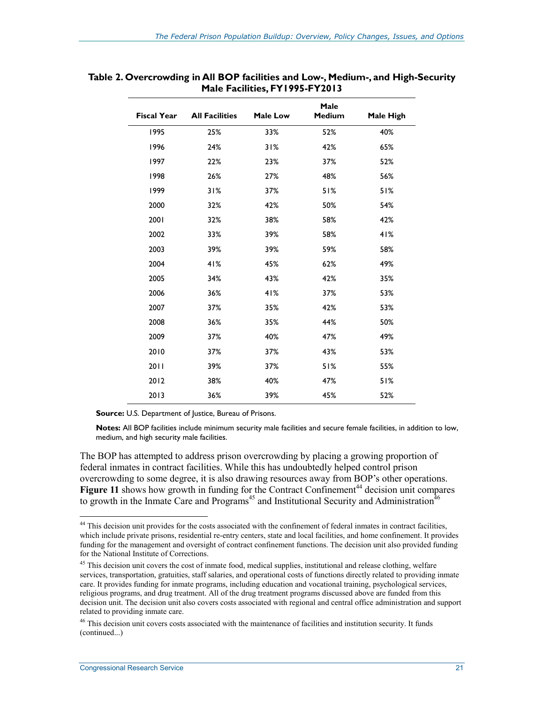| <b>Fiscal Year</b> | <b>All Facilities</b> | <b>Male Low</b> | Male<br><b>Medium</b> | Male High |
|--------------------|-----------------------|-----------------|-----------------------|-----------|
| 1995               | 25%                   | 33%             | 52%                   | 40%       |
| 1996               | 24%                   | 31%             | 42%                   | 65%       |
| 1997               | 22%                   | 23%             | 37%                   | 52%       |
| 1998               | 26%                   | 27%             | 48%                   | 56%       |
| 1999               | 31%                   | 37%             | 51%                   | 51%       |
| 2000               | 32%                   | 42%             | 50%                   | 54%       |
| 2001               | 32%                   | 38%             | 58%                   | 42%       |
| 2002               | 33%                   | 39%             | 58%                   | 41%       |
| 2003               | 39%                   | 39%             | 59%                   | 58%       |
| 2004               | 41%                   | 45%             | 62%                   | 49%       |
| 2005               | 34%                   | 43%             | 42%                   | 35%       |
| 2006               | 36%                   | 41%             | 37%                   | 53%       |
| 2007               | 37%                   | 35%             | 42%                   | 53%       |
| 2008               | 36%                   | 35%             | 44%                   | 50%       |
| 2009               | 37%                   | 40%             | 47%                   | 49%       |
| 2010               | 37%                   | 37%             | 43%                   | 53%       |
| 2011               | 39%                   | 37%             | 51%                   | 55%       |
| 2012               | 38%                   | 40%             | 47%                   | 51%       |
| 2013               | 36%                   | 39%             | 45%                   | 52%       |

#### **Table 2. Overcrowding in All BOP facilities and Low-, Medium-, and High-Security Male Facilities, FY1995-FY2013**

**Source: U.S. Department of Justice, Bureau of Prisons.** 

**Notes:** All BOP facilities include minimum security male facilities and secure female facilities, in addition to low, medium, and high security male facilities.

The BOP has attempted to address prison overcrowding by placing a growing proportion of federal inmates in contract facilities. While this has undoubtedly helped control prison overcrowding to some degree, it is also drawing resources away from BOP's other operations. Figure 11 shows how growth in funding for the Contract Confinement<sup>44</sup> decision unit compares to growth in the Inmate Care and Programs<sup>45</sup> and Institutional Security and Administration<sup>46</sup>

<u>.</u>

<sup>&</sup>lt;sup>44</sup> This decision unit provides for the costs associated with the confinement of federal inmates in contract facilities, which include private prisons, residential re-entry centers, state and local facilities, and home confinement. It provides funding for the management and oversight of contract confinement functions. The decision unit also provided funding for the National Institute of Corrections.

<sup>&</sup>lt;sup>45</sup> This decision unit covers the cost of inmate food, medical supplies, institutional and release clothing, welfare services, transportation, gratuities, staff salaries, and operational costs of functions directly related to providing inmate care. It provides funding for inmate programs, including education and vocational training, psychological services, religious programs, and drug treatment. All of the drug treatment programs discussed above are funded from this decision unit. The decision unit also covers costs associated with regional and central office administration and support related to providing inmate care.

<sup>&</sup>lt;sup>46</sup> This decision unit covers costs associated with the maintenance of facilities and institution security. It funds (continued...)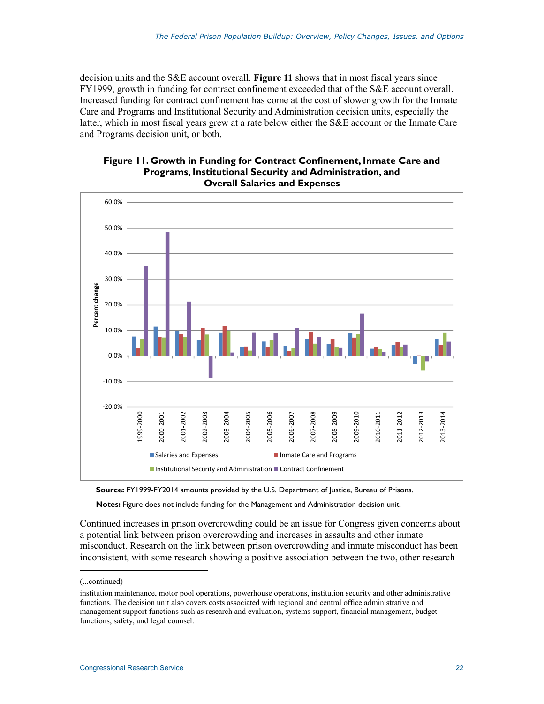decision units and the S&E account overall. **Figure 11** shows that in most fiscal years since FY1999, growth in funding for contract confinement exceeded that of the S&E account overall. Increased funding for contract confinement has come at the cost of slower growth for the Inmate Care and Programs and Institutional Security and Administration decision units, especially the latter, which in most fiscal years grew at a rate below either the S&E account or the Inmate Care and Programs decision unit, or both.





**Source:** FY1999-FY2014 amounts provided by the U.S. Department of Justice, Bureau of Prisons.

**Notes:** Figure does not include funding for the Management and Administration decision unit.

Continued increases in prison overcrowding could be an issue for Congress given concerns about a potential link between prison overcrowding and increases in assaults and other inmate misconduct. Research on the link between prison overcrowding and inmate misconduct has been inconsistent, with some research showing a positive association between the two, other research

<sup>(...</sup>continued)

institution maintenance, motor pool operations, powerhouse operations, institution security and other administrative functions. The decision unit also covers costs associated with regional and central office administrative and management support functions such as research and evaluation, systems support, financial management, budget functions, safety, and legal counsel.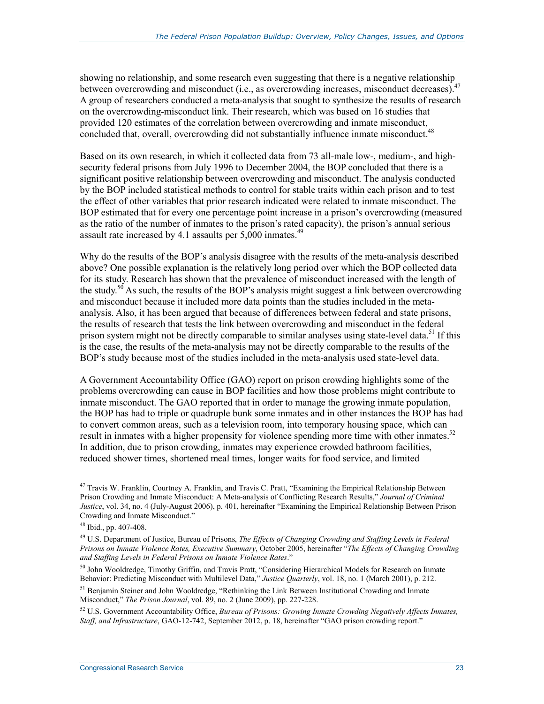showing no relationship, and some research even suggesting that there is a negative relationship between overcrowding and misconduct (i.e., as overcrowding increases, misconduct decreases).<sup>47</sup> A group of researchers conducted a meta-analysis that sought to synthesize the results of research on the overcrowding-misconduct link. Their research, which was based on 16 studies that provided 120 estimates of the correlation between overcrowding and inmate misconduct, concluded that, overall, overcrowding did not substantially influence inmate misconduct.<sup>48</sup>

Based on its own research, in which it collected data from 73 all-male low-, medium-, and highsecurity federal prisons from July 1996 to December 2004, the BOP concluded that there is a significant positive relationship between overcrowding and misconduct. The analysis conducted by the BOP included statistical methods to control for stable traits within each prison and to test the effect of other variables that prior research indicated were related to inmate misconduct. The BOP estimated that for every one percentage point increase in a prison's overcrowding (measured as the ratio of the number of inmates to the prison's rated capacity), the prison's annual serious assault rate increased by 4.1 assaults per  $5,000$  inmates.<sup>49</sup>

Why do the results of the BOP's analysis disagree with the results of the meta-analysis described above? One possible explanation is the relatively long period over which the BOP collected data for its study. Research has shown that the prevalence of misconduct increased with the length of the study.<sup>50</sup> As such, the results of the BOP's analysis might suggest a link between overcrowding and misconduct because it included more data points than the studies included in the metaanalysis. Also, it has been argued that because of differences between federal and state prisons, the results of research that tests the link between overcrowding and misconduct in the federal prison system might not be directly comparable to similar analyses using state-level data.<sup>51</sup> If this is the case, the results of the meta-analysis may not be directly comparable to the results of the BOP's study because most of the studies included in the meta-analysis used state-level data.

A Government Accountability Office (GAO) report on prison crowding highlights some of the problems overcrowding can cause in BOP facilities and how those problems might contribute to inmate misconduct. The GAO reported that in order to manage the growing inmate population, the BOP has had to triple or quadruple bunk some inmates and in other instances the BOP has had to convert common areas, such as a television room, into temporary housing space, which can result in inmates with a higher propensity for violence spending more time with other inmates.<sup>52</sup> In addition, due to prison crowding, inmates may experience crowded bathroom facilities, reduced shower times, shortened meal times, longer waits for food service, and limited

<u>.</u>

<sup>&</sup>lt;sup>47</sup> Travis W. Franklin, Courtney A. Franklin, and Travis C. Pratt, "Examining the Empirical Relationship Between Prison Crowding and Inmate Misconduct: A Meta-analysis of Conflicting Research Results," *Journal of Criminal Justice*, vol. 34, no. 4 (July-August 2006), p. 401, hereinafter "Examining the Empirical Relationship Between Prison Crowding and Inmate Misconduct."

<sup>48</sup> Ibid., pp. 407-408.

<sup>49</sup> U.S. Department of Justice, Bureau of Prisons, *The Effects of Changing Crowding and Staffing Levels in Federal Prisons on Inmate Violence Rates, Executive Summary*, October 2005, hereinafter "*The Effects of Changing Crowding and Staffing Levels in Federal Prisons on Inmate Violence Rates*."

<sup>50</sup> John Wooldredge, Timothy Griffin, and Travis Pratt, "Considering Hierarchical Models for Research on Inmate Behavior: Predicting Misconduct with Multilevel Data," *Justice Quarterly*, vol. 18, no. 1 (March 2001), p. 212.

<sup>&</sup>lt;sup>51</sup> Benjamin Steiner and John Wooldredge, "Rethinking the Link Between Institutional Crowding and Inmate Misconduct," *The Prison Journal*, vol. 89, no. 2 (June 2009), pp. 227-228.

<sup>52</sup> U.S. Government Accountability Office, *Bureau of Prisons: Growing Inmate Crowding Negatively Affects Inmates, Staff, and Infrastructure*, GAO-12-742, September 2012, p. 18, hereinafter "GAO prison crowding report."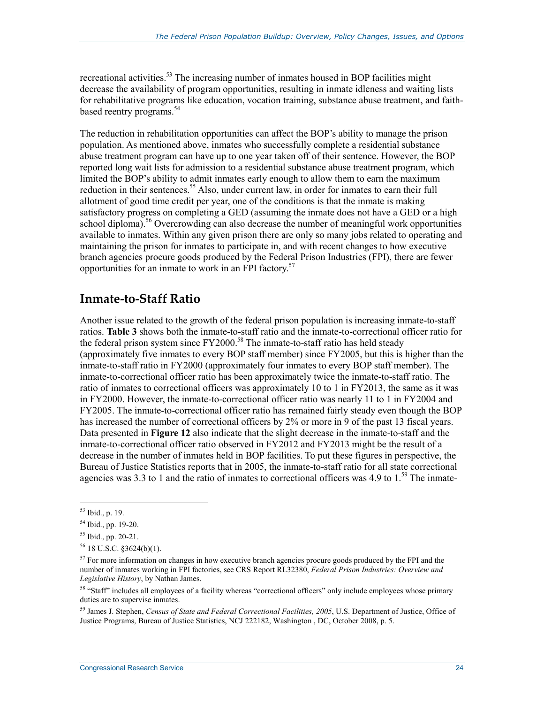recreational activities.<sup>53</sup> The increasing number of inmates housed in BOP facilities might decrease the availability of program opportunities, resulting in inmate idleness and waiting lists for rehabilitative programs like education, vocation training, substance abuse treatment, and faithbased reentry programs.<sup>54</sup>

The reduction in rehabilitation opportunities can affect the BOP's ability to manage the prison population. As mentioned above, inmates who successfully complete a residential substance abuse treatment program can have up to one year taken off of their sentence. However, the BOP reported long wait lists for admission to a residential substance abuse treatment program, which limited the BOP's ability to admit inmates early enough to allow them to earn the maximum reduction in their sentences.<sup>55</sup> Also, under current law, in order for inmates to earn their full allotment of good time credit per year, one of the conditions is that the inmate is making satisfactory progress on completing a GED (assuming the inmate does not have a GED or a high school diploma).<sup>56</sup> Overcrowding can also decrease the number of meaningful work opportunities available to inmates. Within any given prison there are only so many jobs related to operating and maintaining the prison for inmates to participate in, and with recent changes to how executive branch agencies procure goods produced by the Federal Prison Industries (FPI), there are fewer opportunities for an inmate to work in an FPI factory.<sup>57</sup>

### **Inmate-to-Staff Ratio**

Another issue related to the growth of the federal prison population is increasing inmate-to-staff ratios. **Table 3** shows both the inmate-to-staff ratio and the inmate-to-correctional officer ratio for the federal prison system since  $FY2000<sup>58</sup>$  The inmate-to-staff ratio has held steady (approximately five inmates to every BOP staff member) since FY2005, but this is higher than the inmate-to-staff ratio in FY2000 (approximately four inmates to every BOP staff member). The inmate-to-correctional officer ratio has been approximately twice the inmate-to-staff ratio. The ratio of inmates to correctional officers was approximately 10 to 1 in FY2013, the same as it was in FY2000. However, the inmate-to-correctional officer ratio was nearly 11 to 1 in FY2004 and FY2005. The inmate-to-correctional officer ratio has remained fairly steady even though the BOP has increased the number of correctional officers by 2% or more in 9 of the past 13 fiscal years. Data presented in **Figure 12** also indicate that the slight decrease in the inmate-to-staff and the inmate-to-correctional officer ratio observed in FY2012 and FY2013 might be the result of a decrease in the number of inmates held in BOP facilities. To put these figures in perspective, the Bureau of Justice Statistics reports that in 2005, the inmate-to-staff ratio for all state correctional agencies was 3.3 to 1 and the ratio of inmates to correctional officers was 4.9 to  $1.^{59}$ . The inmate-

<u>.</u>

59 James J. Stephen, *Census of State and Federal Correctional Facilities, 2005*, U.S. Department of Justice, Office of Justice Programs, Bureau of Justice Statistics, NCJ 222182, Washington , DC, October 2008, p. 5.

<sup>53</sup> Ibid., p. 19.

<sup>54</sup> Ibid., pp. 19-20.

<sup>55</sup> Ibid., pp. 20-21.

 $56$  18 U.S.C. §3624(b)(1).

<sup>&</sup>lt;sup>57</sup> For more information on changes in how executive branch agencies procure goods produced by the FPI and the number of inmates working in FPI factories, see CRS Report RL32380, *Federal Prison Industries: Overview and Legislative History*, by Nathan James.

<sup>&</sup>lt;sup>58</sup> "Staff" includes all employees of a facility whereas "correctional officers" only include employees whose primary duties are to supervise inmates.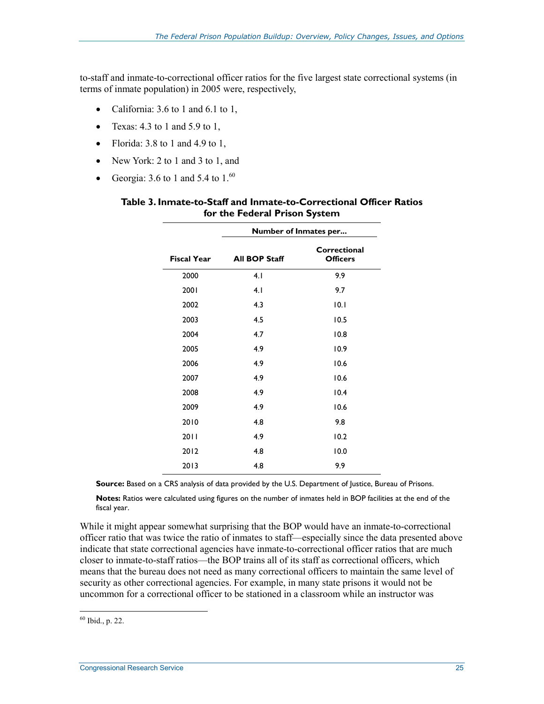to-staff and inmate-to-correctional officer ratios for the five largest state correctional systems (in terms of inmate population) in 2005 were, respectively,

- California: 3.6 to 1 and 6.1 to 1,
- Texas:  $4.3$  to 1 and  $5.9$  to 1,
- Florida:  $3.8$  to 1 and  $4.9$  to 1,
- New York: 2 to 1 and 3 to 1, and
- Georgia: 3.6 to 1 and 5.4 to  $1.^{60}$

|                    | Number of Inmates per |                                 |  |  |  |
|--------------------|-----------------------|---------------------------------|--|--|--|
| <b>Fiscal Year</b> | <b>All BOP Staff</b>  | Correctional<br><b>Officers</b> |  |  |  |
| 2000               | 4.1                   | 9.9                             |  |  |  |
| 2001               | 4.1                   | 9.7                             |  |  |  |
| 2002               | 4.3                   | 10.1                            |  |  |  |
| 2003               | 4.5                   | 10.5                            |  |  |  |
| 2004               | 4.7                   | 10.8                            |  |  |  |
| 2005               | 4.9                   | 10.9                            |  |  |  |
| 2006               | 4.9                   | 10.6                            |  |  |  |
| 2007               | 4.9                   | 10.6                            |  |  |  |
| 2008               | 4.9                   | 10.4                            |  |  |  |
| 2009               | 4.9                   | 10.6                            |  |  |  |
| 2010               | 4.8                   | 9.8                             |  |  |  |
| 2011               | 4.9                   | 10.2                            |  |  |  |
| 2012               | 4.8                   | 10.0                            |  |  |  |
| 2013               | 4.8                   | 9.9                             |  |  |  |

#### **Table 3. Inmate-to-Staff and Inmate-to-Correctional Officer Ratios for the Federal Prison System**

**Source:** Based on a CRS analysis of data provided by the U.S. Department of Justice, Bureau of Prisons.

**Notes:** Ratios were calculated using figures on the number of inmates held in BOP facilities at the end of the fiscal year.

While it might appear somewhat surprising that the BOP would have an inmate-to-correctional officer ratio that was twice the ratio of inmates to staff—especially since the data presented above indicate that state correctional agencies have inmate-to-correctional officer ratios that are much closer to inmate-to-staff ratios—the BOP trains all of its staff as correctional officers, which means that the bureau does not need as many correctional officers to maintain the same level of security as other correctional agencies. For example, in many state prisons it would not be uncommon for a correctional officer to be stationed in a classroom while an instructor was

<sup>&</sup>lt;u>.</u>  $60$  Ibid., p. 22.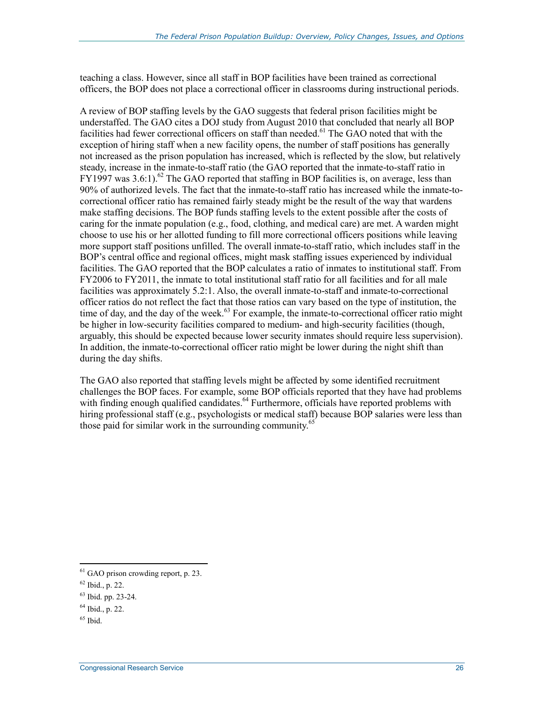teaching a class. However, since all staff in BOP facilities have been trained as correctional officers, the BOP does not place a correctional officer in classrooms during instructional periods.

A review of BOP staffing levels by the GAO suggests that federal prison facilities might be understaffed. The GAO cites a DOJ study from August 2010 that concluded that nearly all BOP facilities had fewer correctional officers on staff than needed.<sup>61</sup> The GAO noted that with the exception of hiring staff when a new facility opens, the number of staff positions has generally not increased as the prison population has increased, which is reflected by the slow, but relatively steady, increase in the inmate-to-staff ratio (the GAO reported that the inmate-to-staff ratio in  $FY1997$  was 3.6:1).<sup>62</sup> The GAO reported that staffing in BOP facilities is, on average, less than 90% of authorized levels. The fact that the inmate-to-staff ratio has increased while the inmate-tocorrectional officer ratio has remained fairly steady might be the result of the way that wardens make staffing decisions. The BOP funds staffing levels to the extent possible after the costs of caring for the inmate population (e.g., food, clothing, and medical care) are met. A warden might choose to use his or her allotted funding to fill more correctional officers positions while leaving more support staff positions unfilled. The overall inmate-to-staff ratio, which includes staff in the BOP's central office and regional offices, might mask staffing issues experienced by individual facilities. The GAO reported that the BOP calculates a ratio of inmates to institutional staff. From FY2006 to FY2011, the inmate to total institutional staff ratio for all facilities and for all male facilities was approximately 5.2:1. Also, the overall inmate-to-staff and inmate-to-correctional officer ratios do not reflect the fact that those ratios can vary based on the type of institution, the time of day, and the day of the week. $63$  For example, the inmate-to-correctional officer ratio might be higher in low-security facilities compared to medium- and high-security facilities (though, arguably, this should be expected because lower security inmates should require less supervision). In addition, the inmate-to-correctional officer ratio might be lower during the night shift than during the day shifts.

The GAO also reported that staffing levels might be affected by some identified recruitment challenges the BOP faces. For example, some BOP officials reported that they have had problems with finding enough qualified candidates.<sup>64</sup> Furthermore, officials have reported problems with hiring professional staff (e.g., psychologists or medical staff) because BOP salaries were less than those paid for similar work in the surrounding community.<sup>65</sup>

<sup>&</sup>lt;sup>61</sup> GAO prison crowding report, p. 23.

 $62$  Ibid., p. 22.

<sup>63</sup> Ibid. pp. 23-24.

 $64$  Ibid., p. 22.

 $65$  Ibid.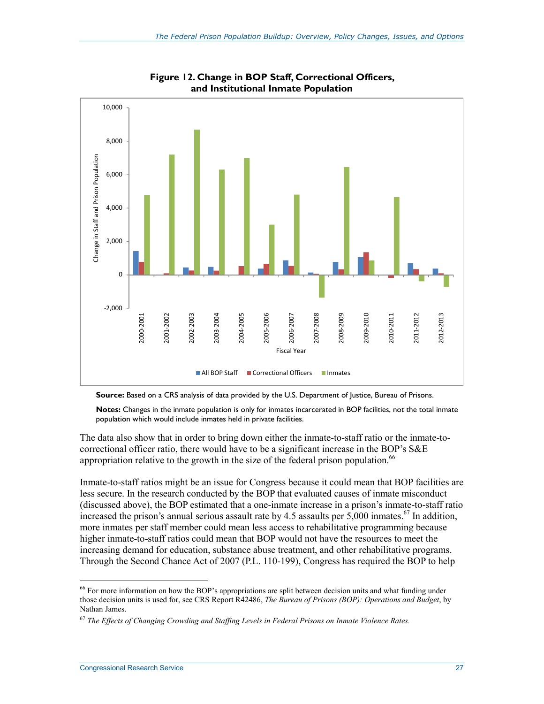

**Figure 12. Change in BOP Staff, Correctional Officers, and Institutional Inmate Population** 

**Source:** Based on a CRS analysis of data provided by the U.S. Department of Justice, Bureau of Prisons.

**Notes:** Changes in the inmate population is only for inmates incarcerated in BOP facilities, not the total inmate population which would include inmates held in private facilities.

The data also show that in order to bring down either the inmate-to-staff ratio or the inmate-tocorrectional officer ratio, there would have to be a significant increase in the BOP's S&E appropriation relative to the growth in the size of the federal prison population.<sup>66</sup>

Inmate-to-staff ratios might be an issue for Congress because it could mean that BOP facilities are less secure. In the research conducted by the BOP that evaluated causes of inmate misconduct (discussed above), the BOP estimated that a one-inmate increase in a prison's inmate-to-staff ratio increased the prison's annual serious assault rate by 4.5 assaults per  $5,000$  inmates.<sup>67</sup> In addition, more inmates per staff member could mean less access to rehabilitative programming because higher inmate-to-staff ratios could mean that BOP would not have the resources to meet the increasing demand for education, substance abuse treatment, and other rehabilitative programs. Through the Second Chance Act of 2007 (P.L. 110-199), Congress has required the BOP to help

<sup>&</sup>lt;sup>66</sup> For more information on how the BOP's appropriations are split between decision units and what funding under those decision units is used for, see CRS Report R42486, *The Bureau of Prisons (BOP): Operations and Budget*, by Nathan James.

<sup>67</sup> *The Effects of Changing Crowding and Staffing Levels in Federal Prisons on Inmate Violence Rates.*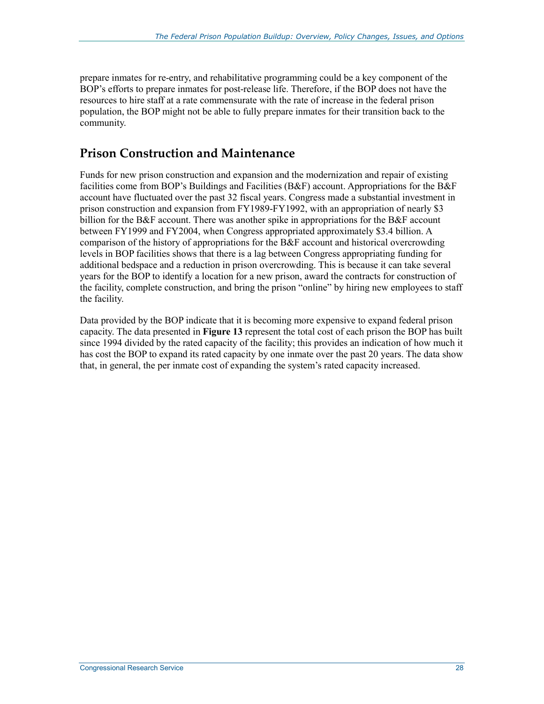prepare inmates for re-entry, and rehabilitative programming could be a key component of the BOP's efforts to prepare inmates for post-release life. Therefore, if the BOP does not have the resources to hire staff at a rate commensurate with the rate of increase in the federal prison population, the BOP might not be able to fully prepare inmates for their transition back to the community.

### **Prison Construction and Maintenance**

Funds for new prison construction and expansion and the modernization and repair of existing facilities come from BOP's Buildings and Facilities (B&F) account. Appropriations for the B&F account have fluctuated over the past 32 fiscal years. Congress made a substantial investment in prison construction and expansion from FY1989-FY1992, with an appropriation of nearly \$3 billion for the B&F account. There was another spike in appropriations for the B&F account between FY1999 and FY2004, when Congress appropriated approximately \$3.4 billion. A comparison of the history of appropriations for the B&F account and historical overcrowding levels in BOP facilities shows that there is a lag between Congress appropriating funding for additional bedspace and a reduction in prison overcrowding. This is because it can take several years for the BOP to identify a location for a new prison, award the contracts for construction of the facility, complete construction, and bring the prison "online" by hiring new employees to staff the facility.

Data provided by the BOP indicate that it is becoming more expensive to expand federal prison capacity. The data presented in **Figure 13** represent the total cost of each prison the BOP has built since 1994 divided by the rated capacity of the facility; this provides an indication of how much it has cost the BOP to expand its rated capacity by one inmate over the past 20 years. The data show that, in general, the per inmate cost of expanding the system's rated capacity increased.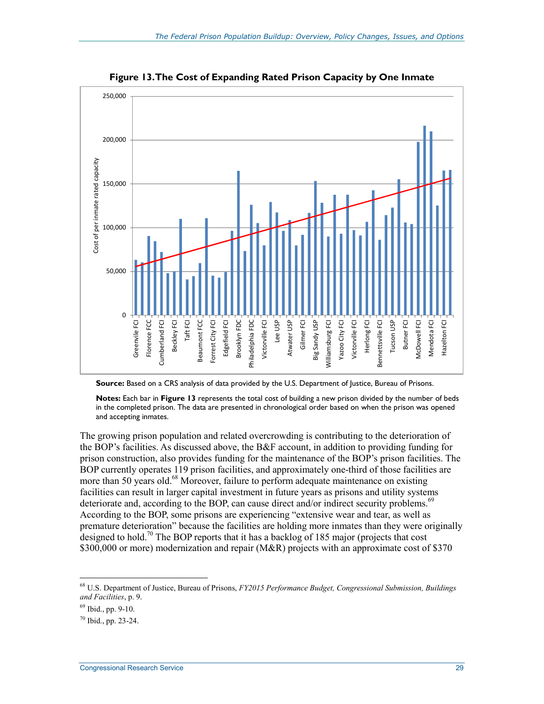

**Figure 13. The Cost of Expanding Rated Prison Capacity by One Inmate** 

**Source:** Based on a CRS analysis of data provided by the U.S. Department of Justice, Bureau of Prisons.

**Notes:** Each bar in **Figure 13** represents the total cost of building a new prison divided by the number of beds in the completed prison. The data are presented in chronological order based on when the prison was opened and accepting inmates.

The growing prison population and related overcrowding is contributing to the deterioration of the BOP's facilities. As discussed above, the B&F account, in addition to providing funding for prison construction, also provides funding for the maintenance of the BOP's prison facilities. The BOP currently operates 119 prison facilities, and approximately one-third of those facilities are more than 50 years old.<sup>68</sup> Moreover, failure to perform adequate maintenance on existing facilities can result in larger capital investment in future years as prisons and utility systems deteriorate and, according to the BOP, can cause direct and/or indirect security problems.<sup>69</sup> According to the BOP, some prisons are experiencing "extensive wear and tear, as well as premature deterioration" because the facilities are holding more inmates than they were originally designed to hold.<sup>70</sup> The BOP reports that it has a backlog of 185 major (projects that cost \$300,000 or more) modernization and repair (M&R) projects with an approximate cost of \$370

<sup>68</sup> U.S. Department of Justice, Bureau of Prisons, *FY2015 Performance Budget, Congressional Submission, Buildings and Facilities*, p. 9.

 $69$  Ibid., pp. 9-10.

<sup>70</sup> Ibid., pp. 23-24.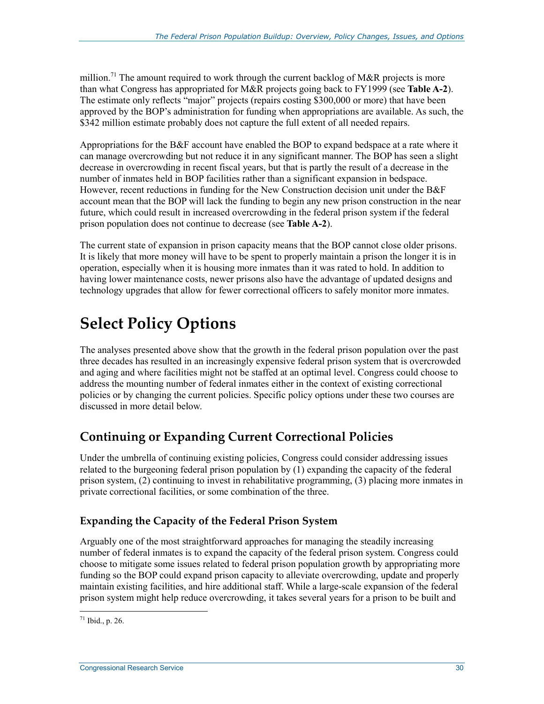million.<sup>71</sup> The amount required to work through the current backlog of M&R projects is more than what Congress has appropriated for M&R projects going back to FY1999 (see **Table A-2**). The estimate only reflects "major" projects (repairs costing \$300,000 or more) that have been approved by the BOP's administration for funding when appropriations are available. As such, the \$342 million estimate probably does not capture the full extent of all needed repairs.

Appropriations for the B&F account have enabled the BOP to expand bedspace at a rate where it can manage overcrowding but not reduce it in any significant manner. The BOP has seen a slight decrease in overcrowding in recent fiscal years, but that is partly the result of a decrease in the number of inmates held in BOP facilities rather than a significant expansion in bedspace. However, recent reductions in funding for the New Construction decision unit under the B&F account mean that the BOP will lack the funding to begin any new prison construction in the near future, which could result in increased overcrowding in the federal prison system if the federal prison population does not continue to decrease (see **Table A-2**).

The current state of expansion in prison capacity means that the BOP cannot close older prisons. It is likely that more money will have to be spent to properly maintain a prison the longer it is in operation, especially when it is housing more inmates than it was rated to hold. In addition to having lower maintenance costs, newer prisons also have the advantage of updated designs and technology upgrades that allow for fewer correctional officers to safely monitor more inmates.

## **Select Policy Options**

The analyses presented above show that the growth in the federal prison population over the past three decades has resulted in an increasingly expensive federal prison system that is overcrowded and aging and where facilities might not be staffed at an optimal level. Congress could choose to address the mounting number of federal inmates either in the context of existing correctional policies or by changing the current policies. Specific policy options under these two courses are discussed in more detail below.

### **Continuing or Expanding Current Correctional Policies**

Under the umbrella of continuing existing policies, Congress could consider addressing issues related to the burgeoning federal prison population by (1) expanding the capacity of the federal prison system, (2) continuing to invest in rehabilitative programming, (3) placing more inmates in private correctional facilities, or some combination of the three.

### **Expanding the Capacity of the Federal Prison System**

Arguably one of the most straightforward approaches for managing the steadily increasing number of federal inmates is to expand the capacity of the federal prison system. Congress could choose to mitigate some issues related to federal prison population growth by appropriating more funding so the BOP could expand prison capacity to alleviate overcrowding, update and properly maintain existing facilities, and hire additional staff. While a large-scale expansion of the federal prison system might help reduce overcrowding, it takes several years for a prison to be built and

<sup>&</sup>lt;u>.</u>  $71$  Ibid., p. 26.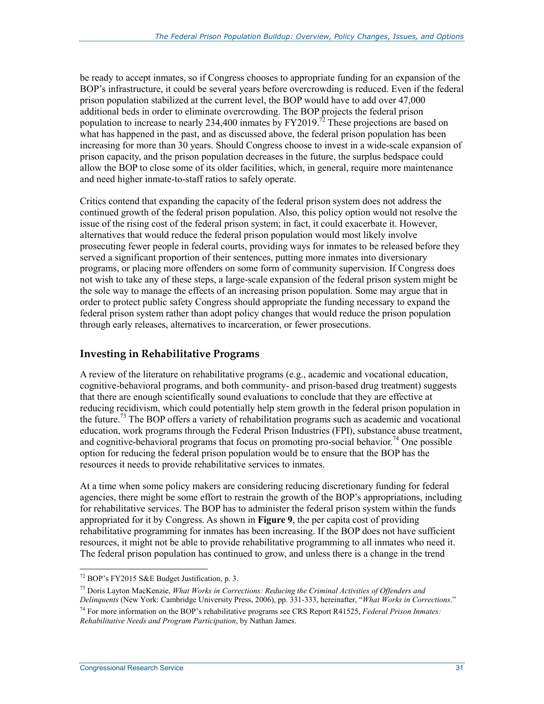be ready to accept inmates, so if Congress chooses to appropriate funding for an expansion of the BOP's infrastructure, it could be several years before overcrowding is reduced. Even if the federal prison population stabilized at the current level, the BOP would have to add over 47,000 additional beds in order to eliminate overcrowding. The BOP projects the federal prison population to increase to nearly  $234,400$  inmates by  $\text{FY2019}^{\frac{7}{2}}$ . These projections are based on what has happened in the past, and as discussed above, the federal prison population has been increasing for more than 30 years. Should Congress choose to invest in a wide-scale expansion of prison capacity, and the prison population decreases in the future, the surplus bedspace could allow the BOP to close some of its older facilities, which, in general, require more maintenance and need higher inmate-to-staff ratios to safely operate.

Critics contend that expanding the capacity of the federal prison system does not address the continued growth of the federal prison population. Also, this policy option would not resolve the issue of the rising cost of the federal prison system; in fact, it could exacerbate it. However, alternatives that would reduce the federal prison population would most likely involve prosecuting fewer people in federal courts, providing ways for inmates to be released before they served a significant proportion of their sentences, putting more inmates into diversionary programs, or placing more offenders on some form of community supervision. If Congress does not wish to take any of these steps, a large-scale expansion of the federal prison system might be the sole way to manage the effects of an increasing prison population. Some may argue that in order to protect public safety Congress should appropriate the funding necessary to expand the federal prison system rather than adopt policy changes that would reduce the prison population through early releases, alternatives to incarceration, or fewer prosecutions.

#### **Investing in Rehabilitative Programs**

A review of the literature on rehabilitative programs (e.g., academic and vocational education, cognitive-behavioral programs, and both community- and prison-based drug treatment) suggests that there are enough scientifically sound evaluations to conclude that they are effective at reducing recidivism, which could potentially help stem growth in the federal prison population in the future.73 The BOP offers a variety of rehabilitation programs such as academic and vocational education, work programs through the Federal Prison Industries (FPI), substance abuse treatment, and cognitive-behavioral programs that focus on promoting pro-social behavior.<sup>74</sup> One possible option for reducing the federal prison population would be to ensure that the BOP has the resources it needs to provide rehabilitative services to inmates.

At a time when some policy makers are considering reducing discretionary funding for federal agencies, there might be some effort to restrain the growth of the BOP's appropriations, including for rehabilitative services. The BOP has to administer the federal prison system within the funds appropriated for it by Congress. As shown in **Figure 9**, the per capita cost of providing rehabilitative programming for inmates has been increasing. If the BOP does not have sufficient resources, it might not be able to provide rehabilitative programming to all inmates who need it. The federal prison population has continued to grow, and unless there is a change in the trend

<sup>72</sup> BOP's FY2015 S&E Budget Justification, p. 3.

<sup>73</sup> Doris Layton MacKenzie, *What Works in Corrections: Reducing the Criminal Activities of Offenders and Delinquents* (New York: Cambridge University Press, 2006), pp. 331-333, hereinafter, "*What Works in Corrections*." 74 For more information on the BOP's rehabilitative programs see CRS Report R41525, *Federal Prison Inmates: Rehabilitative Needs and Program Participation*, by Nathan James.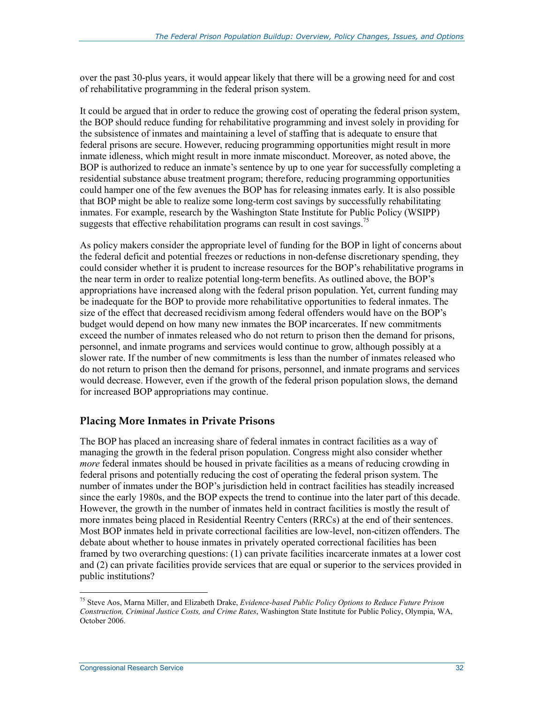over the past 30-plus years, it would appear likely that there will be a growing need for and cost of rehabilitative programming in the federal prison system.

It could be argued that in order to reduce the growing cost of operating the federal prison system, the BOP should reduce funding for rehabilitative programming and invest solely in providing for the subsistence of inmates and maintaining a level of staffing that is adequate to ensure that federal prisons are secure. However, reducing programming opportunities might result in more inmate idleness, which might result in more inmate misconduct. Moreover, as noted above, the BOP is authorized to reduce an inmate's sentence by up to one year for successfully completing a residential substance abuse treatment program; therefore, reducing programming opportunities could hamper one of the few avenues the BOP has for releasing inmates early. It is also possible that BOP might be able to realize some long-term cost savings by successfully rehabilitating inmates. For example, research by the Washington State Institute for Public Policy (WSIPP) suggests that effective rehabilitation programs can result in cost savings.<sup>75</sup>

As policy makers consider the appropriate level of funding for the BOP in light of concerns about the federal deficit and potential freezes or reductions in non-defense discretionary spending, they could consider whether it is prudent to increase resources for the BOP's rehabilitative programs in the near term in order to realize potential long-term benefits. As outlined above, the BOP's appropriations have increased along with the federal prison population. Yet, current funding may be inadequate for the BOP to provide more rehabilitative opportunities to federal inmates. The size of the effect that decreased recidivism among federal offenders would have on the BOP's budget would depend on how many new inmates the BOP incarcerates. If new commitments exceed the number of inmates released who do not return to prison then the demand for prisons, personnel, and inmate programs and services would continue to grow, although possibly at a slower rate. If the number of new commitments is less than the number of inmates released who do not return to prison then the demand for prisons, personnel, and inmate programs and services would decrease. However, even if the growth of the federal prison population slows, the demand for increased BOP appropriations may continue.

#### **Placing More Inmates in Private Prisons**

The BOP has placed an increasing share of federal inmates in contract facilities as a way of managing the growth in the federal prison population. Congress might also consider whether *more* federal inmates should be housed in private facilities as a means of reducing crowding in federal prisons and potentially reducing the cost of operating the federal prison system. The number of inmates under the BOP's jurisdiction held in contract facilities has steadily increased since the early 1980s, and the BOP expects the trend to continue into the later part of this decade. However, the growth in the number of inmates held in contract facilities is mostly the result of more inmates being placed in Residential Reentry Centers (RRCs) at the end of their sentences. Most BOP inmates held in private correctional facilities are low-level, non-citizen offenders. The debate about whether to house inmates in privately operated correctional facilities has been framed by two overarching questions: (1) can private facilities incarcerate inmates at a lower cost and (2) can private facilities provide services that are equal or superior to the services provided in public institutions?

<sup>75</sup> Steve Aos, Marna Miller, and Elizabeth Drake, *Evidence-based Public Policy Options to Reduce Future Prison Construction, Criminal Justice Costs, and Crime Rates*, Washington State Institute for Public Policy, Olympia, WA, October 2006.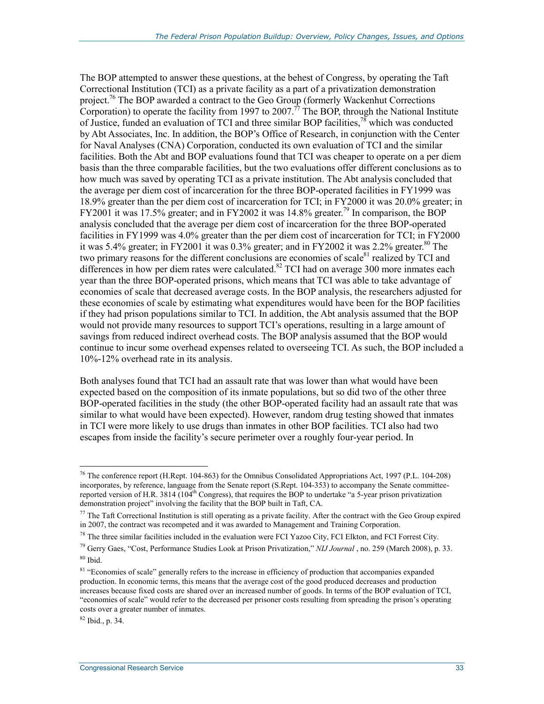The BOP attempted to answer these questions, at the behest of Congress, by operating the Taft Correctional Institution (TCI) as a private facility as a part of a privatization demonstration project.76 The BOP awarded a contract to the Geo Group (formerly Wackenhut Corrections Corporation) to operate the facility from 1997 to 2007.<sup>77</sup> The BOP, through the National Institute of Justice, funded an evaluation of TCI and three similar BOP facilities,<sup>78</sup> which was conducted by Abt Associates, Inc. In addition, the BOP's Office of Research, in conjunction with the Center for Naval Analyses (CNA) Corporation, conducted its own evaluation of TCI and the similar facilities. Both the Abt and BOP evaluations found that TCI was cheaper to operate on a per diem basis than the three comparable facilities, but the two evaluations offer different conclusions as to how much was saved by operating TCI as a private institution. The Abt analysis concluded that the average per diem cost of incarceration for the three BOP-operated facilities in FY1999 was 18.9% greater than the per diem cost of incarceration for TCI; in FY2000 it was 20.0% greater; in FY2001 it was 17.5% greater; and in FY2002 it was 14.8% greater.<sup>79</sup> In comparison, the BOP analysis concluded that the average per diem cost of incarceration for the three BOP-operated facilities in FY1999 was 4.0% greater than the per diem cost of incarceration for TCI; in FY2000 it was 5.4% greater; in FY2001 it was 0.3% greater; and in FY2002 it was 2.2% greater.<sup>80</sup> The two primary reasons for the different conclusions are economies of scale $81$  realized by TCI and differences in how per diem rates were calculated.<sup>82</sup> TCI had on average 300 more inmates each year than the three BOP-operated prisons, which means that TCI was able to take advantage of economies of scale that decreased average costs. In the BOP analysis, the researchers adjusted for these economies of scale by estimating what expenditures would have been for the BOP facilities if they had prison populations similar to TCI. In addition, the Abt analysis assumed that the BOP would not provide many resources to support TCI's operations, resulting in a large amount of savings from reduced indirect overhead costs. The BOP analysis assumed that the BOP would continue to incur some overhead expenses related to overseeing TCI. As such, the BOP included a 10%-12% overhead rate in its analysis.

Both analyses found that TCI had an assault rate that was lower than what would have been expected based on the composition of its inmate populations, but so did two of the other three BOP-operated facilities in the study (the other BOP-operated facility had an assault rate that was similar to what would have been expected). However, random drug testing showed that inmates in TCI were more likely to use drugs than inmates in other BOP facilities. TCI also had two escapes from inside the facility's secure perimeter over a roughly four-year period. In

 $82$  Ibid., p. 34.

<sup>1</sup> <sup>76</sup> The conference report (H.Rept. 104-863) for the Omnibus Consolidated Appropriations Act, 1997 (P.L. 104-208) incorporates, by reference, language from the Senate report (S.Rept. 104-353) to accompany the Senate committeereported version of H.R. 3814 (104<sup>th</sup> Congress), that requires the BOP to undertake "a 5-year prison privatization demonstration project" involving the facility that the BOP built in Taft, CA.

 $77$  The Taft Correctional Institution is still operating as a private facility. After the contract with the Geo Group expired in 2007, the contract was recompeted and it was awarded to Management and Training Corporation.

 $^{78}$  The three similar facilities included in the evaluation were FCI Yazoo City, FCI Elkton, and FCI Forrest City.

<sup>79</sup> Gerry Gaes, "Cost, Performance Studies Look at Prison Privatization," *NIJ Journal* , no. 259 (March 2008), p. 33.  $80$  Ibid.

<sup>&</sup>lt;sup>81</sup> "Economies of scale" generally refers to the increase in efficiency of production that accompanies expanded production. In economic terms, this means that the average cost of the good produced decreases and production increases because fixed costs are shared over an increased number of goods. In terms of the BOP evaluation of TCI, "economies of scale" would refer to the decreased per prisoner costs resulting from spreading the prison's operating costs over a greater number of inmates.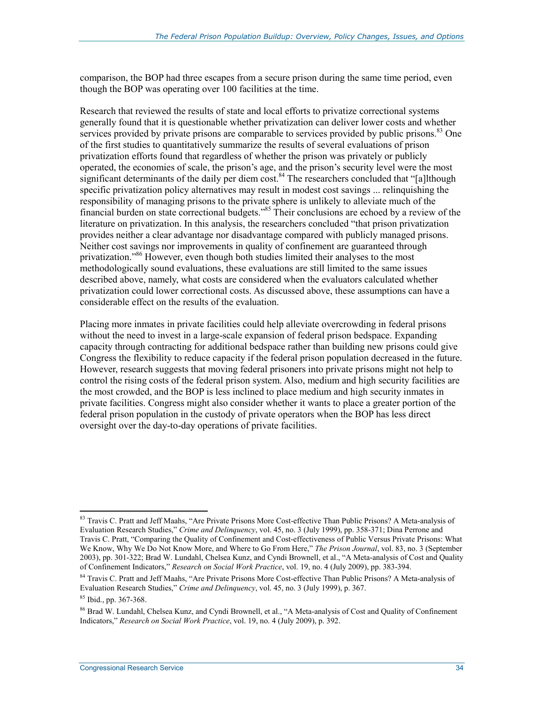comparison, the BOP had three escapes from a secure prison during the same time period, even though the BOP was operating over 100 facilities at the time.

Research that reviewed the results of state and local efforts to privatize correctional systems generally found that it is questionable whether privatization can deliver lower costs and whether services provided by private prisons are comparable to services provided by public prisons.<sup>83</sup> One of the first studies to quantitatively summarize the results of several evaluations of prison privatization efforts found that regardless of whether the prison was privately or publicly operated, the economies of scale, the prison's age, and the prison's security level were the most significant determinants of the daily per diem cost.<sup>84</sup> The researchers concluded that "[a]lthough specific privatization policy alternatives may result in modest cost savings ... relinquishing the responsibility of managing prisons to the private sphere is unlikely to alleviate much of the financial burden on state correctional budgets."85 Their conclusions are echoed by a review of the literature on privatization. In this analysis, the researchers concluded "that prison privatization provides neither a clear advantage nor disadvantage compared with publicly managed prisons. Neither cost savings nor improvements in quality of confinement are guaranteed through privatization."86 However, even though both studies limited their analyses to the most methodologically sound evaluations, these evaluations are still limited to the same issues described above, namely, what costs are considered when the evaluators calculated whether privatization could lower correctional costs. As discussed above, these assumptions can have a considerable effect on the results of the evaluation.

Placing more inmates in private facilities could help alleviate overcrowding in federal prisons without the need to invest in a large-scale expansion of federal prison bedspace. Expanding capacity through contracting for additional bedspace rather than building new prisons could give Congress the flexibility to reduce capacity if the federal prison population decreased in the future. However, research suggests that moving federal prisoners into private prisons might not help to control the rising costs of the federal prison system. Also, medium and high security facilities are the most crowded, and the BOP is less inclined to place medium and high security inmates in private facilities. Congress might also consider whether it wants to place a greater portion of the federal prison population in the custody of private operators when the BOP has less direct oversight over the day-to-day operations of private facilities.

<sup>&</sup>lt;u>.</u> <sup>83</sup> Travis C. Pratt and Jeff Maahs, "Are Private Prisons More Cost-effective Than Public Prisons? A Meta-analysis of Evaluation Research Studies," *Crime and Delinquency*, vol. 45, no. 3 (July 1999), pp. 358-371; Dina Perrone and Travis C. Pratt, "Comparing the Quality of Confinement and Cost-effectiveness of Public Versus Private Prisons: What We Know, Why We Do Not Know More, and Where to Go From Here," *The Prison Journal*, vol. 83, no. 3 (September 2003), pp. 301-322; Brad W. Lundahl, Chelsea Kunz, and Cyndi Brownell, et al., "A Meta-analysis of Cost and Quality of Confinement Indicators," *Research on Social Work Practice*, vol. 19, no. 4 (July 2009), pp. 383-394.

<sup>84</sup> Travis C. Pratt and Jeff Maahs, "Are Private Prisons More Cost-effective Than Public Prisons? A Meta-analysis of Evaluation Research Studies," *Crime and Delinquency*, vol. 45, no. 3 (July 1999), p. 367.

<sup>85</sup> Ibid., pp. 367-368.

<sup>&</sup>lt;sup>86</sup> Brad W. Lundahl, Chelsea Kunz, and Cyndi Brownell, et al., "A Meta-analysis of Cost and Quality of Confinement Indicators," *Research on Social Work Practice*, vol. 19, no. 4 (July 2009), p. 392.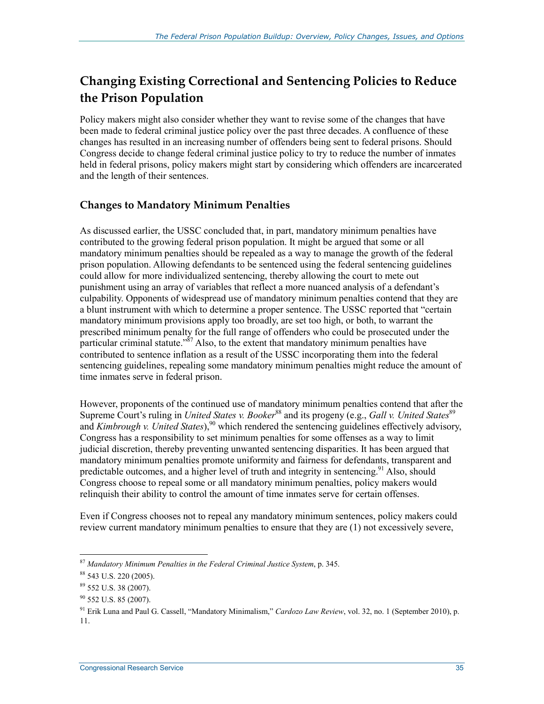### **Changing Existing Correctional and Sentencing Policies to Reduce the Prison Population**

Policy makers might also consider whether they want to revise some of the changes that have been made to federal criminal justice policy over the past three decades. A confluence of these changes has resulted in an increasing number of offenders being sent to federal prisons. Should Congress decide to change federal criminal justice policy to try to reduce the number of inmates held in federal prisons, policy makers might start by considering which offenders are incarcerated and the length of their sentences.

### **Changes to Mandatory Minimum Penalties**

As discussed earlier, the USSC concluded that, in part, mandatory minimum penalties have contributed to the growing federal prison population. It might be argued that some or all mandatory minimum penalties should be repealed as a way to manage the growth of the federal prison population. Allowing defendants to be sentenced using the federal sentencing guidelines could allow for more individualized sentencing, thereby allowing the court to mete out punishment using an array of variables that reflect a more nuanced analysis of a defendant's culpability. Opponents of widespread use of mandatory minimum penalties contend that they are a blunt instrument with which to determine a proper sentence. The USSC reported that "certain mandatory minimum provisions apply too broadly, are set too high, or both, to warrant the prescribed minimum penalty for the full range of offenders who could be prosecuted under the particular criminal statute." $\frac{357}{8}$  Also, to the extent that mandatory minimum penalties have contributed to sentence inflation as a result of the USSC incorporating them into the federal sentencing guidelines, repealing some mandatory minimum penalties might reduce the amount of time inmates serve in federal prison.

However, proponents of the continued use of mandatory minimum penalties contend that after the Supreme Court's ruling in *United States v. Booker*<sup>88</sup> and its progeny (e.g., *Gall v. United States*<sup>89</sup> and *Kimbrough v. United States*),<sup>90</sup> which rendered the sentencing guidelines effectively advisory, Congress has a responsibility to set minimum penalties for some offenses as a way to limit judicial discretion, thereby preventing unwanted sentencing disparities. It has been argued that mandatory minimum penalties promote uniformity and fairness for defendants, transparent and predictable outcomes, and a higher level of truth and integrity in sentencing.<sup>91</sup> Also, should Congress choose to repeal some or all mandatory minimum penalties, policy makers would relinquish their ability to control the amount of time inmates serve for certain offenses.

Even if Congress chooses not to repeal any mandatory minimum sentences, policy makers could review current mandatory minimum penalties to ensure that they are (1) not excessively severe,

<sup>1</sup> <sup>87</sup> *Mandatory Minimum Penalties in the Federal Criminal Justice System*, p. 345.

<sup>88 543</sup> U.S. 220 (2005).

<sup>89 552</sup> U.S. 38 (2007).

<sup>90 552</sup> U.S. 85 (2007).

<sup>91</sup> Erik Luna and Paul G. Cassell, "Mandatory Minimalism," *Cardozo Law Review*, vol. 32, no. 1 (September 2010), p. 11.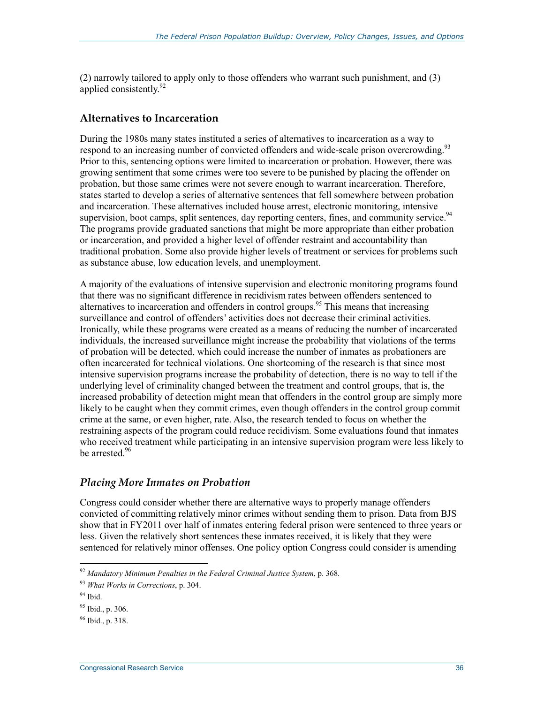(2) narrowly tailored to apply only to those offenders who warrant such punishment, and (3) applied consistently.<sup>92</sup>

#### **Alternatives to Incarceration**

During the 1980s many states instituted a series of alternatives to incarceration as a way to respond to an increasing number of convicted offenders and wide-scale prison overcrowding.<sup>93</sup> Prior to this, sentencing options were limited to incarceration or probation. However, there was growing sentiment that some crimes were too severe to be punished by placing the offender on probation, but those same crimes were not severe enough to warrant incarceration. Therefore, states started to develop a series of alternative sentences that fell somewhere between probation and incarceration. These alternatives included house arrest, electronic monitoring, intensive supervision, boot camps, split sentences, day reporting centers, fines, and community service.<sup>94</sup> The programs provide graduated sanctions that might be more appropriate than either probation or incarceration, and provided a higher level of offender restraint and accountability than traditional probation. Some also provide higher levels of treatment or services for problems such as substance abuse, low education levels, and unemployment.

A majority of the evaluations of intensive supervision and electronic monitoring programs found that there was no significant difference in recidivism rates between offenders sentenced to alternatives to incarceration and offenders in control groups.<sup>95</sup> This means that increasing surveillance and control of offenders' activities does not decrease their criminal activities. Ironically, while these programs were created as a means of reducing the number of incarcerated individuals, the increased surveillance might increase the probability that violations of the terms of probation will be detected, which could increase the number of inmates as probationers are often incarcerated for technical violations. One shortcoming of the research is that since most intensive supervision programs increase the probability of detection, there is no way to tell if the underlying level of criminality changed between the treatment and control groups, that is, the increased probability of detection might mean that offenders in the control group are simply more likely to be caught when they commit crimes, even though offenders in the control group commit crime at the same, or even higher, rate. Also, the research tended to focus on whether the restraining aspects of the program could reduce recidivism. Some evaluations found that inmates who received treatment while participating in an intensive supervision program were less likely to be arrested.<sup>96</sup>

#### *Placing More Inmates on Probation*

Congress could consider whether there are alternative ways to properly manage offenders convicted of committing relatively minor crimes without sending them to prison. Data from BJS show that in FY2011 over half of inmates entering federal prison were sentenced to three years or less. Given the relatively short sentences these inmates received, it is likely that they were sentenced for relatively minor offenses. One policy option Congress could consider is amending

<sup>92</sup> *Mandatory Minimum Penalties in the Federal Criminal Justice System*, p. 368.

<sup>93</sup> *What Works in Corrections*, p. 304.

<sup>94</sup> Ibid.

 $95$  Ibid., p. 306.

<sup>96</sup> Ibid., p. 318.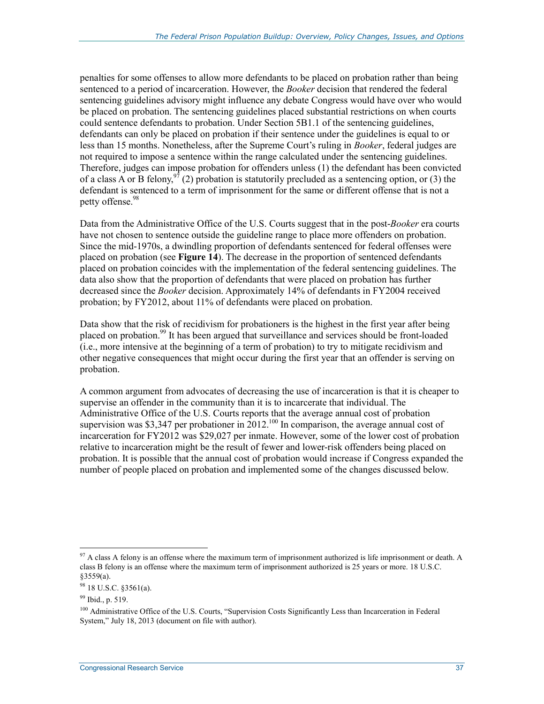penalties for some offenses to allow more defendants to be placed on probation rather than being sentenced to a period of incarceration. However, the *Booker* decision that rendered the federal sentencing guidelines advisory might influence any debate Congress would have over who would be placed on probation. The sentencing guidelines placed substantial restrictions on when courts could sentence defendants to probation. Under Section 5B1.1 of the sentencing guidelines, defendants can only be placed on probation if their sentence under the guidelines is equal to or less than 15 months. Nonetheless, after the Supreme Court's ruling in *Booker*, federal judges are not required to impose a sentence within the range calculated under the sentencing guidelines. Therefore, judges can impose probation for offenders unless (1) the defendant has been convicted of a class A or B felony,  $\frac{97}{2}$  (2) probation is statutorily precluded as a sentencing option, or (3) the defendant is sentenced to a term of imprisonment for the same or different offense that is not a petty offense.<sup>98</sup>

Data from the Administrative Office of the U.S. Courts suggest that in the post-*Booker* era courts have not chosen to sentence outside the guideline range to place more offenders on probation. Since the mid-1970s, a dwindling proportion of defendants sentenced for federal offenses were placed on probation (see **Figure 14**). The decrease in the proportion of sentenced defendants placed on probation coincides with the implementation of the federal sentencing guidelines. The data also show that the proportion of defendants that were placed on probation has further decreased since the *Booker* decision. Approximately 14% of defendants in FY2004 received probation; by FY2012, about 11% of defendants were placed on probation.

Data show that the risk of recidivism for probationers is the highest in the first year after being placed on probation.<sup>99</sup> It has been argued that surveillance and services should be front-loaded (i.e., more intensive at the beginning of a term of probation) to try to mitigate recidivism and other negative consequences that might occur during the first year that an offender is serving on probation.

A common argument from advocates of decreasing the use of incarceration is that it is cheaper to supervise an offender in the community than it is to incarcerate that individual. The Administrative Office of the U.S. Courts reports that the average annual cost of probation supervision was \$3,347 per probationer in  $2012^{100}$  In comparison, the average annual cost of incarceration for FY2012 was \$29,027 per inmate. However, some of the lower cost of probation relative to incarceration might be the result of fewer and lower-risk offenders being placed on probation. It is possible that the annual cost of probation would increase if Congress expanded the number of people placed on probation and implemented some of the changes discussed below.

<sup>1</sup>  $97$  A class A felony is an offense where the maximum term of imprisonment authorized is life imprisonment or death. A class B felony is an offense where the maximum term of imprisonment authorized is 25 years or more. 18 U.S.C. §3559(a).

<sup>98 18</sup> U.S.C. §3561(a).

<sup>&</sup>lt;sup>99</sup> Ibid., p. 519.

<sup>&</sup>lt;sup>100</sup> Administrative Office of the U.S. Courts, "Supervision Costs Significantly Less than Incarceration in Federal System," July 18, 2013 (document on file with author).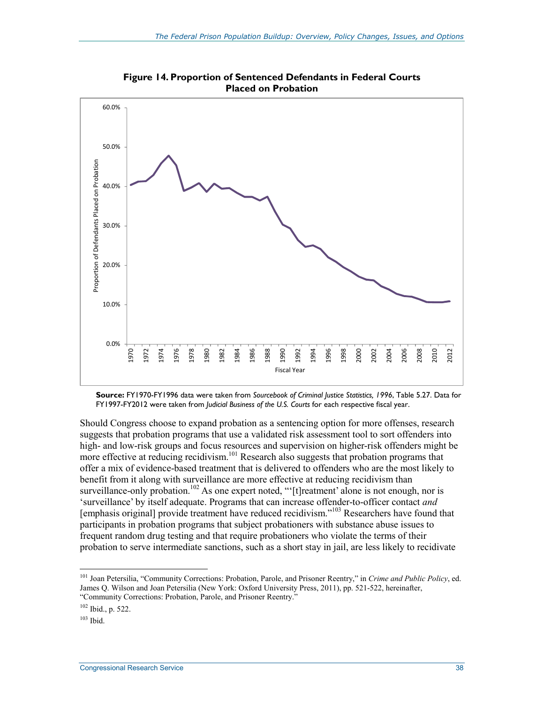

**Figure 14. Proportion of Sentenced Defendants in Federal Courts Placed on Probation** 

**Source:** FY1970-FY1996 data were taken from *Sourcebook of Criminal Justice Statistics, 1996*, Table 5.27. Data for FY1997-FY2012 were taken from *Judicial Business of the U.S. Courts* for each respective fiscal year.

Should Congress choose to expand probation as a sentencing option for more offenses, research suggests that probation programs that use a validated risk assessment tool to sort offenders into high- and low-risk groups and focus resources and supervision on higher-risk offenders might be more effective at reducing recidivism.<sup>101</sup> Research also suggests that probation programs that offer a mix of evidence-based treatment that is delivered to offenders who are the most likely to benefit from it along with surveillance are more effective at reducing recidivism than surveillance-only probation.<sup>102</sup> As one expert noted, "'[t]reatment' alone is not enough, nor is 'surveillance' by itself adequate. Programs that can increase offender-to-officer contact *and* [emphasis original] provide treatment have reduced recidivism."103 Researchers have found that participants in probation programs that subject probationers with substance abuse issues to frequent random drug testing and that require probationers who violate the terms of their probation to serve intermediate sanctions, such as a short stay in jail, are less likely to recidivate

<sup>101</sup> Joan Petersilia, "Community Corrections: Probation, Parole, and Prisoner Reentry," in *Crime and Public Policy*, ed. James Q. Wilson and Joan Petersilia (New York: Oxford University Press, 2011), pp. 521-522, hereinafter, "Community Corrections: Probation, Parole, and Prisoner Reentry."

<sup>102</sup> Ibid., p. 522.

 $103$  Ibid.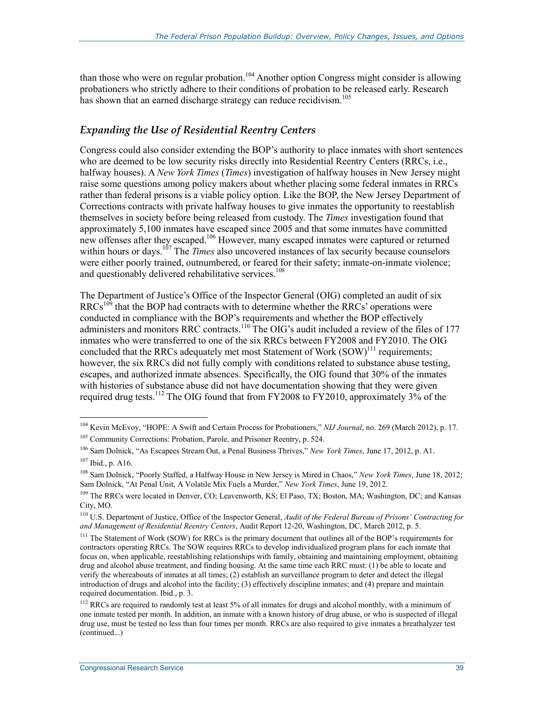than those who were on regular probation.<sup>104</sup> Another option Congress might consider is allowing probationers who strictly adhere to their conditions of probation to be released early. Research has shown that an earned discharge strategy can reduce recidivism.<sup>105</sup>

#### *Expanding the Use of Residential Reentry Centers*

Congress could also consider extending the BOP's authority to place inmates with short sentences who are deemed to be low security risks directly into Residential Reentry Centers (RRCs, i.e., halfway houses). A *New York Times* (*Times*) investigation of halfway houses in New Jersey might raise some questions among policy makers about whether placing some federal inmates in RRCs rather than federal prisons is a viable policy option. Like the BOP, the New Jersey Department of Corrections contracts with private halfway houses to give inmates the opportunity to reestablish themselves in society before being released from custody. The *Times* investigation found that approximately 5,100 inmates have escaped since 2005 and that some inmates have committed new offenses after they escaped.<sup>106</sup> However, many escaped inmates were captured or returned within hours or days.<sup>107</sup> The *Times* also uncovered instances of lax security because counselors were either poorly trained, outnumbered, or feared for their safety; inmate-on-inmate violence; and questionably delivered rehabilitative services.<sup>108</sup>

The Department of Justice's Office of the Inspector General (OIG) completed an audit of six  $RRCs<sup>109</sup>$  that the BOP had contracts with to determine whether the RRCs' operations were conducted in compliance with the BOP's requirements and whether the BOP effectively administers and monitors RRC contracts.<sup>110</sup> The OIG's audit included a review of the files of 177 inmates who were transferred to one of the six RRCs between FY2008 and FY2010. The OIG concluded that the RRCs adequately met most Statement of Work  $(SOW)^{111}$  requirements; however, the six RRCs did not fully comply with conditions related to substance abuse testing, escapes, and authorized inmate absences. Specifically, the OIG found that 30% of the inmates with histories of substance abuse did not have documentation showing that they were given required drug tests.<sup>112</sup> The OIG found that from FY2008 to FY2010, approximately 3% of the

<sup>104</sup> Kevin McEvoy, "HOPE: A Swift and Certain Process for Probationers," *NIJ Journal*, no. 269 (March 2012), p. 17.

<sup>&</sup>lt;sup>105</sup> Community Corrections: Probation, Parole, and Prisoner Reentry, p. 524.

<sup>106</sup> Sam Dolnick, "As Escapees Stream Out, a Penal Business Thrives," *New York Times*, June 17, 2012, p. A1. 107 Ibid., p. A16.

<sup>108</sup> Sam Dolnick, "Poorly Staffed, a Halfway House in New Jersey is Mired in Chaos," *New York Times*, June 18, 2012; Sam Dolnick, "At Penal Unit, A Volatile Mix Fuels a Murder," *New York Times*, June 19, 2012.

<sup>109</sup> The RRCs were located in Denver, CO; Leavenworth, KS; El Paso, TX; Boston, MA; Washington, DC; and Kansas City, MO.

<sup>110</sup> U.S. Department of Justice, Office of the Inspector General, *Audit of the Federal Bureau of Prisons' Contracting for and Management of Residential Reentry Centers*, Audit Report 12-20, Washington, DC, March 2012, p. 5.

<sup>&</sup>lt;sup>111</sup> The Statement of Work (SOW) for RRCs is the primary document that outlines all of the BOP's requirements for contractors operating RRCs. The SOW requires RRCs to develop individualized program plans for each inmate that focus on, when applicable, reestablishing relationships with family, obtaining and maintaining employment, obtaining drug and alcohol abuse treatment, and finding housing. At the same time each RRC must: (1) be able to locate and verify the whereabouts of inmates at all times; (2) establish an surveillance program to deter and detect the illegal introduction of drugs and alcohol into the facility; (3) effectively discipline inmates; and (4) prepare and maintain required documentation. Ibid., p. 3.

<sup>&</sup>lt;sup>112</sup> RRCs are required to randomly test at least 5% of all inmates for drugs and alcohol monthly, with a minimum of one inmate tested per month. In addition, an inmate with a known history of drug abuse, or who is suspected of illegal drug use, must be tested no less than four times per month. RRCs are also required to give inmates a breathalyzer test (continued...)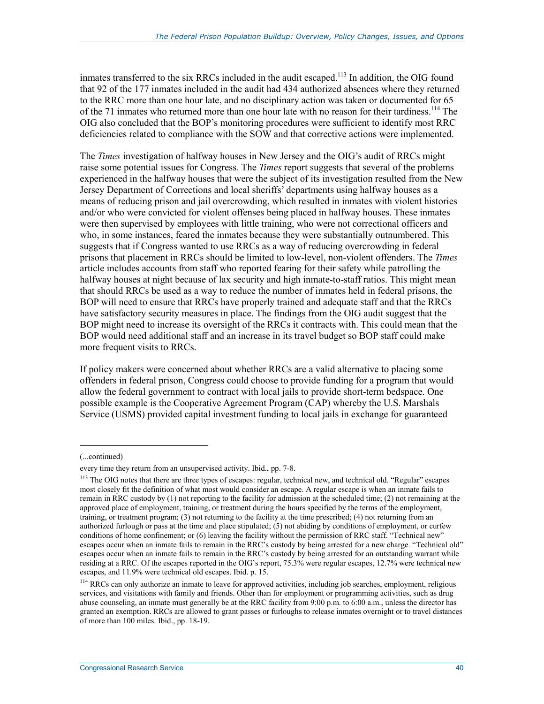inmates transferred to the six RRCs included in the audit escaped.<sup>113</sup> In addition, the OIG found that 92 of the 177 inmates included in the audit had 434 authorized absences where they returned to the RRC more than one hour late, and no disciplinary action was taken or documented for 65 of the 71 inmates who returned more than one hour late with no reason for their tardiness.<sup>114</sup> The OIG also concluded that the BOP's monitoring procedures were sufficient to identify most RRC deficiencies related to compliance with the SOW and that corrective actions were implemented.

The *Times* investigation of halfway houses in New Jersey and the OIG's audit of RRCs might raise some potential issues for Congress. The *Times* report suggests that several of the problems experienced in the halfway houses that were the subject of its investigation resulted from the New Jersey Department of Corrections and local sheriffs' departments using halfway houses as a means of reducing prison and jail overcrowding, which resulted in inmates with violent histories and/or who were convicted for violent offenses being placed in halfway houses. These inmates were then supervised by employees with little training, who were not correctional officers and who, in some instances, feared the inmates because they were substantially outnumbered. This suggests that if Congress wanted to use RRCs as a way of reducing overcrowding in federal prisons that placement in RRCs should be limited to low-level, non-violent offenders. The *Times* article includes accounts from staff who reported fearing for their safety while patrolling the halfway houses at night because of lax security and high inmate-to-staff ratios. This might mean that should RRCs be used as a way to reduce the number of inmates held in federal prisons, the BOP will need to ensure that RRCs have properly trained and adequate staff and that the RRCs have satisfactory security measures in place. The findings from the OIG audit suggest that the BOP might need to increase its oversight of the RRCs it contracts with. This could mean that the BOP would need additional staff and an increase in its travel budget so BOP staff could make more frequent visits to RRCs.

If policy makers were concerned about whether RRCs are a valid alternative to placing some offenders in federal prison, Congress could choose to provide funding for a program that would allow the federal government to contract with local jails to provide short-term bedspace. One possible example is the Cooperative Agreement Program (CAP) whereby the U.S. Marshals Service (USMS) provided capital investment funding to local jails in exchange for guaranteed

<sup>(...</sup>continued)

every time they return from an unsupervised activity. Ibid., pp. 7-8.

<sup>&</sup>lt;sup>113</sup> The OIG notes that there are three types of escapes: regular, technical new, and technical old. "Regular" escapes most closely fit the definition of what most would consider an escape. A regular escape is when an inmate fails to remain in RRC custody by (1) not reporting to the facility for admission at the scheduled time; (2) not remaining at the approved place of employment, training, or treatment during the hours specified by the terms of the employment, training, or treatment program; (3) not returning to the facility at the time prescribed; (4) not returning from an authorized furlough or pass at the time and place stipulated; (5) not abiding by conditions of employment, or curfew conditions of home confinement; or (6) leaving the facility without the permission of RRC staff. "Technical new" escapes occur when an inmate fails to remain in the RRC's custody by being arrested for a new charge. "Technical old" escapes occur when an inmate fails to remain in the RRC's custody by being arrested for an outstanding warrant while residing at a RRC. Of the escapes reported in the OIG's report, 75.3% were regular escapes, 12.7% were technical new escapes, and 11.9% were technical old escapes. Ibid. p. 15.

<sup>&</sup>lt;sup>114</sup> RRCs can only authorize an inmate to leave for approved activities, including job searches, employment, religious services, and visitations with family and friends. Other than for employment or programming activities, such as drug abuse counseling, an inmate must generally be at the RRC facility from 9:00 p.m. to 6:00 a.m., unless the director has granted an exemption. RRCs are allowed to grant passes or furloughs to release inmates overnight or to travel distances of more than 100 miles. Ibid., pp. 18-19.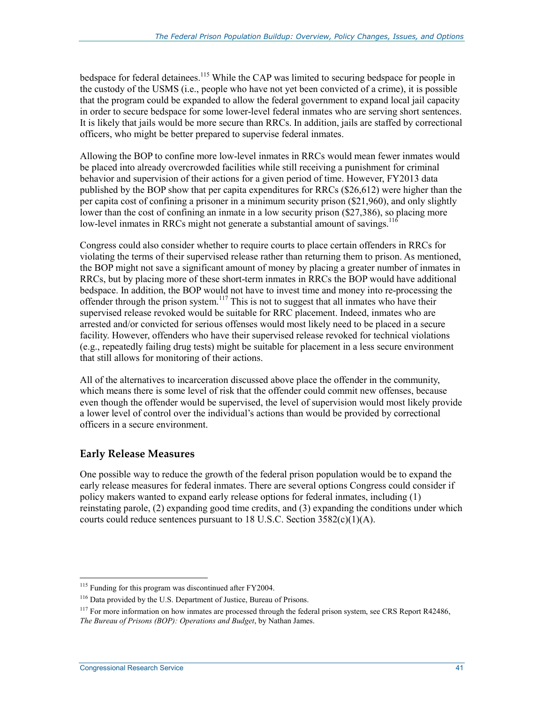bedspace for federal detainees.<sup>115</sup> While the CAP was limited to securing bedspace for people in the custody of the USMS (i.e., people who have not yet been convicted of a crime), it is possible that the program could be expanded to allow the federal government to expand local jail capacity in order to secure bedspace for some lower-level federal inmates who are serving short sentences. It is likely that jails would be more secure than RRCs. In addition, jails are staffed by correctional officers, who might be better prepared to supervise federal inmates.

Allowing the BOP to confine more low-level inmates in RRCs would mean fewer inmates would be placed into already overcrowded facilities while still receiving a punishment for criminal behavior and supervision of their actions for a given period of time. However, FY2013 data published by the BOP show that per capita expenditures for RRCs (\$26,612) were higher than the per capita cost of confining a prisoner in a minimum security prison (\$21,960), and only slightly lower than the cost of confining an inmate in a low security prison (\$27,386), so placing more low-level inmates in RRCs might not generate a substantial amount of savings.<sup>116</sup>

Congress could also consider whether to require courts to place certain offenders in RRCs for violating the terms of their supervised release rather than returning them to prison. As mentioned, the BOP might not save a significant amount of money by placing a greater number of inmates in RRCs, but by placing more of these short-term inmates in RRCs the BOP would have additional bedspace. In addition, the BOP would not have to invest time and money into re-processing the offender through the prison system.<sup>117</sup> This is not to suggest that all inmates who have their supervised release revoked would be suitable for RRC placement. Indeed, inmates who are arrested and/or convicted for serious offenses would most likely need to be placed in a secure facility. However, offenders who have their supervised release revoked for technical violations (e.g., repeatedly failing drug tests) might be suitable for placement in a less secure environment that still allows for monitoring of their actions.

All of the alternatives to incarceration discussed above place the offender in the community, which means there is some level of risk that the offender could commit new offenses, because even though the offender would be supervised, the level of supervision would most likely provide a lower level of control over the individual's actions than would be provided by correctional officers in a secure environment.

#### **Early Release Measures**

One possible way to reduce the growth of the federal prison population would be to expand the early release measures for federal inmates. There are several options Congress could consider if policy makers wanted to expand early release options for federal inmates, including (1) reinstating parole, (2) expanding good time credits, and (3) expanding the conditions under which courts could reduce sentences pursuant to 18 U.S.C. Section  $3582(c)(1)(A)$ .

<sup>&</sup>lt;sup>115</sup> Funding for this program was discontinued after FY2004.

<sup>116</sup> Data provided by the U.S. Department of Justice, Bureau of Prisons.

 $117$  For more information on how inmates are processed through the federal prison system, see CRS Report R42486, *The Bureau of Prisons (BOP): Operations and Budget*, by Nathan James.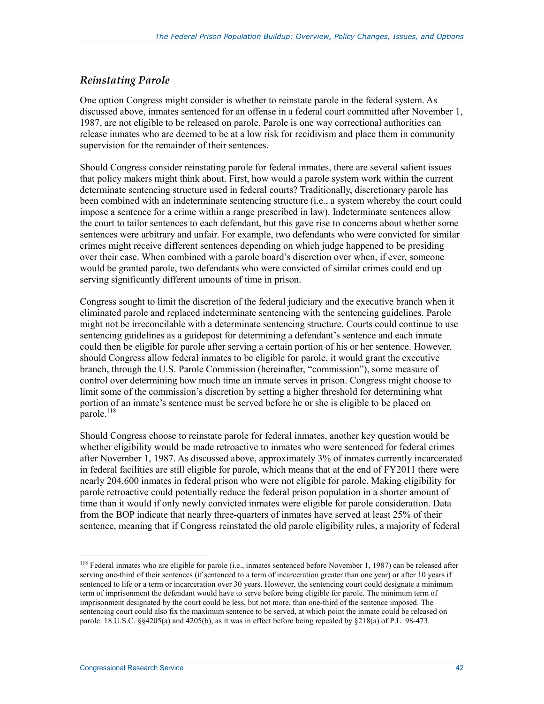#### *Reinstating Parole*

One option Congress might consider is whether to reinstate parole in the federal system. As discussed above, inmates sentenced for an offense in a federal court committed after November 1, 1987, are not eligible to be released on parole. Parole is one way correctional authorities can release inmates who are deemed to be at a low risk for recidivism and place them in community supervision for the remainder of their sentences.

Should Congress consider reinstating parole for federal inmates, there are several salient issues that policy makers might think about. First, how would a parole system work within the current determinate sentencing structure used in federal courts? Traditionally, discretionary parole has been combined with an indeterminate sentencing structure (i.e., a system whereby the court could impose a sentence for a crime within a range prescribed in law). Indeterminate sentences allow the court to tailor sentences to each defendant, but this gave rise to concerns about whether some sentences were arbitrary and unfair. For example, two defendants who were convicted for similar crimes might receive different sentences depending on which judge happened to be presiding over their case. When combined with a parole board's discretion over when, if ever, someone would be granted parole, two defendants who were convicted of similar crimes could end up serving significantly different amounts of time in prison.

Congress sought to limit the discretion of the federal judiciary and the executive branch when it eliminated parole and replaced indeterminate sentencing with the sentencing guidelines. Parole might not be irreconcilable with a determinate sentencing structure. Courts could continue to use sentencing guidelines as a guidepost for determining a defendant's sentence and each inmate could then be eligible for parole after serving a certain portion of his or her sentence. However, should Congress allow federal inmates to be eligible for parole, it would grant the executive branch, through the U.S. Parole Commission (hereinafter, "commission"), some measure of control over determining how much time an inmate serves in prison. Congress might choose to limit some of the commission's discretion by setting a higher threshold for determining what portion of an inmate's sentence must be served before he or she is eligible to be placed on parole. $^{118}$ 

Should Congress choose to reinstate parole for federal inmates, another key question would be whether eligibility would be made retroactive to inmates who were sentenced for federal crimes after November 1, 1987. As discussed above, approximately 3% of inmates currently incarcerated in federal facilities are still eligible for parole, which means that at the end of FY2011 there were nearly 204,600 inmates in federal prison who were not eligible for parole. Making eligibility for parole retroactive could potentially reduce the federal prison population in a shorter amount of time than it would if only newly convicted inmates were eligible for parole consideration. Data from the BOP indicate that nearly three-quarters of inmates have served at least 25% of their sentence, meaning that if Congress reinstated the old parole eligibility rules, a majority of federal

 $118$  Federal inmates who are eligible for parole (i.e., inmates sentenced before November 1, 1987) can be released after serving one-third of their sentences (if sentenced to a term of incarceration greater than one year) or after 10 years if sentenced to life or a term or incarceration over 30 years. However, the sentencing court could designate a minimum term of imprisonment the defendant would have to serve before being eligible for parole. The minimum term of imprisonment designated by the court could be less, but not more, than one-third of the sentence imposed. The sentencing court could also fix the maximum sentence to be served, at which point the inmate could be released on parole. 18 U.S.C. §§4205(a) and 4205(b), as it was in effect before being repealed by §218(a) of P.L. 98-473.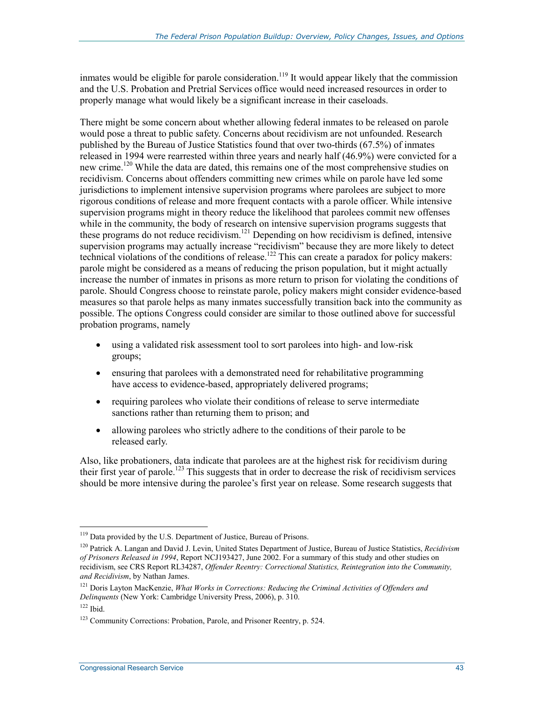inmates would be eligible for parole consideration.<sup>119</sup> It would appear likely that the commission and the U.S. Probation and Pretrial Services office would need increased resources in order to properly manage what would likely be a significant increase in their caseloads.

There might be some concern about whether allowing federal inmates to be released on parole would pose a threat to public safety. Concerns about recidivism are not unfounded. Research published by the Bureau of Justice Statistics found that over two-thirds (67.5%) of inmates released in 1994 were rearrested within three years and nearly half (46.9%) were convicted for a new crime.<sup>120</sup> While the data are dated, this remains one of the most comprehensive studies on recidivism. Concerns about offenders committing new crimes while on parole have led some jurisdictions to implement intensive supervision programs where parolees are subject to more rigorous conditions of release and more frequent contacts with a parole officer. While intensive supervision programs might in theory reduce the likelihood that parolees commit new offenses while in the community, the body of research on intensive supervision programs suggests that these programs do not reduce recidivism.121 Depending on how recidivism is defined, intensive supervision programs may actually increase "recidivism" because they are more likely to detect technical violations of the conditions of release.<sup>122</sup> This can create a paradox for policy makers: parole might be considered as a means of reducing the prison population, but it might actually increase the number of inmates in prisons as more return to prison for violating the conditions of parole. Should Congress choose to reinstate parole, policy makers might consider evidence-based measures so that parole helps as many inmates successfully transition back into the community as possible. The options Congress could consider are similar to those outlined above for successful probation programs, namely

- using a validated risk assessment tool to sort parolees into high- and low-risk groups;
- ensuring that parolees with a demonstrated need for rehabilitative programming have access to evidence-based, appropriately delivered programs;
- requiring parolees who violate their conditions of release to serve intermediate sanctions rather than returning them to prison; and
- allowing parolees who strictly adhere to the conditions of their parole to be released early.

Also, like probationers, data indicate that parolees are at the highest risk for recidivism during their first year of parole.<sup>123</sup> This suggests that in order to decrease the risk of recidivism services should be more intensive during the parolee's first year on release. Some research suggests that

<sup>&</sup>lt;sup>119</sup> Data provided by the U.S. Department of Justice, Bureau of Prisons.

<sup>120</sup> Patrick A. Langan and David J. Levin, United States Department of Justice, Bureau of Justice Statistics, *Recidivism of Prisoners Released in 1994*, Report NCJ193427, June 2002. For a summary of this study and other studies on recidivism, see CRS Report RL34287, *Offender Reentry: Correctional Statistics, Reintegration into the Community, and Recidivism*, by Nathan James.

<sup>121</sup> Doris Layton MacKenzie, *What Works in Corrections: Reducing the Criminal Activities of Offenders and Delinquents* (New York: Cambridge University Press, 2006), p. 310.

 $122$  Ibid.

<sup>&</sup>lt;sup>123</sup> Community Corrections: Probation, Parole, and Prisoner Reentry, p. 524.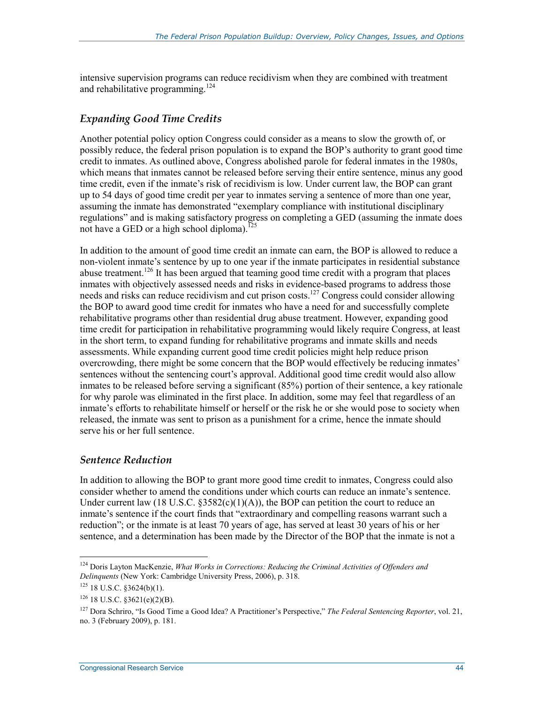intensive supervision programs can reduce recidivism when they are combined with treatment and rehabilitative programming.<sup>124</sup>

#### *Expanding Good Time Credits*

Another potential policy option Congress could consider as a means to slow the growth of, or possibly reduce, the federal prison population is to expand the BOP's authority to grant good time credit to inmates. As outlined above, Congress abolished parole for federal inmates in the 1980s, which means that inmates cannot be released before serving their entire sentence, minus any good time credit, even if the inmate's risk of recidivism is low. Under current law, the BOP can grant up to 54 days of good time credit per year to inmates serving a sentence of more than one year, assuming the inmate has demonstrated "exemplary compliance with institutional disciplinary regulations" and is making satisfactory progress on completing a GED (assuming the inmate does not have a GED or a high school diploma).<sup>125</sup>

In addition to the amount of good time credit an inmate can earn, the BOP is allowed to reduce a non-violent inmate's sentence by up to one year if the inmate participates in residential substance abuse treatment.<sup>126</sup> It has been argued that teaming good time credit with a program that places inmates with objectively assessed needs and risks in evidence-based programs to address those needs and risks can reduce recidivism and cut prison costs.<sup>127</sup> Congress could consider allowing the BOP to award good time credit for inmates who have a need for and successfully complete rehabilitative programs other than residential drug abuse treatment. However, expanding good time credit for participation in rehabilitative programming would likely require Congress, at least in the short term, to expand funding for rehabilitative programs and inmate skills and needs assessments. While expanding current good time credit policies might help reduce prison overcrowding, there might be some concern that the BOP would effectively be reducing inmates' sentences without the sentencing court's approval. Additional good time credit would also allow inmates to be released before serving a significant (85%) portion of their sentence, a key rationale for why parole was eliminated in the first place. In addition, some may feel that regardless of an inmate's efforts to rehabilitate himself or herself or the risk he or she would pose to society when released, the inmate was sent to prison as a punishment for a crime, hence the inmate should serve his or her full sentence.

#### *Sentence Reduction*

In addition to allowing the BOP to grant more good time credit to inmates, Congress could also consider whether to amend the conditions under which courts can reduce an inmate's sentence. Under current law (18 U.S.C.  $\S 3582(c)(1)(A)$ ), the BOP can petition the court to reduce an inmate's sentence if the court finds that "extraordinary and compelling reasons warrant such a reduction"; or the inmate is at least 70 years of age, has served at least 30 years of his or her sentence, and a determination has been made by the Director of the BOP that the inmate is not a

<sup>124</sup> Doris Layton MacKenzie, *What Works in Corrections: Reducing the Criminal Activities of Offenders and Delinquents* (New York: Cambridge University Press, 2006), p. 318.

 $125$  18 U.S.C. §3624(b)(1).

 $126$  18 U.S.C. §3621(e)(2)(B).

<sup>127</sup> Dora Schriro, "Is Good Time a Good Idea? A Practitioner's Perspective," *The Federal Sentencing Reporter*, vol. 21, no. 3 (February 2009), p. 181.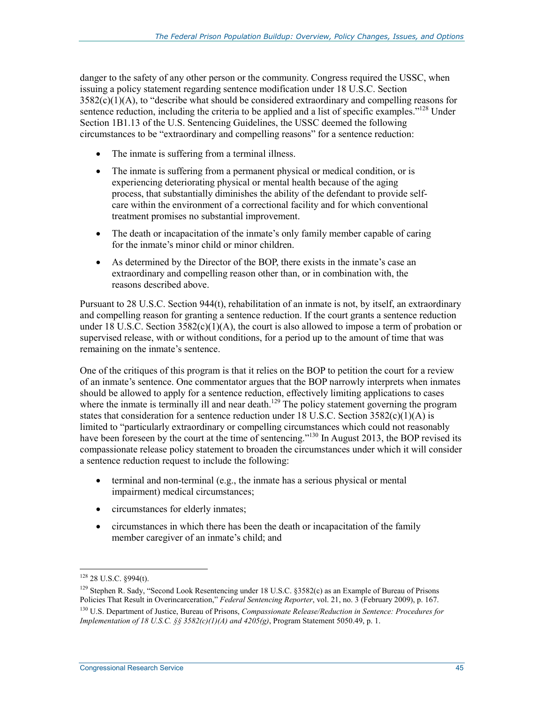danger to the safety of any other person or the community. Congress required the USSC, when issuing a policy statement regarding sentence modification under 18 U.S.C. Section  $3582(c)(1)(A)$ , to "describe what should be considered extraordinary and compelling reasons for sentence reduction, including the criteria to be applied and a list of specific examples.<sup> $128$ </sup> Under Section 1B1.13 of the U.S. Sentencing Guidelines, the USSC deemed the following circumstances to be "extraordinary and compelling reasons" for a sentence reduction:

- The inmate is suffering from a terminal illness.
- The inmate is suffering from a permanent physical or medical condition, or is experiencing deteriorating physical or mental health because of the aging process, that substantially diminishes the ability of the defendant to provide selfcare within the environment of a correctional facility and for which conventional treatment promises no substantial improvement.
- The death or incapacitation of the inmate's only family member capable of caring for the inmate's minor child or minor children.
- As determined by the Director of the BOP, there exists in the inmate's case an extraordinary and compelling reason other than, or in combination with, the reasons described above.

Pursuant to 28 U.S.C. Section 944(t), rehabilitation of an inmate is not, by itself, an extraordinary and compelling reason for granting a sentence reduction. If the court grants a sentence reduction under 18 U.S.C. Section  $3582(c)(1)(A)$ , the court is also allowed to impose a term of probation or supervised release, with or without conditions, for a period up to the amount of time that was remaining on the inmate's sentence.

One of the critiques of this program is that it relies on the BOP to petition the court for a review of an inmate's sentence. One commentator argues that the BOP narrowly interprets when inmates should be allowed to apply for a sentence reduction, effectively limiting applications to cases where the inmate is terminally ill and near death.<sup>129</sup> The policy statement governing the program states that consideration for a sentence reduction under 18 U.S.C. Section  $3582(c)(1)(A)$  is limited to "particularly extraordinary or compelling circumstances which could not reasonably have been foreseen by the court at the time of sentencing."<sup>130</sup> In August 2013, the BOP revised its compassionate release policy statement to broaden the circumstances under which it will consider a sentence reduction request to include the following:

- terminal and non-terminal (e.g., the inmate has a serious physical or mental impairment) medical circumstances;
- circumstances for elderly inmates;
- circumstances in which there has been the death or incapacitation of the family member caregiver of an inmate's child; and

<sup>128 28</sup> U.S.C. §994(t).

<sup>&</sup>lt;sup>129</sup> Stephen R. Sady, "Second Look Resentencing under 18 U.S.C. §3582(c) as an Example of Bureau of Prisons Policies That Result in Overincarceration," *Federal Sentencing Reporter*, vol. 21, no. 3 (February 2009), p. 167. 130 U.S. Department of Justice, Bureau of Prisons, *Compassionate Release/Reduction in Sentence: Procedures for Implementation of 18 U.S.C. §§ 3582(c)(1)(A) and 4205(g)*, Program Statement 5050.49, p. 1.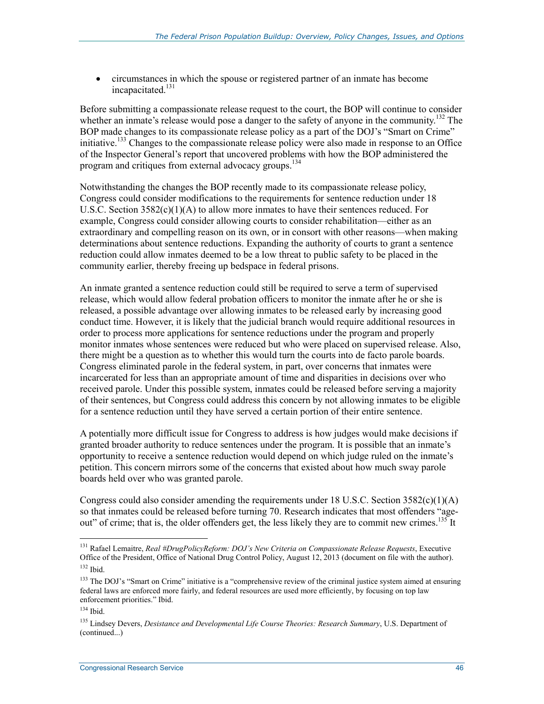• circumstances in which the spouse or registered partner of an inmate has become incapacitated.<sup>131</sup>

Before submitting a compassionate release request to the court, the BOP will continue to consider whether an inmate's release would pose a danger to the safety of anyone in the community.<sup>132</sup> The BOP made changes to its compassionate release policy as a part of the DOJ's "Smart on Crime" initiative.<sup>133</sup> Changes to the compassionate release policy were also made in response to an Office of the Inspector General's report that uncovered problems with how the BOP administered the program and critiques from external advocacy groups.<sup>134</sup>

Notwithstanding the changes the BOP recently made to its compassionate release policy, Congress could consider modifications to the requirements for sentence reduction under 18 U.S.C. Section 3582(c)(1)(A) to allow more inmates to have their sentences reduced. For example, Congress could consider allowing courts to consider rehabilitation—either as an extraordinary and compelling reason on its own, or in consort with other reasons—when making determinations about sentence reductions. Expanding the authority of courts to grant a sentence reduction could allow inmates deemed to be a low threat to public safety to be placed in the community earlier, thereby freeing up bedspace in federal prisons.

An inmate granted a sentence reduction could still be required to serve a term of supervised release, which would allow federal probation officers to monitor the inmate after he or she is released, a possible advantage over allowing inmates to be released early by increasing good conduct time. However, it is likely that the judicial branch would require additional resources in order to process more applications for sentence reductions under the program and properly monitor inmates whose sentences were reduced but who were placed on supervised release. Also, there might be a question as to whether this would turn the courts into de facto parole boards. Congress eliminated parole in the federal system, in part, over concerns that inmates were incarcerated for less than an appropriate amount of time and disparities in decisions over who received parole. Under this possible system, inmates could be released before serving a majority of their sentences, but Congress could address this concern by not allowing inmates to be eligible for a sentence reduction until they have served a certain portion of their entire sentence.

A potentially more difficult issue for Congress to address is how judges would make decisions if granted broader authority to reduce sentences under the program. It is possible that an inmate's opportunity to receive a sentence reduction would depend on which judge ruled on the inmate's petition. This concern mirrors some of the concerns that existed about how much sway parole boards held over who was granted parole.

Congress could also consider amending the requirements under 18 U.S.C. Section  $3582(c)(1)(A)$ so that inmates could be released before turning 70. Research indicates that most offenders "ageout" of crime; that is, the older offenders get, the less likely they are to commit new crimes.<sup>135</sup> It

<sup>131</sup> Rafael Lemaitre, *Real #DrugPolicyReform: DOJ's New Criteria on Compassionate Release Requests*, Executive Office of the President, Office of National Drug Control Policy, August 12, 2013 (document on file with the author).  $132$  Ibid.

<sup>&</sup>lt;sup>133</sup> The DOJ's "Smart on Crime" initiative is a "comprehensive review of the criminal justice system aimed at ensuring federal laws are enforced more fairly, and federal resources are used more efficiently, by focusing on top law enforcement priorities." Ibid.

 $134$  Ibid.

<sup>135</sup> Lindsey Devers, *Desistance and Developmental Life Course Theories: Research Summary*, U.S. Department of (continued...)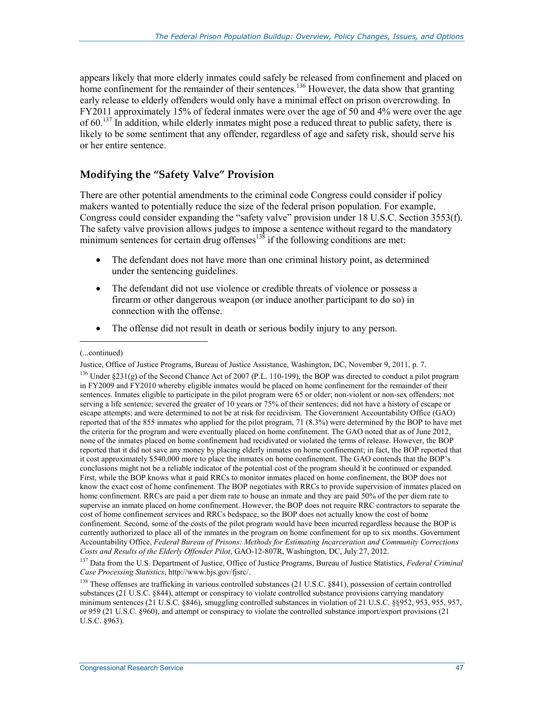appears likely that more elderly inmates could safely be released from confinement and placed on home confinement for the remainder of their sentences.<sup>136</sup> However, the data show that granting early release to elderly offenders would only have a minimal effect on prison overcrowding. In FY2011 approximately 15% of federal inmates were over the age of 50 and 4% were over the age of 60.<sup>137</sup> In addition, while elderly inmates might pose a reduced threat to public safety, there is likely to be some sentiment that any offender, regardless of age and safety risk, should serve his or her entire sentence.

#### **Modifying the "Safety Valve" Provision**

There are other potential amendments to the criminal code Congress could consider if policy makers wanted to potentially reduce the size of the federal prison population. For example, Congress could consider expanding the "safety valve" provision under 18 U.S.C. Section 3553(f). The safety valve provision allows judges to impose a sentence without regard to the mandatory minimum sentences for certain drug offenses $138$  if the following conditions are met:

- The defendant does not have more than one criminal history point, as determined under the sentencing guidelines.
- The defendant did not use violence or credible threats of violence or possess a firearm or other dangerous weapon (or induce another participant to do so) in connection with the offense.
- The offense did not result in death or serious bodily injury to any person.

 $\overline{a}$ 

<sup>(...</sup>continued)

Justice, Office of Justice Programs, Bureau of Justice Assistance, Washington, DC, November 9, 2011, p. 7. <sup>136</sup> Under  $\$231(\text{g})$  of the Second Chance Act of 2007 (P.L. 110-199), the BOP was directed to conduct a pilot program in FY2009 and FY2010 whereby eligible inmates would be placed on home confinement for the remainder of their sentences. Inmates eligible to participate in the pilot program were 65 or older; non-violent or non-sex offenders; not serving a life sentence; severed the greater of 10 years or 75% of their sentences; did not have a history of escape or escape attempts; and were determined to not be at risk for recidivism. The Government Accountability Office (GAO) reported that of the 855 inmates who applied for the pilot program, 71 (8.3%) were determined by the BOP to have met the criteria for the program and were eventually placed on home confinement. The GAO noted that as of June 2012, none of the inmates placed on home confinement had recidivated or violated the terms of release. However, the BOP reported that it did not save any money by placing elderly inmates on home confinement; in fact, the BOP reported that it cost approximately \$540,000 more to place the inmates on home confinement. The GAO contends that the BOP's conclusions might not be a reliable indicator of the potential cost of the program should it be continued or expanded. First, while the BOP knows what it paid RRCs to monitor inmates placed on home confinement, the BOP does not know the exact cost of home confinement. The BOP negotiates with RRCs to provide supervision of inmates placed on home confinement. RRCs are paid a per diem rate to house an inmate and they are paid 50% of the per diem rate to supervise an inmate placed on home confinement. However, the BOP does not require RRC contractors to separate the cost of home confinement services and RRCs bedspace, so the BOP does not actually know the cost of home confinement. Second, some of the costs of the pilot program would have been incurred regardless because the BOP is currently authorized to place all of the inmates in the program on home confinement for up to six months. Government Accountability Office, *Federal Bureau of Prisons: Methods for Estimating Incarceration and Community Corrections Costs and Results of the Elderly Offender Pilot*, GAO-12-807R, Washington, DC, July 27, 2012.

<sup>137</sup> Data from the U.S. Department of Justice, Office of Justice Programs, Bureau of Justice Statistics, *Federal Criminal Case Processing Statistics*, http://www.bjs.gov/fjsrc/.

 $138$  These offenses are trafficking in various controlled substances (21 U.S.C.  $§841$ ), possession of certain controlled substances (21 U.S.C. §844), attempt or conspiracy to violate controlled substance provisions carrying mandatory minimum sentences (21 U.S.C. §846), smuggling controlled substances in violation of 21 U.S.C. §§952, 953, 955, 957, or 959 (21 U.S.C. §960), and attempt or conspiracy to violate the controlled substance import/export provisions (21 U.S.C. §963).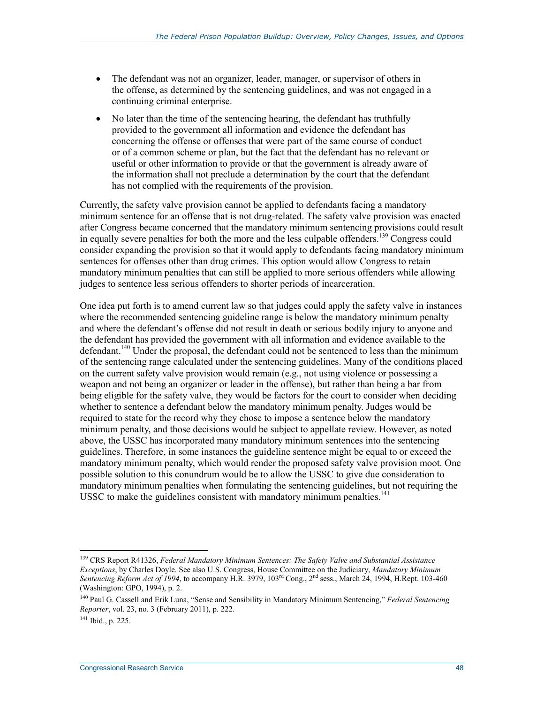- The defendant was not an organizer, leader, manager, or supervisor of others in the offense, as determined by the sentencing guidelines, and was not engaged in a continuing criminal enterprise.
- No later than the time of the sentencing hearing, the defendant has truthfully provided to the government all information and evidence the defendant has concerning the offense or offenses that were part of the same course of conduct or of a common scheme or plan, but the fact that the defendant has no relevant or useful or other information to provide or that the government is already aware of the information shall not preclude a determination by the court that the defendant has not complied with the requirements of the provision.

Currently, the safety valve provision cannot be applied to defendants facing a mandatory minimum sentence for an offense that is not drug-related. The safety valve provision was enacted after Congress became concerned that the mandatory minimum sentencing provisions could result in equally severe penalties for both the more and the less culpable offenders.<sup>139</sup> Congress could consider expanding the provision so that it would apply to defendants facing mandatory minimum sentences for offenses other than drug crimes. This option would allow Congress to retain mandatory minimum penalties that can still be applied to more serious offenders while allowing judges to sentence less serious offenders to shorter periods of incarceration.

One idea put forth is to amend current law so that judges could apply the safety valve in instances where the recommended sentencing guideline range is below the mandatory minimum penalty and where the defendant's offense did not result in death or serious bodily injury to anyone and the defendant has provided the government with all information and evidence available to the defendant.<sup>140</sup> Under the proposal, the defendant could not be sentenced to less than the minimum of the sentencing range calculated under the sentencing guidelines. Many of the conditions placed on the current safety valve provision would remain (e.g., not using violence or possessing a weapon and not being an organizer or leader in the offense), but rather than being a bar from being eligible for the safety valve, they would be factors for the court to consider when deciding whether to sentence a defendant below the mandatory minimum penalty. Judges would be required to state for the record why they chose to impose a sentence below the mandatory minimum penalty, and those decisions would be subject to appellate review. However, as noted above, the USSC has incorporated many mandatory minimum sentences into the sentencing guidelines. Therefore, in some instances the guideline sentence might be equal to or exceed the mandatory minimum penalty, which would render the proposed safety valve provision moot. One possible solution to this conundrum would be to allow the USSC to give due consideration to mandatory minimum penalties when formulating the sentencing guidelines, but not requiring the USSC to make the guidelines consistent with mandatory minimum penalties.<sup>141</sup>

<sup>139</sup> CRS Report R41326, *Federal Mandatory Minimum Sentences: The Safety Valve and Substantial Assistance Exceptions*, by Charles Doyle. See also U.S. Congress, House Committee on the Judiciary, *Mandatory Minimum Sentencing Reform Act of 1994*, to accompany H.R. 3979, 103rd Cong., 2nd sess., March 24, 1994, H.Rept. 103-460 (Washington: GPO, 1994), p. 2.

<sup>140</sup> Paul G. Cassell and Erik Luna, "Sense and Sensibility in Mandatory Minimum Sentencing," *Federal Sentencing Reporter*, vol. 23, no. 3 (February 2011), p. 222.

<sup>141</sup> Ibid., p. 225.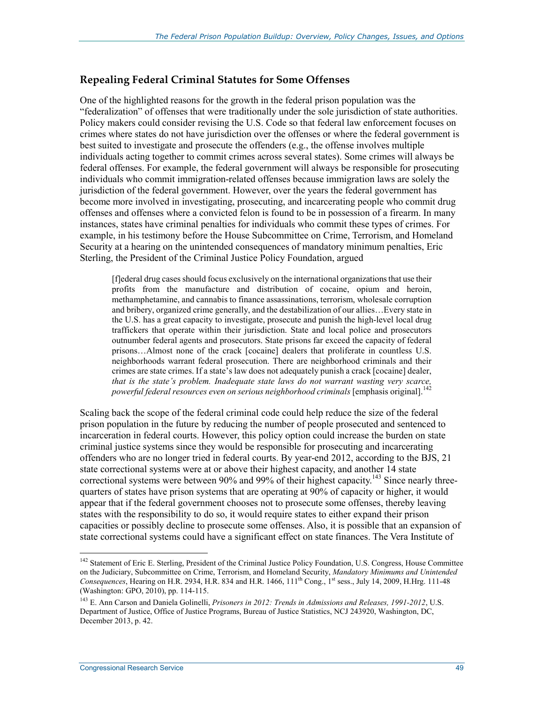#### **Repealing Federal Criminal Statutes for Some Offenses**

One of the highlighted reasons for the growth in the federal prison population was the "federalization" of offenses that were traditionally under the sole jurisdiction of state authorities. Policy makers could consider revising the U.S. Code so that federal law enforcement focuses on crimes where states do not have jurisdiction over the offenses or where the federal government is best suited to investigate and prosecute the offenders (e.g., the offense involves multiple individuals acting together to commit crimes across several states). Some crimes will always be federal offenses. For example, the federal government will always be responsible for prosecuting individuals who commit immigration-related offenses because immigration laws are solely the jurisdiction of the federal government. However, over the years the federal government has become more involved in investigating, prosecuting, and incarcerating people who commit drug offenses and offenses where a convicted felon is found to be in possession of a firearm. In many instances, states have criminal penalties for individuals who commit these types of crimes. For example, in his testimony before the House Subcommittee on Crime, Terrorism, and Homeland Security at a hearing on the unintended consequences of mandatory minimum penalties, Eric Sterling, the President of the Criminal Justice Policy Foundation, argued

[f]ederal drug cases should focus exclusively on the international organizations that use their profits from the manufacture and distribution of cocaine, opium and heroin, methamphetamine, and cannabis to finance assassinations, terrorism, wholesale corruption and bribery, organized crime generally, and the destabilization of our allies…Every state in the U.S. has a great capacity to investigate, prosecute and punish the high-level local drug traffickers that operate within their jurisdiction. State and local police and prosecutors outnumber federal agents and prosecutors. State prisons far exceed the capacity of federal prisons…Almost none of the crack [cocaine] dealers that proliferate in countless U.S. neighborhoods warrant federal prosecution. There are neighborhood criminals and their crimes are state crimes. If a state's law does not adequately punish a crack [cocaine] dealer, *that is the state's problem. Inadequate state laws do not warrant wasting very scarce, powerful federal resources even on serious neighborhood criminals* [emphasis original].<sup>142</sup>

Scaling back the scope of the federal criminal code could help reduce the size of the federal prison population in the future by reducing the number of people prosecuted and sentenced to incarceration in federal courts. However, this policy option could increase the burden on state criminal justice systems since they would be responsible for prosecuting and incarcerating offenders who are no longer tried in federal courts. By year-end 2012, according to the BJS, 21 state correctional systems were at or above their highest capacity, and another 14 state correctional systems were between 90% and 99% of their highest capacity.<sup>143</sup> Since nearly threequarters of states have prison systems that are operating at 90% of capacity or higher, it would appear that if the federal government chooses not to prosecute some offenses, thereby leaving states with the responsibility to do so, it would require states to either expand their prison capacities or possibly decline to prosecute some offenses. Also, it is possible that an expansion of state correctional systems could have a significant effect on state finances. The Vera Institute of

<sup>&</sup>lt;sup>142</sup> Statement of Eric E. Sterling, President of the Criminal Justice Policy Foundation, U.S. Congress, House Committee on the Judiciary, Subcommittee on Crime, Terrorism, and Homeland Security, *Mandatory Minimums and Unintended Consequences*, Hearing on H.R. 2934, H.R. 834 and H.R. 1466, 111<sup>th</sup> Cong., 1<sup>st</sup> sess., July 14, 2009, H.Hrg. 111-48 (Washington: GPO, 2010), pp. 114-115.

<sup>143</sup> E. Ann Carson and Daniela Golinelli, *Prisoners in 2012: Trends in Admissions and Releases, 1991-2012*, U.S. Department of Justice, Office of Justice Programs, Bureau of Justice Statistics, NCJ 243920, Washington, DC, December 2013, p. 42.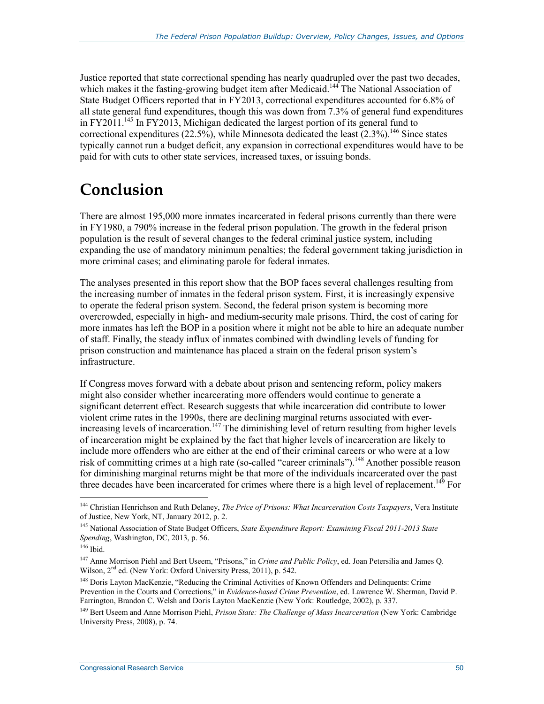Justice reported that state correctional spending has nearly quadrupled over the past two decades, which makes it the fasting-growing budget item after Medicaid.<sup>144</sup> The National Association of State Budget Officers reported that in FY2013, correctional expenditures accounted for 6.8% of all state general fund expenditures, though this was down from 7.3% of general fund expenditures in  $FY2011$ .<sup>145</sup> In  $FY2013$ , Michigan dedicated the largest portion of its general fund to correctional expenditures (22.5%), while Minnesota dedicated the least  $(2.3\%)$ .<sup>146</sup> Since states typically cannot run a budget deficit, any expansion in correctional expenditures would have to be paid for with cuts to other state services, increased taxes, or issuing bonds.

## **Conclusion**

There are almost 195,000 more inmates incarcerated in federal prisons currently than there were in FY1980, a 790% increase in the federal prison population. The growth in the federal prison population is the result of several changes to the federal criminal justice system, including expanding the use of mandatory minimum penalties; the federal government taking jurisdiction in more criminal cases; and eliminating parole for federal inmates.

The analyses presented in this report show that the BOP faces several challenges resulting from the increasing number of inmates in the federal prison system. First, it is increasingly expensive to operate the federal prison system. Second, the federal prison system is becoming more overcrowded, especially in high- and medium-security male prisons. Third, the cost of caring for more inmates has left the BOP in a position where it might not be able to hire an adequate number of staff. Finally, the steady influx of inmates combined with dwindling levels of funding for prison construction and maintenance has placed a strain on the federal prison system's infrastructure.

If Congress moves forward with a debate about prison and sentencing reform, policy makers might also consider whether incarcerating more offenders would continue to generate a significant deterrent effect. Research suggests that while incarceration did contribute to lower violent crime rates in the 1990s, there are declining marginal returns associated with everincreasing levels of incarceration.<sup>147</sup> The diminishing level of return resulting from higher levels of incarceration might be explained by the fact that higher levels of incarceration are likely to include more offenders who are either at the end of their criminal careers or who were at a low risk of committing crimes at a high rate (so-called "career criminals").<sup>148</sup> Another possible reason for diminishing marginal returns might be that more of the individuals incarcerated over the past three decades have been incarcerated for crimes where there is a high level of replacement.<sup>149</sup> For

<sup>144</sup> Christian Henrichson and Ruth Delaney, *The Price of Prisons: What Incarceration Costs Taxpayers*, Vera Institute of Justice, New York, NT, January 2012, p. 2.

<sup>145</sup> National Association of State Budget Officers, *State Expenditure Report: Examining Fiscal 2011-2013 State Spending*, Washington, DC, 2013, p. 56.

<sup>146</sup> Ibid.

<sup>147</sup> Anne Morrison Piehl and Bert Useem, "Prisons," in *Crime and Public Policy*, ed. Joan Petersilia and James Q. Wilson, 2<sup>nd</sup> ed. (New York: Oxford University Press, 2011), p. 542.

<sup>&</sup>lt;sup>148</sup> Doris Layton MacKenzie, "Reducing the Criminal Activities of Known Offenders and Delinquents: Crime Prevention in the Courts and Corrections," in *Evidence-based Crime Prevention*, ed. Lawrence W. Sherman, David P. Farrington, Brandon C. Welsh and Doris Layton MacKenzie (New York: Routledge, 2002), p. 337.

<sup>149</sup> Bert Useem and Anne Morrison Piehl, *Prison State: The Challenge of Mass Incarceration* (New York: Cambridge University Press, 2008), p. 74.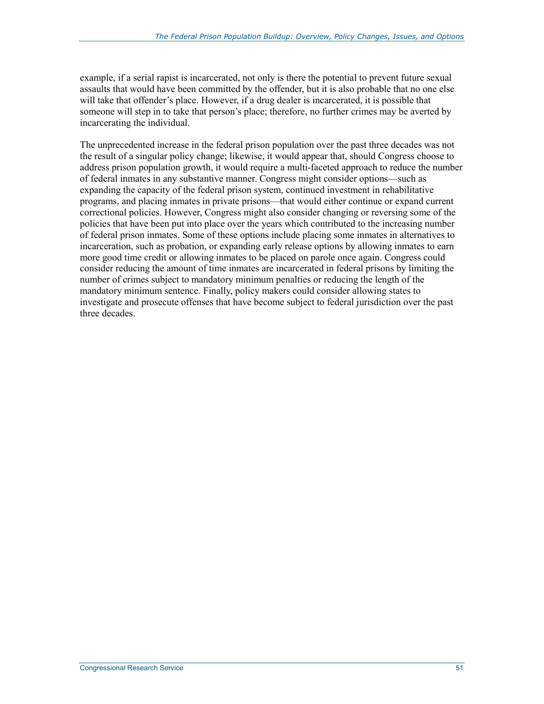example, if a serial rapist is incarcerated, not only is there the potential to prevent future sexual assaults that would have been committed by the offender, but it is also probable that no one else will take that offender's place. However, if a drug dealer is incarcerated, it is possible that someone will step in to take that person's place; therefore, no further crimes may be averted by incarcerating the individual.

The unprecedented increase in the federal prison population over the past three decades was not the result of a singular policy change; likewise, it would appear that, should Congress choose to address prison population growth, it would require a multi-faceted approach to reduce the number of federal inmates in any substantive manner. Congress might consider options—such as expanding the capacity of the federal prison system, continued investment in rehabilitative programs, and placing inmates in private prisons—that would either continue or expand current correctional policies. However, Congress might also consider changing or reversing some of the policies that have been put into place over the years which contributed to the increasing number of federal prison inmates. Some of these options include placing some inmates in alternatives to incarceration, such as probation, or expanding early release options by allowing inmates to earn more good time credit or allowing inmates to be placed on parole once again. Congress could consider reducing the amount of time inmates are incarcerated in federal prisons by limiting the number of crimes subject to mandatory minimum penalties or reducing the length of the mandatory minimum sentence. Finally, policy makers could consider allowing states to investigate and prosecute offenses that have become subject to federal jurisdiction over the past three decades.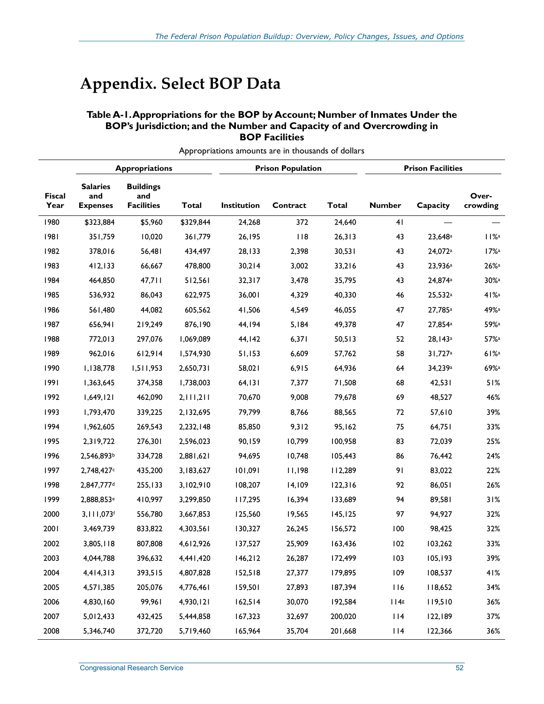## **Appendix. Select BOP Data**

#### **Table A-1. Appropriations for the BOP by Account; Number of Inmates Under the BOP's Jurisdiction; and the Number and Capacity of and Overcrowding in BOP Facilities**

|                       |                                           | <b>Prison Population</b><br><b>Appropriations</b> |           | <b>Prison Facilities</b> |          |              |               |                     |                     |
|-----------------------|-------------------------------------------|---------------------------------------------------|-----------|--------------------------|----------|--------------|---------------|---------------------|---------------------|
| <b>Fiscal</b><br>Year | <b>Salaries</b><br>and<br><b>Expenses</b> | <b>Buildings</b><br>and<br><b>Facilities</b>      | Total     | Institution              | Contract | <b>Total</b> | <b>Number</b> | Capacity            | Over-<br>crowding   |
| 1980                  | \$323,884                                 | \$5,960                                           | \$329,844 | 24,268                   | 372      | 24,640       | 41            |                     |                     |
| 1981                  | 351,759                                   | 10,020                                            | 361,779   | 26,195                   | 118      | 26,313       | 43            | 23,648 <sup>a</sup> | $11\%$ <sup>a</sup> |
| 1982                  | 378,016                                   | 56,481                                            | 434,497   | 28,133                   | 2,398    | 30,531       | 43            | 24,072 <sup>a</sup> | $17%$ <sup>a</sup>  |
| 1983                  | 412, 133                                  | 66,667                                            | 478,800   | 30,214                   | 3,002    | 33,216       | 43            | 23,936 <sup>a</sup> | 26%                 |
| 1984                  | 464,850                                   | 47,711                                            | 512,561   | 32,317                   | 3,478    | 35,795       | 43            | 24,874a             | $30\%$ <sup>a</sup> |
| 1985                  | 536,932                                   | 86,043                                            | 622,975   | 36,001                   | 4,329    | 40,330       | 46            | 25,532a             | 41%                 |
| 1986                  | 561,480                                   | 44,082                                            | 605,562   | 41,506                   | 4,549    | 46,055       | 47            | 27,785 <sup>a</sup> | 49% <sup>a</sup>    |
| 1987                  | 656,941                                   | 219,249                                           | 876,190   | 44,194                   | 5,184    | 49,378       | 47            | 27,854 <sup>a</sup> | 59% <sup>a</sup>    |
| 1988                  | 772,013                                   | 297,076                                           | 1,069,089 | 44,142                   | 6,371    | 50,513       | 52            | 28,143a             | 57% <sup>a</sup>    |
| 1989                  | 962,016                                   | 612,914                                           | 1,574,930 | 51,153                   | 6,609    | 57,762       | 58            | 31,727a             | 61%                 |
| 1990                  | 1,138,778                                 | 1,511,953                                         | 2,650,731 | 58,021                   | 6,915    | 64,936       | 64            | 34,239a             | 69% <sup>a</sup>    |
| 1991                  | 1,363,645                                 | 374,358                                           | 1,738,003 | 64, 131                  | 7,377    | 71,508       | 68            | 42,531              | 51%                 |
| 1992                  | 1,649,121                                 | 462,090                                           | 2,111,211 | 70,670                   | 9,008    | 79,678       | 69            | 48,527              | 46%                 |
| 1993                  | 1,793,470                                 | 339,225                                           | 2,132,695 | 79,799                   | 8,766    | 88,565       | 72            | 57,610              | 39%                 |
| 1994                  | 1,962,605                                 | 269,543                                           | 2,232,148 | 85,850                   | 9,312    | 95,162       | 75            | 64,751              | 33%                 |
| 1995                  | 2,319,722                                 | 276,301                                           | 2,596,023 | 90,159                   | 10,799   | 100,958      | 83            | 72,039              | 25%                 |
| 1996                  | 2,546,893b                                | 334,728                                           | 1,621,621 | 94,695                   | 10,748   | 105,443      | 86            | 76,442              | 24%                 |
| 1997                  | 2,748,427                                 | 435,200                                           | 3,183,627 | 101,091                  | 11,198   | 112,289      | 91            | 83,022              | 22%                 |
| 1998                  | 2,847,777 <sup>d</sup>                    | 255,133                                           | 3,102,910 | 108,207                  | 14,109   | 122,316      | 92            | 86,051              | 26%                 |
| 1999                  | 2,888,853 <sup>e</sup>                    | 410,997                                           | 3,299,850 | 117,295                  | 16,394   | 133,689      | 94            | 89,581              | 31%                 |
| 2000                  | 3,111,073f                                | 556,780                                           | 3,667,853 | 125,560                  | 19,565   | 145, 125     | 97            | 94,927              | 32%                 |
| 2001                  | 3,469,739                                 | 833,822                                           | 4,303,561 | 130,327                  | 26,245   | 156,572      | 100           | 98,425              | 32%                 |
| 2002                  | 3,805,118                                 | 807,808                                           | 4,612,926 | 137,527                  | 25,909   | 163,436      | 102           | 103,262             | 33%                 |
| 2003                  | 4,044,788                                 | 396,632                                           | 4,441,420 | 146,212                  | 26,287   | 172,499      | 103           | 105,193             | 39%                 |
| 2004                  | 4,414,313                                 | 393,515                                           | 4,807,828 | 152,518                  | 27,377   | 179,895      | 109           | 108,537             | 41%                 |
| 2005                  | 4,571,385                                 | 205,076                                           | 4,776,461 | 159,501                  | 27,893   | 187,394      | 116           | 118,652             | 34%                 |
| 2006                  | 4,830,160                                 | 99,961                                            | 4,930,121 | 162,514                  | 30,070   | 192,584      | 114s          | 119,510             | 36%                 |
| 2007                  | 5,012,433                                 | 432,425                                           | 5,444,858 | 167,323                  | 32,697   | 200,020      | 114           | 122,189             | 37%                 |
| 2008                  | 5,346,740                                 | 372,720                                           | 5,719,460 | 165,964                  | 35,704   | 201,668      | 114           | 122,366             | 36%                 |

Appropriations amounts are in thousands of dollars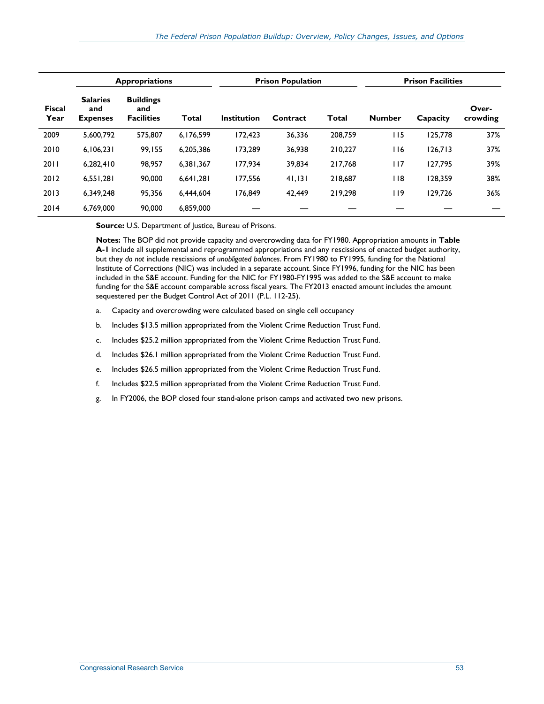|                       |                                           | <b>Appropriations</b>                        |              |                    | <b>Prison Population</b> | <b>Prison Facilities</b> |               |          |                   |
|-----------------------|-------------------------------------------|----------------------------------------------|--------------|--------------------|--------------------------|--------------------------|---------------|----------|-------------------|
| <b>Fiscal</b><br>Year | <b>Salaries</b><br>and<br><b>Expenses</b> | <b>Buildings</b><br>and<br><b>Facilities</b> | <b>Total</b> | <b>Institution</b> | Contract                 | Total                    | <b>Number</b> | Capacity | Over-<br>crowding |
| 2009                  | 5.600.792                                 | 575,807                                      | 6,176,599    | 172,423            | 36,336                   | 208,759                  | 115           | 125,778  | 37%               |
| 2010                  | 6,106,231                                 | 99.155                                       | 6.205.386    | 173.289            | 36.938                   | 210.227                  | 116           | 126.713  | 37%               |
| 2011                  | 6.282.410                                 | 98.957                                       | 6.381.367    | 177.934            | 39.834                   | 217.768                  | 117           | 127.795  | 39%               |
| 2012                  | 6,551,281                                 | 90,000                                       | 6.641.281    | 177.556            | 41,131                   | 218,687                  | l 18          | 128.359  | 38%               |
| 2013                  | 6,349,248                                 | 95,356                                       | 6.444.604    | 176.849            | 42.449                   | 219.298                  | <b>119</b>    | 129,726  | 36%               |
| 2014                  | 6,769,000                                 | 90,000                                       | 6,859,000    |                    |                          |                          |               |          |                   |

**Source:** U.S. Department of Justice, Bureau of Prisons.

**Notes:** The BOP did not provide capacity and overcrowding data for FY1980. Appropriation amounts in **Table A-1** include all supplemental and reprogrammed appropriations and any rescissions of enacted budget authority, but they *do not* include rescissions of *unobligated balances*. From FY1980 to FY1995, funding for the National Institute of Corrections (NIC) was included in a separate account. Since FY1996, funding for the NIC has been included in the S&E account. Funding for the NIC for FY1980-FY1995 was added to the S&E account to make funding for the S&E account comparable across fiscal years. The FY2013 enacted amount includes the amount sequestered per the Budget Control Act of 2011 (P.L. 112-25).

- a. Capacity and overcrowding were calculated based on single cell occupancy
- b. Includes \$13.5 million appropriated from the Violent Crime Reduction Trust Fund.
- c. Includes \$25.2 million appropriated from the Violent Crime Reduction Trust Fund.
- d. Includes \$26.1 million appropriated from the Violent Crime Reduction Trust Fund.
- e. Includes \$26.5 million appropriated from the Violent Crime Reduction Trust Fund.
- f. Includes \$22.5 million appropriated from the Violent Crime Reduction Trust Fund.
- g. In FY2006, the BOP closed four stand-alone prison camps and activated two new prisons.